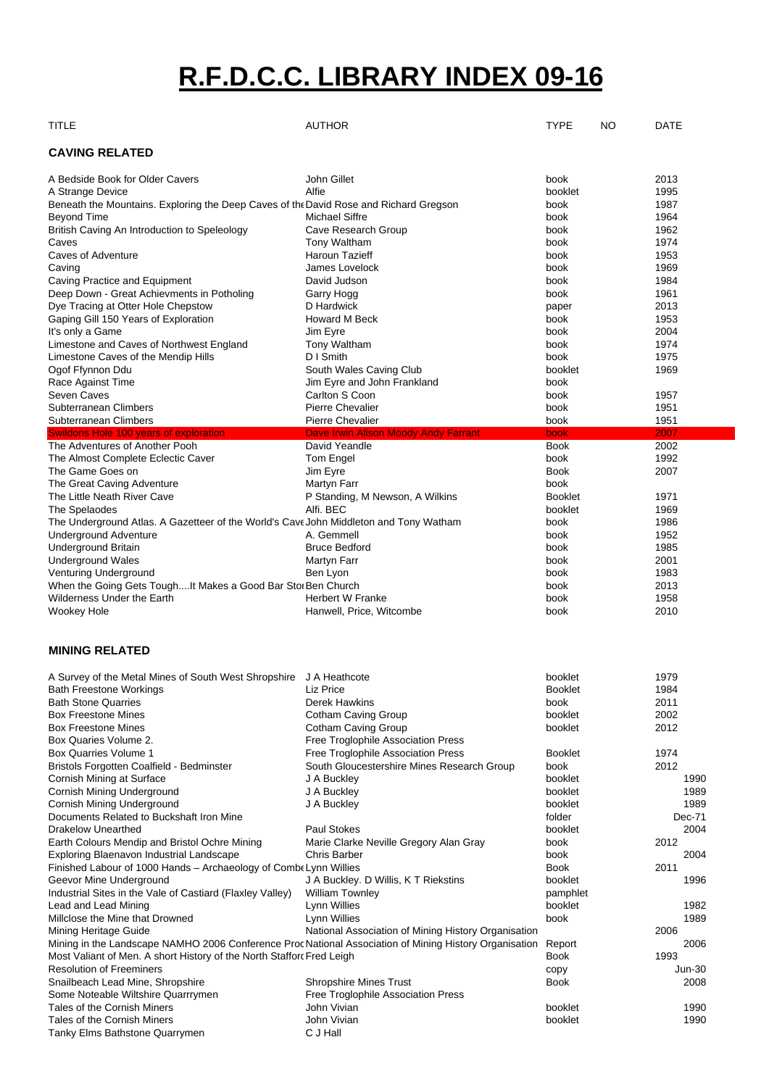# **R.F.D.C.C. LIBRARY INDEX 09-16**

| TITLE                                                                                                  | <b>AUTHOR</b>                                       | <b>TYPE</b>    | NO | DATE     |
|--------------------------------------------------------------------------------------------------------|-----------------------------------------------------|----------------|----|----------|
| <b>CAVING RELATED</b>                                                                                  |                                                     |                |    |          |
| A Bedside Book for Older Cavers                                                                        | John Gillet                                         | book           |    | 2013     |
| A Strange Device                                                                                       | Alfie                                               | booklet        |    | 1995     |
| Beneath the Mountains. Exploring the Deep Caves of the David Rose and Richard Gregson                  |                                                     | book           |    | 1987     |
| Beyond Time                                                                                            | Michael Siffre                                      | book           |    | 1964     |
| British Caving An Introduction to Speleology                                                           | Cave Research Group                                 | book           |    | 1962     |
| Caves                                                                                                  | Tony Waltham                                        | book           |    | 1974     |
| Caves of Adventure                                                                                     | Haroun Tazieff                                      | book           |    | 1953     |
| Caving                                                                                                 | James Lovelock                                      | book           |    | 1969     |
| Caving Practice and Equipment                                                                          | David Judson                                        | book           |    | 1984     |
| Deep Down - Great Achievments in Potholing                                                             | Garry Hogg                                          | book           |    | 1961     |
| Dye Tracing at Otter Hole Chepstow                                                                     | D Hardwick                                          | paper          |    | 2013     |
| Gaping Gill 150 Years of Exploration                                                                   | <b>Howard M Beck</b>                                | book           |    | 1953     |
| It's only a Game                                                                                       | Jim Eyre                                            | book           |    | 2004     |
| Limestone and Caves of Northwest England                                                               | Tony Waltham                                        | book           |    | 1974     |
| Limestone Caves of the Mendip Hills                                                                    | D I Smith                                           | book           |    | 1975     |
| Ogof Ffynnon Ddu                                                                                       | South Wales Caving Club                             | booklet        |    | 1969     |
| Race Against Time                                                                                      | Jim Eyre and John Frankland                         | book           |    |          |
| Seven Caves                                                                                            | Carlton S Coon                                      | book           |    | 1957     |
| Subterranean Climbers                                                                                  | <b>Pierre Chevalier</b>                             | book           |    | 1951     |
| Subterranean Climbers                                                                                  | <b>Pierre Chevalier</b>                             | book           |    | 1951     |
| <b>Swildons Hole 100 years of exploration</b>                                                          | Dave Irwin Alison Moody Andy Farrant                | book           |    | 2007     |
| The Adventures of Another Pooh                                                                         | David Yeandle                                       | <b>Book</b>    |    | 2002     |
| The Almost Complete Eclectic Caver                                                                     | Tom Engel                                           | book           |    | 1992     |
| The Game Goes on                                                                                       | Jim Eyre                                            | <b>Book</b>    |    | 2007     |
| The Great Caving Adventure                                                                             | <b>Martyn Farr</b>                                  | book           |    |          |
| The Little Neath River Cave                                                                            | P Standing, M Newson, A Wilkins                     | <b>Booklet</b> |    | 1971     |
| The Spelaodes                                                                                          | Alfi. BEC                                           | booklet        |    | 1969     |
| The Underground Atlas. A Gazetteer of the World's Cave John Middleton and Tony Watham                  |                                                     | book           |    | 1986     |
| <b>Underground Adventure</b>                                                                           | A. Gemmell                                          | book           |    | 1952     |
| <b>Underground Britain</b>                                                                             | <b>Bruce Bedford</b>                                | book           |    | 1985     |
| <b>Underground Wales</b>                                                                               | <b>Martyn Farr</b>                                  | book           |    | 2001     |
| Venturing Underground                                                                                  | Ben Lyon                                            | book           |    | 1983     |
| When the Going Gets ToughIt Makes a Good Bar Stor Ben Church                                           |                                                     | book           |    | 2013     |
| Wilderness Under the Earth                                                                             | Herbert W Franke                                    | book           |    | 1958     |
| Wookey Hole                                                                                            | Hanwell, Price, Witcombe                            | book           |    | 2010     |
| <b>MINING RELATED</b>                                                                                  |                                                     |                |    |          |
| A Survey of the Metal Mines of South West Shropshire J A Heathcote                                     |                                                     | booklet        |    | 1979     |
| Bath Freestone Workings                                                                                | Liz Price                                           | <b>Booklet</b> |    | 1984     |
| <b>Bath Stone Quarries</b>                                                                             | Derek Hawkins                                       | book           |    | 2011     |
| <b>Box Freestone Mines</b>                                                                             | Cotham Caving Group                                 | booklet        |    | 2002     |
| <b>Box Freestone Mines</b>                                                                             | Cotham Caving Group                                 | booklet        |    | 2012     |
| Box Quaries Volume 2.                                                                                  | Free Troglophile Association Press                  |                |    |          |
| <b>Box Quarries Volume 1</b>                                                                           | Free Troglophile Association Press                  | <b>Booklet</b> |    | 1974     |
| Bristols Forgotten Coalfield - Bedminster                                                              | South Gloucestershire Mines Research Group          | book           |    | 2012     |
| Cornish Mining at Surface                                                                              | J A Buckley                                         | booklet        |    | 1990     |
| Cornish Mining Underground                                                                             | J A Buckley                                         | booklet        |    | 1989     |
| Cornish Mining Underground                                                                             | J A Buckley                                         | booklet        |    | 1989     |
| Documents Related to Buckshaft Iron Mine                                                               |                                                     | folder         |    | Dec-71   |
| <b>Drakelow Unearthed</b>                                                                              | <b>Paul Stokes</b>                                  | booklet        |    | 2004     |
| Earth Colours Mendip and Bristol Ochre Mining                                                          | Marie Clarke Neville Gregory Alan Gray              | book           |    | 2012     |
| Exploring Blaenavon Industrial Landscape                                                               | Chris Barber                                        | book           |    | 2004     |
| Finished Labour of 1000 Hands - Archaeology of Combe Lynn Willies                                      |                                                     | <b>Book</b>    |    | 2011     |
|                                                                                                        |                                                     |                |    |          |
| Geevor Mine Underground                                                                                | J A Buckley. D Willis, K T Riekstins                | booklet        |    | 1996     |
| Industrial Sites in the Vale of Castiard (Flaxley Valley)                                              | <b>William Townley</b>                              | pamphlet       |    |          |
| Lead and Lead Mining                                                                                   | Lynn Willies                                        | booklet        |    | 1982     |
| Millclose the Mine that Drowned                                                                        | Lynn Willies                                        | book           |    | 1989     |
| Mining Heritage Guide                                                                                  | National Association of Mining History Organisation |                |    | 2006     |
| Mining in the Landscape NAMHO 2006 Conference Proc National Association of Mining History Organisation |                                                     | Report         |    | 2006     |
| Most Valiant of Men. A short History of the North Stafforc Fred Leigh                                  |                                                     | Book           |    | 1993     |
| <b>Resolution of Freeminers</b>                                                                        |                                                     | copy           |    | $Jun-30$ |
| Snailbeach Lead Mine, Shropshire                                                                       | <b>Shropshire Mines Trust</b>                       | <b>Book</b>    |    | 2008     |
| Some Noteable Wiltshire Quarrrymen                                                                     | Free Troglophile Association Press                  |                |    |          |
| Tales of the Cornish Miners                                                                            | John Vivian                                         | booklet        |    | 1990     |
| Tales of the Cornish Miners                                                                            | John Vivian                                         | booklet        |    | 1990     |
| Tanky Elms Bathstone Quarrymen                                                                         | C J Hall                                            |                |    |          |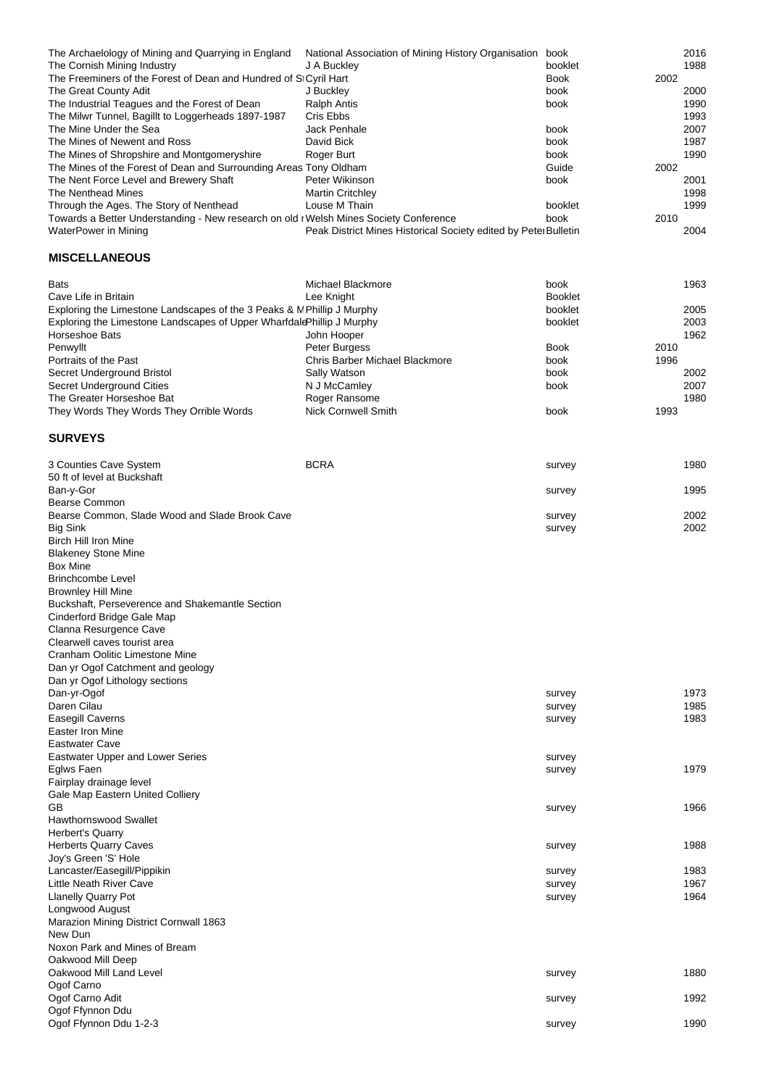| The Archaelology of Mining and Quarrying in England                                   | National Association of Mining History Organisation             | book        | 2016 |
|---------------------------------------------------------------------------------------|-----------------------------------------------------------------|-------------|------|
| The Cornish Mining Industry                                                           | J A Buckley                                                     | booklet     | 1988 |
| The Freeminers of the Forest of Dean and Hundred of St Cyril Hart                     |                                                                 | <b>Book</b> | 2002 |
| The Great County Adit                                                                 | J Buckley                                                       | book        | 2000 |
| The Industrial Teagues and the Forest of Dean                                         | <b>Ralph Antis</b>                                              | book        | 1990 |
| The Milwr Tunnel, Bagillt to Loggerheads 1897-1987                                    | Cris Ebbs                                                       |             | 1993 |
| The Mine Under the Sea                                                                | Jack Penhale                                                    | book        | 2007 |
| The Mines of Newent and Ross                                                          | David Bick                                                      | book        | 1987 |
| The Mines of Shropshire and Montgomeryshire                                           | Roger Burt                                                      | book        | 1990 |
| The Mines of the Forest of Dean and Surrounding Areas Tony Oldham                     |                                                                 | Guide       | 2002 |
| The Nent Force Level and Brewery Shaft                                                | Peter Wikinson                                                  | book        | 2001 |
| The Nenthead Mines                                                                    | <b>Martin Critchley</b>                                         |             | 1998 |
| Through the Ages. The Story of Nenthead                                               | Louse M Thain                                                   | booklet     | 1999 |
| Towards a Better Understanding - New research on old r Welsh Mines Society Conference |                                                                 | book        | 2010 |
| WaterPower in Mining                                                                  | Peak District Mines Historical Society edited by Peter Bulletin |             | 2004 |

### **MISCELLANEOUS**

| <b>Bats</b>                                                            | Michael Blackmore              | book           | 1963 |
|------------------------------------------------------------------------|--------------------------------|----------------|------|
| Cave Life in Britain                                                   | Lee Kniaht                     | <b>Booklet</b> |      |
| Exploring the Limestone Landscapes of the 3 Peaks & N Phillip J Murphy |                                | booklet        | 2005 |
| Exploring the Limestone Landscapes of Upper Wharfdale Phillip J Murphy |                                | booklet        | 2003 |
| Horseshoe Bats                                                         | John Hooper                    |                | 1962 |
| Penwyllt                                                               | Peter Burgess                  | <b>Book</b>    | 2010 |
| Portraits of the Past                                                  | Chris Barber Michael Blackmore | book           | 1996 |
| Secret Underground Bristol                                             | Sally Watson                   | book           | 2002 |
| Secret Underground Cities                                              | N J McCamley                   | book           | 2007 |
| The Greater Horseshoe Bat                                              | Roger Ransome                  |                | 1980 |
| They Words They Words They Orrible Words                               | Nick Cornwell Smith            | book           | 1993 |

## **SURVEYS**

| 3 Counties Cave System                          | <b>BCRA</b> | survey | 1980 |
|-------------------------------------------------|-------------|--------|------|
| 50 ft of level at Buckshaft                     |             |        |      |
| Ban-y-Gor                                       |             | survey | 1995 |
| <b>Bearse Common</b>                            |             |        |      |
| Bearse Common, Slade Wood and Slade Brook Cave  |             | survey | 2002 |
| <b>Big Sink</b>                                 |             | survey | 2002 |
| <b>Birch Hill Iron Mine</b>                     |             |        |      |
| <b>Blakeney Stone Mine</b>                      |             |        |      |
| <b>Box Mine</b>                                 |             |        |      |
| <b>Brinchcombe Level</b>                        |             |        |      |
| <b>Brownley Hill Mine</b>                       |             |        |      |
| Buckshaft, Perseverence and Shakemantle Section |             |        |      |
| Cinderford Bridge Gale Map                      |             |        |      |
| Clanna Resurgence Cave                          |             |        |      |
| Clearwell caves tourist area                    |             |        |      |
| Cranham Oolitic Limestone Mine                  |             |        |      |
| Dan yr Ogof Catchment and geology               |             |        |      |
| Dan yr Ogof Lithology sections                  |             |        |      |
| Dan-yr-Ogof                                     |             | survey | 1973 |
| Daren Cilau                                     |             | survey | 1985 |
| <b>Easegill Caverns</b>                         |             | survey | 1983 |
| Easter Iron Mine                                |             |        |      |
| <b>Eastwater Cave</b>                           |             |        |      |
| <b>Eastwater Upper and Lower Series</b>         |             | survey |      |
| Eglws Faen                                      |             | survey | 1979 |
| Fairplay drainage level                         |             |        |      |
| Gale Map Eastern United Colliery                |             |        |      |
| GВ                                              |             | survey | 1966 |
| <b>Hawthornswood Swallet</b>                    |             |        |      |
| <b>Herbert's Quarry</b>                         |             |        |      |
| <b>Herberts Quarry Caves</b>                    |             | survey | 1988 |
| Joy's Green 'S' Hole                            |             |        |      |
| Lancaster/Easegill/Pippikin                     |             | survey | 1983 |
| <b>Little Neath River Cave</b>                  |             | survey | 1967 |
| <b>Llanelly Quarry Pot</b>                      |             | survey | 1964 |
| Longwood August                                 |             |        |      |
| Marazion Mining District Cornwall 1863          |             |        |      |
| New Dun                                         |             |        |      |
| Noxon Park and Mines of Bream                   |             |        |      |
| Oakwood Mill Deep                               |             |        |      |
| Oakwood Mill Land Level                         |             | survey | 1880 |
| Ogof Carno                                      |             |        |      |
| Ogof Carno Adit                                 |             | survey | 1992 |
| Ogof Ffynnon Ddu                                |             |        |      |
| Ogof Ffynnon Ddu 1-2-3                          |             | survey | 1990 |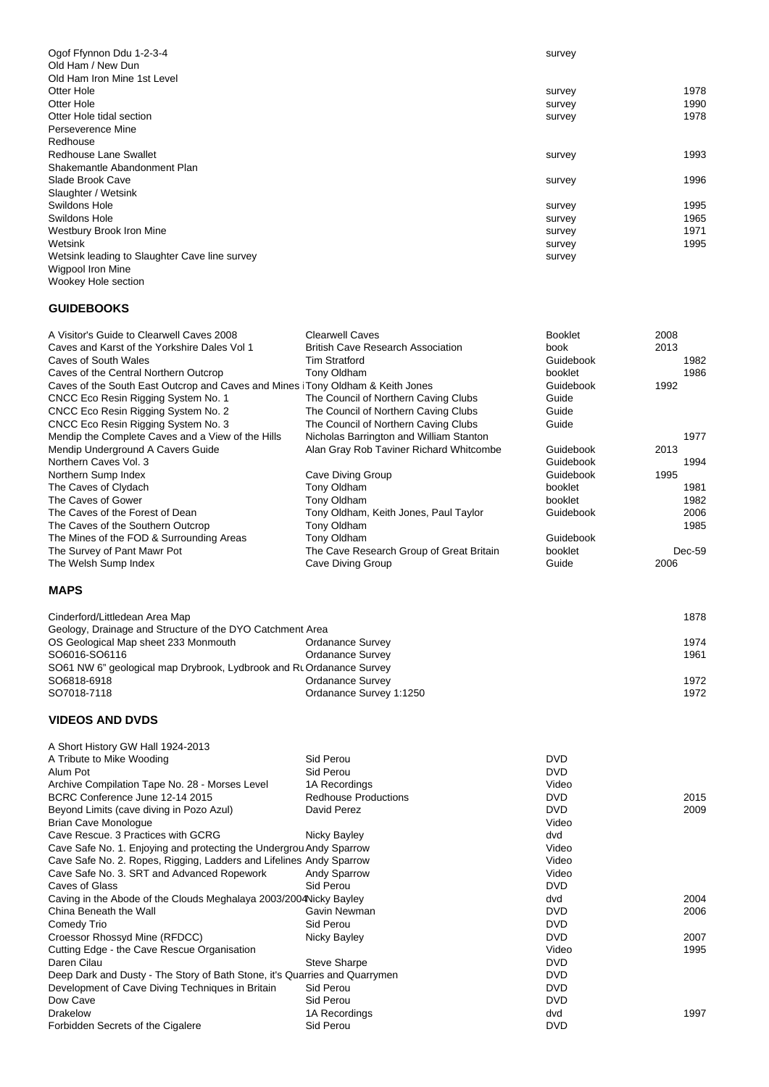| Ogof Ffynnon Ddu 1-2-3-4                      | survey |      |
|-----------------------------------------------|--------|------|
| Old Ham / New Dun                             |        |      |
| Old Ham Iron Mine 1st Level                   |        |      |
| Otter Hole                                    | survey | 1978 |
| Otter Hole                                    | survey | 1990 |
| Otter Hole tidal section                      | survey | 1978 |
| Perseverence Mine                             |        |      |
| Redhouse                                      |        |      |
| Redhouse Lane Swallet                         | survey | 1993 |
| Shakemantle Abandonment Plan                  |        |      |
| Slade Brook Cave                              | survey | 1996 |
| Slaughter / Wetsink                           |        |      |
| Swildons Hole                                 | survey | 1995 |
| Swildons Hole                                 | survey | 1965 |
| Westbury Brook Iron Mine                      | survey | 1971 |
| Wetsink                                       | survey | 1995 |
| Wetsink leading to Slaughter Cave line survey | survey |      |
| Wigpool Iron Mine                             |        |      |
| Wookey Hole section                           |        |      |

#### **GUIDEBOOKS**

| A Visitor's Guide to Clearwell Caves 2008<br>Caves and Karst of the Yorkshire Dales Vol 1<br>Caves of South Wales<br>Caves of the Central Northern Outcrop<br>Caves of the South East Outcrop and Caves and Mines Tony Oldham & Keith Jones<br>CNCC Eco Resin Rigging System No. 1<br>CNCC Eco Resin Rigging System No. 2<br>CNCC Eco Resin Rigging System No. 3 | <b>Clearwell Caves</b><br><b>British Cave Research Association</b><br><b>Tim Stratford</b><br>Tony Oldham<br>The Council of Northern Caving Clubs<br>The Council of Northern Caving Clubs<br>The Council of Northern Caving Clubs | <b>Booklet</b><br>book<br>Guidebook<br>booklet<br>Guidebook<br>Guide<br>Guide<br>Guide | 2008<br>2013<br>1982<br>1986<br>1992 |
|------------------------------------------------------------------------------------------------------------------------------------------------------------------------------------------------------------------------------------------------------------------------------------------------------------------------------------------------------------------|-----------------------------------------------------------------------------------------------------------------------------------------------------------------------------------------------------------------------------------|----------------------------------------------------------------------------------------|--------------------------------------|
| Mendip the Complete Caves and a View of the Hills<br>Mendip Underground A Cavers Guide                                                                                                                                                                                                                                                                           | Nicholas Barrington and William Stanton<br>Alan Gray Rob Taviner Richard Whitcombe                                                                                                                                                | Guidebook                                                                              | 1977<br>2013                         |
| Northern Caves Vol. 3                                                                                                                                                                                                                                                                                                                                            |                                                                                                                                                                                                                                   | Guidebook                                                                              | 1994                                 |
| Northern Sump Index                                                                                                                                                                                                                                                                                                                                              | Cave Diving Group                                                                                                                                                                                                                 | Guidebook                                                                              | 1995                                 |
| The Caves of Clydach                                                                                                                                                                                                                                                                                                                                             | Tony Oldham                                                                                                                                                                                                                       | booklet                                                                                | 1981                                 |
| The Caves of Gower                                                                                                                                                                                                                                                                                                                                               | Tony Oldham                                                                                                                                                                                                                       | booklet                                                                                | 1982                                 |
| The Caves of the Forest of Dean                                                                                                                                                                                                                                                                                                                                  | Tony Oldham, Keith Jones, Paul Taylor                                                                                                                                                                                             | Guidebook                                                                              | 2006                                 |
| The Caves of the Southern Outcrop                                                                                                                                                                                                                                                                                                                                | Tony Oldham                                                                                                                                                                                                                       |                                                                                        | 1985                                 |
| The Mines of the FOD & Surrounding Areas                                                                                                                                                                                                                                                                                                                         | Tony Oldham                                                                                                                                                                                                                       | Guidebook                                                                              |                                      |
| The Survey of Pant Mawr Pot                                                                                                                                                                                                                                                                                                                                      | The Cave Research Group of Great Britain                                                                                                                                                                                          | booklet                                                                                | $Dec-59$                             |
| The Welsh Sump Index                                                                                                                                                                                                                                                                                                                                             | Cave Diving Group                                                                                                                                                                                                                 | Guide                                                                                  | 2006                                 |
| <b>MAPS</b>                                                                                                                                                                                                                                                                                                                                                      |                                                                                                                                                                                                                                   |                                                                                        |                                      |
| Cinderford/Littledean Area Map                                                                                                                                                                                                                                                                                                                                   |                                                                                                                                                                                                                                   |                                                                                        | 1878                                 |
| Geology, Drainage and Structure of the DYO Catchment Area                                                                                                                                                                                                                                                                                                        |                                                                                                                                                                                                                                   |                                                                                        |                                      |
| OS Geological Map sheet 233 Monmouth                                                                                                                                                                                                                                                                                                                             | <b>Ordanance Survey</b>                                                                                                                                                                                                           |                                                                                        | 1974                                 |
| SO6016-SO6116                                                                                                                                                                                                                                                                                                                                                    | <b>Ordanance Survey</b>                                                                                                                                                                                                           |                                                                                        | 1961                                 |
| SO61 NW 6" geological map Drybrook, Lydbrook and Rt Ordanance Survey                                                                                                                                                                                                                                                                                             |                                                                                                                                                                                                                                   |                                                                                        |                                      |
| SO6818-6918                                                                                                                                                                                                                                                                                                                                                      | <b>Ordanance Survey</b>                                                                                                                                                                                                           |                                                                                        | 1972                                 |
| SO7018-7118                                                                                                                                                                                                                                                                                                                                                      | Ordanance Survey 1:1250                                                                                                                                                                                                           |                                                                                        | 1972                                 |
| <b>VIDEOS AND DVDS</b>                                                                                                                                                                                                                                                                                                                                           |                                                                                                                                                                                                                                   |                                                                                        |                                      |
| A Short History GW Hall 1924-2013                                                                                                                                                                                                                                                                                                                                |                                                                                                                                                                                                                                   |                                                                                        |                                      |
| A Tribute to Mike Wooding                                                                                                                                                                                                                                                                                                                                        | Sid Perou                                                                                                                                                                                                                         | <b>DVD</b>                                                                             |                                      |
| Alum Pot                                                                                                                                                                                                                                                                                                                                                         | Sid Perou                                                                                                                                                                                                                         | <b>DVD</b>                                                                             |                                      |
| Archive Compilation Tape No. 28 - Morses Level                                                                                                                                                                                                                                                                                                                   | 1A Recordings                                                                                                                                                                                                                     | Video                                                                                  |                                      |
| BCRC Conference June 12-14 2015                                                                                                                                                                                                                                                                                                                                  | <b>Redhouse Productions</b>                                                                                                                                                                                                       | DVD                                                                                    | 2015                                 |
| Beyond Limits (cave diving in Pozo Azul)                                                                                                                                                                                                                                                                                                                         | David Perez                                                                                                                                                                                                                       | <b>DVD</b>                                                                             | 2009                                 |
| <b>Brian Cave Monologue</b>                                                                                                                                                                                                                                                                                                                                      |                                                                                                                                                                                                                                   | Video                                                                                  |                                      |
| Cave Rescue. 3 Practices with GCRG                                                                                                                                                                                                                                                                                                                               | Nicky Bayley                                                                                                                                                                                                                      | dvd                                                                                    |                                      |
| Cave Safe No. 1. Enjoying and protecting the Undergrou Andy Sparrow<br>Cave Safe No. 2. Ropes, Rigging, Ladders and Lifelines Andy Sparrow                                                                                                                                                                                                                       |                                                                                                                                                                                                                                   | Video<br>Video                                                                         |                                      |
| Cave Safe No. 3. SRT and Advanced Ropework                                                                                                                                                                                                                                                                                                                       | <b>Andy Sparrow</b>                                                                                                                                                                                                               | Video                                                                                  |                                      |
| Caves of Glass                                                                                                                                                                                                                                                                                                                                                   | Sid Perou                                                                                                                                                                                                                         | DVD                                                                                    |                                      |
| Caving in the Abode of the Clouds Meghalaya 2003/2004 Nicky Bayley                                                                                                                                                                                                                                                                                               |                                                                                                                                                                                                                                   | dvd                                                                                    | 2004                                 |
| China Beneath the Wall                                                                                                                                                                                                                                                                                                                                           | Gavin Newman                                                                                                                                                                                                                      | <b>DVD</b>                                                                             | 2006                                 |
| Comedy Trio                                                                                                                                                                                                                                                                                                                                                      | Sid Perou                                                                                                                                                                                                                         | <b>DVD</b>                                                                             |                                      |
| Croessor Rhossyd Mine (RFDCC)                                                                                                                                                                                                                                                                                                                                    | Nicky Bayley                                                                                                                                                                                                                      | <b>DVD</b>                                                                             | 2007                                 |
| Cutting Edge - the Cave Rescue Organisation                                                                                                                                                                                                                                                                                                                      |                                                                                                                                                                                                                                   | Video                                                                                  | 1995                                 |
| Daren Cilau                                                                                                                                                                                                                                                                                                                                                      | <b>Steve Sharpe</b>                                                                                                                                                                                                               | <b>DVD</b>                                                                             |                                      |
| Deep Dark and Dusty - The Story of Bath Stone, it's Quarries and Quarrymen                                                                                                                                                                                                                                                                                       |                                                                                                                                                                                                                                   | <b>DVD</b>                                                                             |                                      |
| Development of Cave Diving Techniques in Britain                                                                                                                                                                                                                                                                                                                 | Sid Perou                                                                                                                                                                                                                         | <b>DVD</b>                                                                             |                                      |
| Dow Cave                                                                                                                                                                                                                                                                                                                                                         | Sid Perou                                                                                                                                                                                                                         | <b>DVD</b>                                                                             |                                      |
| <b>Drakelow</b>                                                                                                                                                                                                                                                                                                                                                  | 1A Recordings                                                                                                                                                                                                                     | dvd                                                                                    | 1997                                 |
| Forbidden Secrets of the Cigalere                                                                                                                                                                                                                                                                                                                                | Sid Perou                                                                                                                                                                                                                         | <b>DVD</b>                                                                             |                                      |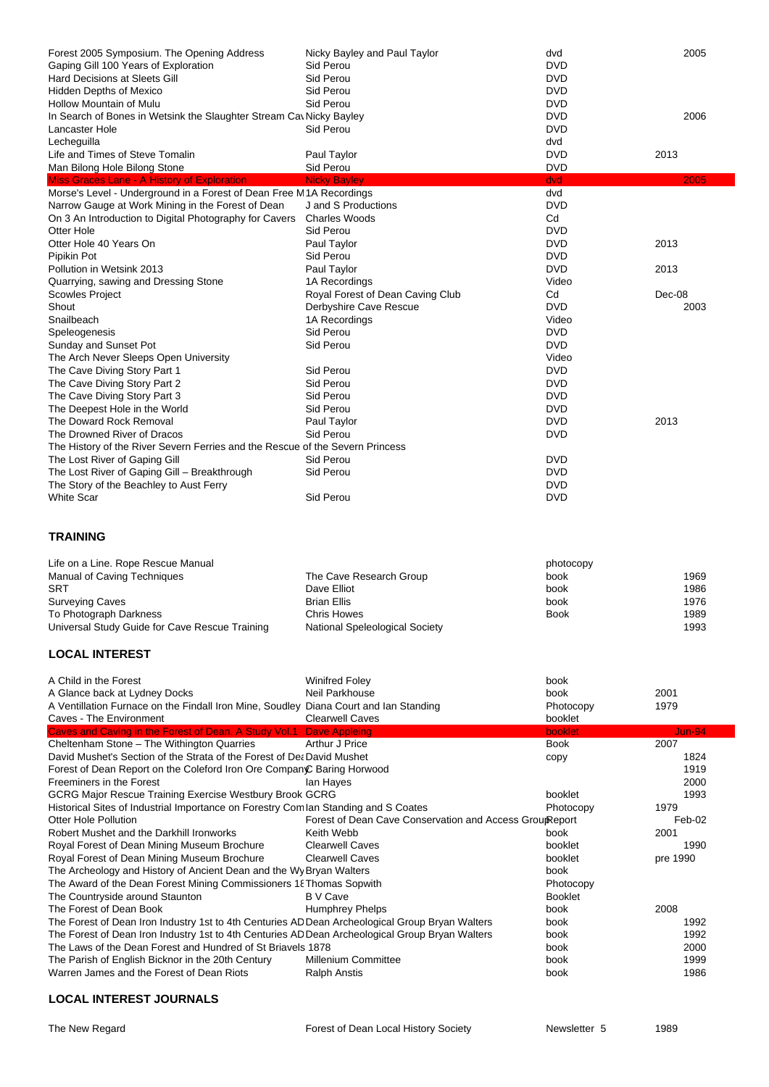| Forest 2005 Symposium. The Opening Address<br>Gaping Gill 100 Years of Exploration                                 | Nicky Bayley and Paul Taylor<br>Sid Perou               | dvd<br>DVD                  | 2005          |
|--------------------------------------------------------------------------------------------------------------------|---------------------------------------------------------|-----------------------------|---------------|
| <b>Hard Decisions at Sleets Gill</b>                                                                               | Sid Perou                                               | <b>DVD</b>                  |               |
| <b>Hidden Depths of Mexico</b><br>Hollow Mountain of Mulu                                                          | Sid Perou<br>Sid Perou                                  | <b>DVD</b><br><b>DVD</b>    |               |
| In Search of Bones in Wetsink the Slaughter Stream Cav Nicky Bayley                                                |                                                         | <b>DVD</b>                  | 2006          |
| Lancaster Hole                                                                                                     | Sid Perou                                               | <b>DVD</b>                  |               |
| Lecheguilla                                                                                                        |                                                         | dvd                         |               |
| Life and Times of Steve Tomalin                                                                                    | Paul Taylor                                             | DVD                         | 2013          |
| Man Bilong Hole Bilong Stone                                                                                       | Sid Perou                                               | <b>DVD</b>                  |               |
| Miss Graces Lane - A History of Exploration<br>Morse's Level - Underground in a Forest of Dean Free M1A Recordings | <b>Nicky Bayley</b>                                     | dvd<br>dvd                  | 2005          |
| Narrow Gauge at Work Mining in the Forest of Dean                                                                  | J and S Productions                                     | <b>DVD</b>                  |               |
| On 3 An Introduction to Digital Photography for Cavers                                                             | <b>Charles Woods</b>                                    | Cd                          |               |
| Otter Hole                                                                                                         | Sid Perou                                               | <b>DVD</b>                  |               |
| Otter Hole 40 Years On                                                                                             | Paul Taylor                                             | DVD                         | 2013          |
| Pipikin Pot                                                                                                        | Sid Perou                                               | <b>DVD</b>                  |               |
| Pollution in Wetsink 2013                                                                                          | Paul Taylor                                             | <b>DVD</b>                  | 2013          |
| Quarrying, sawing and Dressing Stone<br><b>Scowles Project</b>                                                     | 1A Recordings<br>Royal Forest of Dean Caving Club       | Video<br>Cd                 | Dec-08        |
| Shout                                                                                                              | Derbyshire Cave Rescue                                  | <b>DVD</b>                  | 2003          |
| Snailbeach                                                                                                         | 1A Recordings                                           | Video                       |               |
| Speleogenesis                                                                                                      | Sid Perou                                               | DVD                         |               |
| Sunday and Sunset Pot                                                                                              | Sid Perou                                               | <b>DVD</b>                  |               |
| The Arch Never Sleeps Open University                                                                              |                                                         | Video                       |               |
| The Cave Diving Story Part 1                                                                                       | Sid Perou                                               | <b>DVD</b>                  |               |
| The Cave Diving Story Part 2                                                                                       | Sid Perou                                               | <b>DVD</b>                  |               |
| The Cave Diving Story Part 3                                                                                       | Sid Perou                                               | <b>DVD</b><br><b>DVD</b>    |               |
| The Deepest Hole in the World<br>The Doward Rock Removal                                                           | Sid Perou<br>Paul Taylor                                | <b>DVD</b>                  | 2013          |
| The Drowned River of Dracos                                                                                        | Sid Perou                                               | <b>DVD</b>                  |               |
| The History of the River Severn Ferries and the Rescue of the Severn Princess                                      |                                                         |                             |               |
| The Lost River of Gaping Gill                                                                                      | Sid Perou                                               | <b>DVD</b>                  |               |
| The Lost River of Gaping Gill - Breakthrough                                                                       | Sid Perou                                               | <b>DVD</b>                  |               |
| The Story of the Beachley to Aust Ferry                                                                            |                                                         | <b>DVD</b>                  |               |
| <b>White Scar</b>                                                                                                  | Sid Perou                                               | <b>DVD</b>                  |               |
|                                                                                                                    |                                                         |                             |               |
| <b>TRAINING</b>                                                                                                    |                                                         |                             |               |
|                                                                                                                    |                                                         |                             |               |
| Life on a Line. Rope Rescue Manual                                                                                 |                                                         | photocopy                   |               |
| <b>Manual of Caving Techniques</b>                                                                                 | The Cave Research Group                                 | book                        | 1969          |
| <b>SRT</b>                                                                                                         | Dave Elliot                                             | book                        | 1986          |
| <b>Surveying Caves</b>                                                                                             | <b>Brian Ellis</b><br><b>Chris Howes</b>                | book<br>Book                | 1976<br>1989  |
| To Photograph Darkness<br>Universal Study Guide for Cave Rescue Training                                           | National Speleological Society                          |                             | 1993          |
| <b>LOCAL INTEREST</b>                                                                                              |                                                         |                             |               |
|                                                                                                                    |                                                         |                             |               |
| A Child in the Forest                                                                                              | <b>Winifred Foley</b>                                   | book                        |               |
| A Glance back at Lydney Docks                                                                                      | Neil Parkhouse                                          | book                        | 2001<br>1979  |
| A Ventillation Furnace on the Findall Iron Mine, Soudley Diana Court and Ian Standing<br>Caves - The Environment   | <b>Clearwell Caves</b>                                  | Photocopy<br>booklet        |               |
| Caves and Caving in the Forest of Dean. A Study Vol.1 Dave Appleing                                                |                                                         | booklet                     | <b>Jun-94</b> |
| Cheltenham Stone - The Withington Quarries                                                                         | Arthur J Price                                          | <b>Book</b>                 | 2007          |
| David Mushet's Section of the Strata of the Forest of Det David Mushet                                             |                                                         | copy                        | 1824          |
| Forest of Dean Report on the Coleford Iron Ore Compan© Baring Horwood<br>Freeminers in the Forest                  |                                                         |                             | 1919<br>2000  |
| <b>GCRG Major Rescue Training Exercise Westbury Brook GCRG</b>                                                     | lan Hayes                                               | booklet                     | 1993          |
| Historical Sites of Industrial Importance on Forestry Com lan Standing and S Coates                                |                                                         | Photocopy                   | 1979          |
| Otter Hole Pollution                                                                                               | Forest of Dean Cave Conservation and Access GroupReport |                             | Feb-02        |
| Robert Mushet and the Darkhill Ironworks                                                                           | Keith Webb                                              | book                        | 2001          |
| Royal Forest of Dean Mining Museum Brochure                                                                        | <b>Clearwell Caves</b>                                  | booklet                     | 1990          |
| Royal Forest of Dean Mining Museum Brochure                                                                        | <b>Clearwell Caves</b>                                  | booklet                     | pre 1990      |
| The Archeology and History of Ancient Dean and the Wy Bryan Walters                                                |                                                         | book                        |               |
| The Award of the Dean Forest Mining Commissioners 18 Thomas Sopwith<br>The Countryside around Staunton             | <b>B</b> V Cave                                         | Photocopy<br><b>Booklet</b> |               |
| The Forest of Dean Book                                                                                            | <b>Humphrey Phelps</b>                                  | book                        | 2008          |
| The Forest of Dean Iron Industry 1st to 4th Centuries AD Dean Archeological Group Bryan Walters                    |                                                         | book                        | 1992          |
| The Forest of Dean Iron Industry 1st to 4th Centuries AD Dean Archeological Group Bryan Walters                    |                                                         | book                        | 1992          |
| The Laws of the Dean Forest and Hundred of St Briavels 1878                                                        |                                                         | book                        | 2000          |
| The Parish of English Bicknor in the 20th Century<br>Warren James and the Forest of Dean Riots                     | <b>Millenium Committee</b><br><b>Ralph Anstis</b>       | book<br>book                | 1999<br>1986  |

#### **LOCAL INTEREST JOURNALS**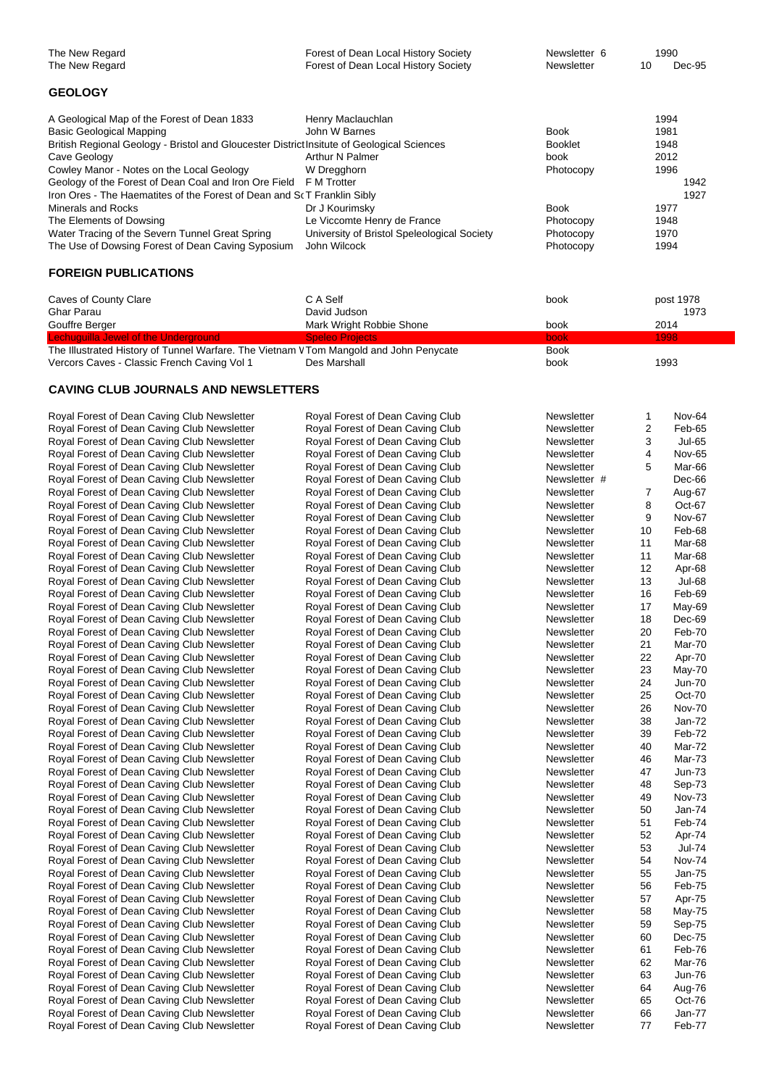| The New Regard | Forest of Dean Local History Society | Newsletter 6 | 1990 |        |
|----------------|--------------------------------------|--------------|------|--------|
| The New Regard | Forest of Dean Local History Society | Newsletter   |      | Dec-95 |

#### **GEOLOGY**

| A Geological Map of the Forest of Dean 1833                                                | Henry Maclauchlan                           |                | 1994 |      |
|--------------------------------------------------------------------------------------------|---------------------------------------------|----------------|------|------|
| Basic Geological Mapping                                                                   | John W Barnes                               | <b>Book</b>    | 1981 |      |
| British Regional Geology - Bristol and Gloucester District Insitute of Geological Sciences |                                             | <b>Booklet</b> | 1948 |      |
| Cave Geology                                                                               | Arthur N Palmer                             | book           | 2012 |      |
| Cowley Manor - Notes on the Local Geology                                                  | W Dregghorn                                 | Photocopy      | 1996 |      |
| Geology of the Forest of Dean Coal and Iron Ore Field F M Trotter                          |                                             |                |      | 1942 |
| Iron Ores - The Haematites of the Forest of Dean and S(T Franklin Sibly                    |                                             |                |      | 1927 |
| Minerals and Rocks                                                                         | Dr J Kourimsky                              | <b>Book</b>    | 1977 |      |
| The Elements of Dowsing                                                                    | Le Viccomte Henry de France                 | Photocopy      | 1948 |      |
| Water Tracing of the Severn Tunnel Great Spring                                            | University of Bristol Speleological Society | Photocopy      | 1970 |      |
| The Use of Dowsing Forest of Dean Caving Syposium                                          | John Wilcock                                | Photocopy      | 1994 |      |

#### **FOREIGN PUBLICATIONS**

| Caves of County Clare                                                                  | C A Self                 | book        | post 1978 |
|----------------------------------------------------------------------------------------|--------------------------|-------------|-----------|
| Ghar Parau                                                                             | David Judson             |             | 1973      |
| Gouffre Berger                                                                         | Mark Wright Robbie Shone | book        | 2014      |
| Lechuguilla Jewel of the Underground                                                   | <b>Speleo Projects</b>   | <b>book</b> | 1998      |
| The Illustrated History of Tunnel Warfare. The Vietnam V Tom Mangold and John Penycate |                          | <b>Book</b> |           |
| Vercors Caves - Classic French Caving Vol 1                                            | Des Marshall             | book        | 1993      |

#### **CAVING CLUB JOURNALS AND NEWSLETTERS**

| Royal Forest of Dean Caving Club Newsletter | Royal Forest of Dean Caving Club | Newsletter   | 1              | Nov-64        |
|---------------------------------------------|----------------------------------|--------------|----------------|---------------|
| Royal Forest of Dean Caving Club Newsletter | Royal Forest of Dean Caving Club | Newsletter   | $\overline{2}$ | Feb-65        |
| Royal Forest of Dean Caving Club Newsletter | Royal Forest of Dean Caving Club | Newsletter   | 3              | <b>Jul-65</b> |
| Royal Forest of Dean Caving Club Newsletter | Royal Forest of Dean Caving Club | Newsletter   | 4              | <b>Nov-65</b> |
| Royal Forest of Dean Caving Club Newsletter | Royal Forest of Dean Caving Club | Newsletter   | 5              | Mar-66        |
| Royal Forest of Dean Caving Club Newsletter | Royal Forest of Dean Caving Club | Newsletter # |                | Dec-66        |
| Royal Forest of Dean Caving Club Newsletter | Royal Forest of Dean Caving Club | Newsletter   | 7              | Aug-67        |
| Royal Forest of Dean Caving Club Newsletter | Royal Forest of Dean Caving Club | Newsletter   | 8              | Oct-67        |
| Royal Forest of Dean Caving Club Newsletter | Royal Forest of Dean Caving Club | Newsletter   | 9              | Nov-67        |
| Royal Forest of Dean Caving Club Newsletter | Royal Forest of Dean Caving Club | Newsletter   | 10             | Feb-68        |
| Royal Forest of Dean Caving Club Newsletter | Royal Forest of Dean Caving Club | Newsletter   | 11             | Mar-68        |
| Royal Forest of Dean Caving Club Newsletter | Royal Forest of Dean Caving Club | Newsletter   | 11             | Mar-68        |
| Royal Forest of Dean Caving Club Newsletter | Royal Forest of Dean Caving Club | Newsletter   | 12             | Apr-68        |
| Royal Forest of Dean Caving Club Newsletter | Royal Forest of Dean Caving Club | Newsletter   | 13             | <b>Jul-68</b> |
| Royal Forest of Dean Caving Club Newsletter | Royal Forest of Dean Caving Club | Newsletter   | 16             | Feb-69        |
| Royal Forest of Dean Caving Club Newsletter | Royal Forest of Dean Caving Club | Newsletter   | 17             | May-69        |
| Royal Forest of Dean Caving Club Newsletter | Royal Forest of Dean Caving Club | Newsletter   | 18             | Dec-69        |
| Royal Forest of Dean Caving Club Newsletter | Royal Forest of Dean Caving Club | Newsletter   | 20             | Feb-70        |
| Royal Forest of Dean Caving Club Newsletter | Royal Forest of Dean Caving Club | Newsletter   | 21             | Mar-70        |
| Royal Forest of Dean Caving Club Newsletter | Royal Forest of Dean Caving Club | Newsletter   | 22             | Apr-70        |
| Royal Forest of Dean Caving Club Newsletter | Royal Forest of Dean Caving Club | Newsletter   | 23             | May-70        |
|                                             |                                  | Newsletter   | 24             | <b>Jun-70</b> |
| Royal Forest of Dean Caving Club Newsletter | Royal Forest of Dean Caving Club |              |                |               |
| Royal Forest of Dean Caving Club Newsletter | Royal Forest of Dean Caving Club | Newsletter   | 25             | Oct-70        |
| Royal Forest of Dean Caving Club Newsletter | Royal Forest of Dean Caving Club | Newsletter   | 26             | <b>Nov-70</b> |
| Royal Forest of Dean Caving Club Newsletter | Royal Forest of Dean Caving Club | Newsletter   | 38             | Jan-72        |
| Royal Forest of Dean Caving Club Newsletter | Royal Forest of Dean Caving Club | Newsletter   | 39             | Feb-72        |
| Royal Forest of Dean Caving Club Newsletter | Royal Forest of Dean Caving Club | Newsletter   | 40             | Mar-72        |
| Royal Forest of Dean Caving Club Newsletter | Royal Forest of Dean Caving Club | Newsletter   | 46             | Mar-73        |
| Royal Forest of Dean Caving Club Newsletter | Royal Forest of Dean Caving Club | Newsletter   | 47             | Jun-73        |
| Royal Forest of Dean Caving Club Newsletter | Royal Forest of Dean Caving Club | Newsletter   | 48             | Sep-73        |
| Royal Forest of Dean Caving Club Newsletter | Royal Forest of Dean Caving Club | Newsletter   | 49             | <b>Nov-73</b> |
| Royal Forest of Dean Caving Club Newsletter | Royal Forest of Dean Caving Club | Newsletter   | 50             | Jan-74        |
| Royal Forest of Dean Caving Club Newsletter | Royal Forest of Dean Caving Club | Newsletter   | 51             | Feb-74        |
| Royal Forest of Dean Caving Club Newsletter | Royal Forest of Dean Caving Club | Newsletter   | 52             | Apr-74        |
| Royal Forest of Dean Caving Club Newsletter | Royal Forest of Dean Caving Club | Newsletter   | 53             | <b>Jul-74</b> |
| Royal Forest of Dean Caving Club Newsletter | Royal Forest of Dean Caving Club | Newsletter   | 54             | <b>Nov-74</b> |
| Royal Forest of Dean Caving Club Newsletter | Royal Forest of Dean Caving Club | Newsletter   | 55             | Jan-75        |
| Royal Forest of Dean Caving Club Newsletter | Royal Forest of Dean Caving Club | Newsletter   | 56             | Feb-75        |
| Royal Forest of Dean Caving Club Newsletter | Royal Forest of Dean Caving Club | Newsletter   | 57             | Apr-75        |
| Royal Forest of Dean Caving Club Newsletter | Royal Forest of Dean Caving Club | Newsletter   | 58             | May-75        |
| Royal Forest of Dean Caving Club Newsletter | Royal Forest of Dean Caving Club | Newsletter   | 59             | Sep-75        |
| Royal Forest of Dean Caving Club Newsletter | Royal Forest of Dean Caving Club | Newsletter   | 60             | Dec-75        |
| Royal Forest of Dean Caving Club Newsletter | Royal Forest of Dean Caving Club | Newsletter   | 61             | Feb-76        |
| Royal Forest of Dean Caving Club Newsletter | Royal Forest of Dean Caving Club | Newsletter   | 62             | Mar-76        |
| Royal Forest of Dean Caving Club Newsletter | Royal Forest of Dean Caving Club | Newsletter   | 63             | <b>Jun-76</b> |
| Royal Forest of Dean Caving Club Newsletter | Royal Forest of Dean Caving Club | Newsletter   | 64             | Aug-76        |
| Royal Forest of Dean Caving Club Newsletter | Royal Forest of Dean Caving Club | Newsletter   | 65             | Oct-76        |
| Royal Forest of Dean Caving Club Newsletter | Royal Forest of Dean Caving Club | Newsletter   | 66             | Jan-77        |
| Royal Forest of Dean Caving Club Newsletter | Royal Forest of Dean Caving Club | Newsletter   | 77             | Feb-77        |
|                                             |                                  |              |                |               |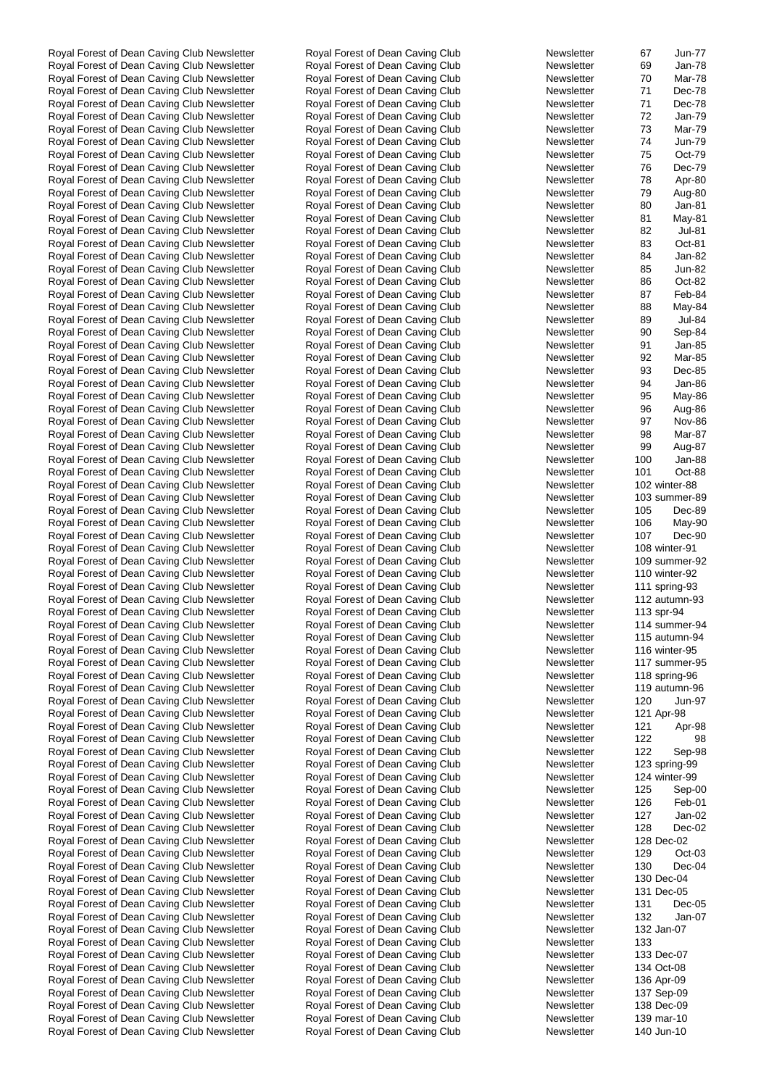Royal Forest of Dean Caving Club Newsletter Royal Forest of Dean Caving Club Newsletter 69 Jan-78 Royal Forest of Dean Caving Club Newsletter Royal Forest of Dean Caving Club Newsletter 70 Mar-78 Royal Forest of Dean Caving Club Newsletter Royal Forest of Dean Caving Club Newsletter 71 Dec-78 Royal Forest of Dean Caving Club Newsletter Royal Forest of Dean Caving Club Newsletter 71 Dec-78 Royal Forest of Dean Caving Club Newsletter Royal Forest of Dean Caving Club Newsletter 72 Jan-79 Royal Forest of Dean Caving Club Newsletter Royal Forest of Dean Caving Club Newsletter 73 Mar-79 Royal Forest of Dean Caving Club Newsletter Royal Forest of Dean Caving Club Newsletter 74 Jun-79 Royal Forest of Dean Caving Club Newsletter Royal Forest of Dean Caving Club Newsletter 75 Oct-79<br>Royal Forest of Dean Caving Club Newsletter Royal Forest of Dean Caving Club Newsletter 76 Dec-79 Royal Forest of Dean Caving Club Newsletter Royal Forest of Dean Caving Club Newsletter 76 Dec-79 Royal Forest of Dean Caving Club Newsletter Royal Forest of Dean Caving Club Newsletter 78 Apr-80 Royal Forest of Dean Caving Club Newsletter Royal Forest of Dean Caving Club Newsletter 79 Aug-80 Royal Forest of Dean Caving Club Newsletter **Royal Forest of Dean Caving Club** Newsletter 80 Jan-81<br>Royal Forest of Dean Caving Club Newsletter Royal Forest of Dean Caving Club Newsletter 81 May-81 Royal Forest of Dean Caving Club Newsletter Royal Forest of Dean Caving Club Newsletter 81 May-81 May-81 May-81 May-81 May-81 May-81 May-81 May-81 May-81 May-81 May-81 May-81 May-81 May-81 May-81 May-81 May-81 May-81 May-8 Royal Forest of Dean Caving Club Newsletter Royal Forest of Dean Caving Club Newsletter 82 Jul-81 Royal Forest of Dean Caving Club Newsletter Royal Forest of Dean Caving Club Newsletter 83 Oct-81 Royal Forest of Dean Caving Club Newsletter Royal Forest of Dean Caving Club Newsletter 84 Jan-82 Royal Forest of Dean Caving Club Newsletter Royal Forest of Dean Caving Club Newsletter 85 Jun-82 Royal Forest of Dean Caving Club Newsletter Royal Forest of Dean Caving Club Newsletter 86 Oct-82 Royal Forest of Dean Caving Club Newsletter Royal Forest of Dean Caving Club Newsletter 87 Feb-84 Royal Forest of Dean Caving Club Newsletter **Royal Forest of Dean Caving Club** Newsletter 88 May-84<br>Royal Forest of Dean Caving Club Newsletter Royal Forest of Dean Caving Club Newsletter 89 Jul-84 Royal Forest of Dean Caving Club Newsletter Royal Forest of Dean Caving Club Newsletter Newsletter 89 Newsletter Royal Forest of Dean Caving Club Newsletter **Royal Forest of Dean Caving Club** Newsletter 90 Sep-84<br>Royal Forest of Dean Caving Club Newsletter Royal Forest of Dean Caving Club Newsletter 91 Jan-85 Royal Forest of Dean Caving Club Newsletter Royal Forest of Dean Caving Club Newsletter Newsletter 91 Newsletter Royal Forest of Dean Caving Club Newsletter Royal Forest of Dean Caving Club Newsletter 92 Mar-85 Royal Forest of Dean Caving Club Newsletter Royal Forest of Dean Caving Club Newsletter 93 Dec-85 Royal Forest of Dean Caving Club Newsletter Royal Forest of Dean Caving Club Newsletter 94 Jan-86 Royal Forest of Dean Caving Club Newsletter Royal Forest of Dean Caving Club Newsletter 95 May-86 Royal Forest of Dean Caving Club Newsletter **Royal Forest of Dean Caving Club** Newsletter 96 Aug-86<br>Royal Forest of Dean Caving Club Newsletter Royal Forest of Dean Caving Club Newsletter 97 Nov-86 Royal Forest of Dean Caving Club Newsletter Royal Forest of Dean Caving Club Newsletter Newsletter 197 November 2008 Royal Forest of Dean Caving Club Newsletter **Royal Forest of Dean Caving Club** Newsletter 98 Mar-87<br>Royal Forest of Dean Caving Club Newsletter Royal Forest of Dean Caving Club Newsletter 99 Aug-87 Royal Forest of Dean Caving Club Newsletter Royal Forest of Dean Caving Club Newsletter Newsletter 9 Royal Forest of Dean Caving Club Newsletter Royal Forest of Dean Caving Club Newsletter 100 Jan-88 Royal Forest of Dean Caving Club Newsletter Royal Forest of Dean Caving Club Newsletter 101 Oct-88 Royal Forest of Dean Caving Club Newsletter Royal Forest of Dean Caving Club Newsletter Royal Forest of Dean Caving Club Newsletter Royal Forest of Dean Caving Club Newsletter 103 summer-89 Royal Forest of Dean Caving Club Newsletter **Royal Forest of Dean Caving Club** Newsletter 105 Dec-89<br>Royal Forest of Dean Caving Club Newsletter Royal Forest of Dean Caving Club Newsletter 106 May-90 Royal Forest of Dean Caving Club Newsletter Royal Forest of Dean Caving Club Newsletter Newsletter 106 May-90 Royal Forest of Dean Caving Club Newsletter Royal Forest of Dean Caving Club Newsletter 107 Dec-90 Royal Forest of Dean Caving Club Newsletter Royal Forest of Dean Caving Club Newsletter Newsletter 108 Winter-Royal Forest of Dean Caving Club Newsletter Royal Forest of Dean Caving Club Newsletter 109 summer-92 Royal Forest of Dean Caving Club Newsletter Royal Forest of Dean Caving Club Newsletter Royal Forest of Dean Caving Club Newsletter Royal Forest of Dean Caving Club Newsletter 111 Royal Forest of Dean Caving Club Newsletter **Royal Forest of Dean Caving Club** Newsletter 112 autumn-93 Royal Forest of Dean Caving Club Newsletter Royal Forest of Dean Caving Club Newsletter Newsletter 113 and 113 spr-Royal Forest of Dean Caving Club Newsletter Royal Forest of Dean Caving Club Newsletter 114 summer-94 Royal Forest of Dean Caving Club Newsletter Royal Forest of Dean Caving Club Newsletter 115 autumn-94 Royal Forest of Dean Caving Club Newsletter Royal Forest of Dean Caving Club Newsletter Royal Forest of Dean Caving Club Newsletter Royal Forest of Dean Caving Club Newsletter 117 summer-95 Royal Forest of Dean Caving Club Newsletter Royal Forest of Dean Caving Club Newsletter Newsletter 118 and 118 spring-Royal Forest of Dean Caving Club Newsletter **Royal Forest of Dean Caving Club** Newsletter 119 autumn-96 Royal Forest of Dean Caving Club Newsletter Royal Forest of Dean Caving Club Newsletter 120 Jun-97 Royal Forest of Dean Caving Club Newsletter Royal Forest of Dean Caving Club Newsletter 121 Apro-Royal Forest of Dean Caving Club Newsletter Royal Forest of Dean Caving Club Newsletter 121 Apr-98 Royal Forest of Dean Caving Club Newsletter Royal Forest of Dean Caving Club Newsletter 122 98 Royal Forest of Dean Caving Club Newsletter Royal Forest of Dean Caving Club Newsletter 122 Sep-98 Royal Forest of Dean Caving Club Newsletter Royal Forest of Dean Caving Club Newsletter Newsletter 123 spring-Royal Forest of Dean Caving Club Newsletter Royal Forest of Dean Caving Club Newsletter Newsletter 124 Winter-Royal Forest of Dean Caving Club Newsletter Royal Forest of Dean Caving Club Newsletter 125 Sep-00 Royal Forest of Dean Caving Club Newsletter Royal Forest of Dean Caving Club Newsletter 126 Feb-01 Royal Forest of Dean Caving Club Newsletter Royal Forest of Dean Caving Club Newsletter 127 Jan-02 Royal Forest of Dean Caving Club Newsletter Royal Forest of Dean Caving Club Newsletter 128 Dec-02 Royal Forest of Dean Caving Club Newsletter Royal Forest of Dean Caving Club Newsletter Newsletter 128 Dec-028 Dec-Royal Forest of Dean Caving Club Newsletter Royal Forest of Dean Caving Club Newsletter 129 Oct-03 Royal Forest of Dean Caving Club Newsletter Royal Forest of Dean Caving Club Newsletter 130 Dec-04 Royal Forest of Dean Caving Club Newsletter **Royal Forest of Dean Caving Club** New Royal Forest of Dean Caving Club Newsletter Royal Forest of Dean Caving Club Newsletter Newsletter 131 Dec-131 Dec-Royal Forest of Dean Caving Club Newsletter Royal Forest of Dean Caving Club Newsletter 131 Dec-05 Royal Forest of Dean Caving Club Newsletter **Royal Forest of Dean Caving Club** Newsletter 132 Jan-07 Royal Forest of Dean Caving Club Newsletter Royal Forest of Dean Caving Club Newsletter 132 Jan-072 Jan-072 Jan-072 Jan-072 Jan-072 Jan-072 Jan-072 Jan-072 Jan-072 Jan-072 Jan-072 Jan-072 Jan-072 Jan-072 Jan-072 Jan-072 Ja Royal Forest of Dean Caving Club Newsletter **Royal Forest of Dean Caving Club** New Royal Forest of Dean Caving Club Newsletter Royal Forest of Dean Caving Club Newsletter Newsletter 133 Royal Forest of Dean Caving Club Newsletter 133 Royal Forest of Dean Caving Club Newsletter 133 Royal Forest of Dean Ca Royal Forest of Dean Caving Club Newsletter Royal Forest of Dean Caving Club Newsletter 134 Oct-084 Oct-084 Oct-084 Oct-084 Oct-084 Oct-084 Oct-084 Oct-084 Oct-084 Oct-084 Oct-084 Oct-084 Oct-084 Oct-084 Oct-084 Oct-084 Oc Royal Forest of Dean Caving Club Newsletter Royal Forest of Dean Caving Club Newsletter 136 Apr-Royal Forest of Dean Caving Club Newsletter Royal Forest of Dean Caving Club Newsletter 137 Newsletter 137 Sep-Royal Forest of Dean Caving Club Newsletter Royal Forest of Dean Caving Club Newsletter 138 Dec-Royal Forest of Dean Caving Club Newsletter Royal Forest of Dean Caving Club Newsletter 139 Mar-100 mar-100 mar-Royal Forest of Dean Caving Club Newsletter Royal Forest of Dean Caving Club Newsletter Newsletter 140 Jun-100 Jun-

Royal Forest of Dean Caving Club Newsletter Royal Forest of Dean Caving Club Newsletter 67 Jun-77

| ewsletter | 67  | Jun-7         |
|-----------|-----|---------------|
| ewsletter | 69  | Jan-7         |
| ewsletter | 70  | Mar-7         |
| ewsletter | 71  | Dec-7         |
| ewsletter | 71  | Dec-7         |
| ewsletter | 72  | Jan-7         |
| ewsletter | 73  | Mar-7         |
| ewsletter | 74  | Jun-7         |
| ewsletter | 75  | Oct-7         |
| ewsletter | 76  | Dec-7         |
| ewsletter | 78  | Apr-8         |
| ewsletter | 79  | Aug-8         |
| ewsletter | 80  | Jan-8         |
| ewsletter | 81  | May-8         |
| ewsletter | 82  | Jul-8         |
| ewsletter | 83  | Oct-8         |
| ewsletter | 84  | Jan-8         |
| ewsletter | 85  | Jun-8         |
| ewsletter | 86  | Oct-8         |
| ewsletter | 87  | Feb-8         |
| ewsletter | 88  | May-8         |
| ewsletter | 89  | Jul-8         |
| ewsletter | 90  | Sep-8         |
| ewsletter | 91  | Jan-8         |
| ewsletter | 92  | Mar-8         |
| ewsletter | 93  | Dec-8         |
| ewsletter | 94  | Jan-8         |
| ewsletter | 95  | May-8         |
| ewsletter | 96  | Aug-8         |
| ewsletter | 97  | Nov-8         |
| ewsletter | 98  | Mar-8         |
| ewsletter | 99  | Aug-8         |
| ewsletter | 100 | Jan-8         |
| ewsletter | 101 | Oct-8         |
| ewsletter |     | 102 winter-88 |
| ewsletter |     | 103 summer-8  |
| ewsletter | 105 | Dec-8         |
| ewsletter | 106 | May-9         |
| ewsletter | 107 | Dec-9         |
| ewsletter |     | 108 winter-91 |
| ewsletter |     | 109 summer-9  |
| ewsletter |     | 110 winter-92 |
| ewsletter | 111 | spring-93     |
| ewsletter |     | 112 autumn-93 |
| ewsletter |     | 113 spr-94    |
| ewsletter |     | 114 summer-9  |
| ewsletter |     | 115 autumn-94 |
| ewsletter |     | 116 winter-95 |
| ewsletter |     | 117 summer-9  |
| ewsletter |     | 118 spring-96 |
| ewsletter |     | 119 autumn-96 |
| ewsletter | 120 | Jun-9         |
| ewsletter |     | 121 Apr-98    |
| ewsletter | 121 | Apr-9         |
| ewsletter | 122 | 9             |
| ewsletter | 122 | Sep-9         |
| ewsletter |     | 123 spring-99 |
| ewsletter |     | 124 winter-99 |
| ewsletter | 125 | Sep-0         |
| ewsletter | 126 | Feb-0         |
| ewsletter | 127 | Jan-0         |
| ewsletter | 128 | Dec-0         |
| ewsletter |     | 128 Dec-02    |
| ewsletter | 129 | $Oct-0$       |
| ewsletter | 130 | Dec-0         |
| ewsletter |     | 130 Dec-04    |
| ewsletter |     | 131 Dec-05    |
| ewsletter | 131 | Dec-0         |
| ewsletter | 132 | Jan-0         |
| ewsletter |     | 132 Jan-07    |
| ewsletter | 133 |               |
| ewsletter |     | 133 Dec-07    |
| ewsletter |     | 134 Oct-08    |
| ewsletter |     | 136 Apr-09    |
| ewsletter |     | 137 Sep-09    |
| ewsletter |     | 138 Dec-09    |
| ewsletter |     | 139 mar-10    |
| awsletter |     | 140 Jun-10    |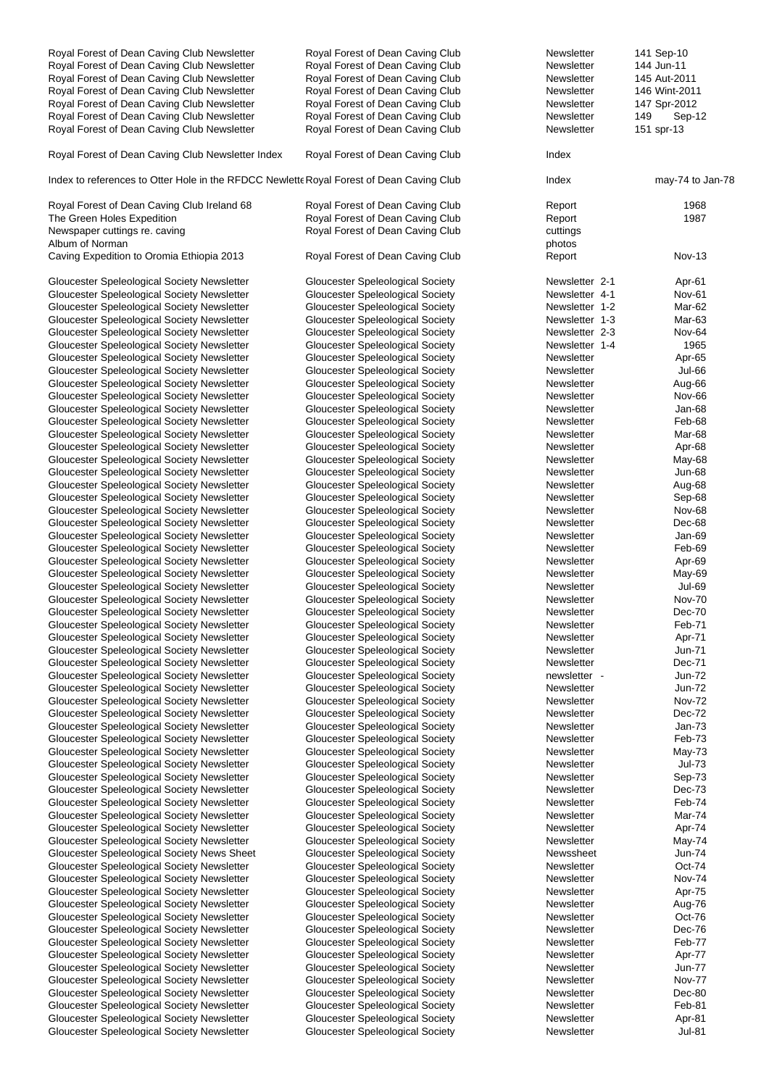| Royal Forest of Dean Caving Club Newsletter                                              | Royal Forest of Dean Caving Club        | Newsletter     | 141 Sep-10       |
|------------------------------------------------------------------------------------------|-----------------------------------------|----------------|------------------|
| Royal Forest of Dean Caving Club Newsletter                                              | Royal Forest of Dean Caving Club        | Newsletter     | 144 Jun-11       |
| Royal Forest of Dean Caving Club Newsletter                                              | Royal Forest of Dean Caving Club        | Newsletter     | 145 Aut-2011     |
| Royal Forest of Dean Caving Club Newsletter                                              | Royal Forest of Dean Caving Club        | Newsletter     | 146 Wint-2011    |
| Royal Forest of Dean Caving Club Newsletter                                              | Royal Forest of Dean Caving Club        | Newsletter     | 147 Spr-2012     |
| Royal Forest of Dean Caving Club Newsletter                                              | Royal Forest of Dean Caving Club        | Newsletter     | 149<br>Sep-12    |
| Royal Forest of Dean Caving Club Newsletter                                              | Royal Forest of Dean Caving Club        | Newsletter     | 151 spr-13       |
|                                                                                          |                                         |                |                  |
| Royal Forest of Dean Caving Club Newsletter Index                                        | Royal Forest of Dean Caving Club        | Index          |                  |
| Index to references to Otter Hole in the RFDCC Newlette Royal Forest of Dean Caving Club |                                         | Index          | may-74 to Jan-78 |
| Royal Forest of Dean Caving Club Ireland 68                                              | Royal Forest of Dean Caving Club        | Report         | 1968             |
| The Green Holes Expedition                                                               | Royal Forest of Dean Caving Club        | Report         | 1987             |
| Newspaper cuttings re. caving                                                            | Royal Forest of Dean Caving Club        | cuttings       |                  |
| Album of Norman                                                                          |                                         | photos         |                  |
| Caving Expedition to Oromia Ethiopia 2013                                                | Royal Forest of Dean Caving Club        | Report         | <b>Nov-13</b>    |
| Gloucester Speleological Society Newsletter                                              | <b>Gloucester Speleological Society</b> | Newsletter 2-1 | Apr-61           |
| Gloucester Speleological Society Newsletter                                              | Gloucester Speleological Society        | Newsletter 4-1 | Nov-61           |
| Gloucester Speleological Society Newsletter                                              | <b>Gloucester Speleological Society</b> | Newsletter 1-2 | Mar-62           |
| Gloucester Speleological Society Newsletter                                              | <b>Gloucester Speleological Society</b> | Newsletter 1-3 | Mar-63           |
| Gloucester Speleological Society Newsletter                                              | <b>Gloucester Speleological Society</b> | Newsletter 2-3 | Nov-64           |
|                                                                                          |                                         |                |                  |
| Gloucester Speleological Society Newsletter                                              | <b>Gloucester Speleological Society</b> | Newsletter 1-4 | 1965             |
| Gloucester Speleological Society Newsletter                                              | <b>Gloucester Speleological Society</b> | Newsletter     | Apr-65           |
| Gloucester Speleological Society Newsletter                                              | Gloucester Speleological Society        | Newsletter     | Jul-66           |
| Gloucester Speleological Society Newsletter                                              | <b>Gloucester Speleological Society</b> | Newsletter     | Aug-66           |
| Gloucester Speleological Society Newsletter                                              | <b>Gloucester Speleological Society</b> | Newsletter     | Nov-66           |
| Gloucester Speleological Society Newsletter                                              | Gloucester Speleological Society        | Newsletter     | Jan-68           |
| Gloucester Speleological Society Newsletter                                              | <b>Gloucester Speleological Society</b> | Newsletter     | Feb-68           |
| Gloucester Speleological Society Newsletter                                              | Gloucester Speleological Society        | Newsletter     | Mar-68           |
| Gloucester Speleological Society Newsletter                                              | <b>Gloucester Speleological Society</b> | Newsletter     | Apr-68           |
| Gloucester Speleological Society Newsletter                                              | Gloucester Speleological Society        | Newsletter     | May-68           |
| Gloucester Speleological Society Newsletter                                              | Gloucester Speleological Society        | Newsletter     | <b>Jun-68</b>    |
| Gloucester Speleological Society Newsletter                                              | <b>Gloucester Speleological Society</b> | Newsletter     | Aug-68           |
| Gloucester Speleological Society Newsletter                                              | <b>Gloucester Speleological Society</b> | Newsletter     | Sep-68           |
| Gloucester Speleological Society Newsletter                                              | Gloucester Speleological Society        | Newsletter     | Nov-68           |
| Gloucester Speleological Society Newsletter                                              | Gloucester Speleological Society        | Newsletter     | Dec-68           |
| Gloucester Speleological Society Newsletter                                              | <b>Gloucester Speleological Society</b> | Newsletter     | Jan-69           |
| Gloucester Speleological Society Newsletter                                              | Gloucester Speleological Society        | Newsletter     | Feb-69           |
| Gloucester Speleological Society Newsletter                                              | <b>Gloucester Speleological Society</b> | Newsletter     | Apr-69           |
| Gloucester Speleological Society Newsletter                                              | Gloucester Speleological Society        | Newsletter     | May-69           |
|                                                                                          |                                         |                |                  |
| Gloucester Speleological Society Newsletter                                              | <b>Gloucester Speleological Society</b> | Newsletter     | <b>Jul-69</b>    |
| Gloucester Speleological Society Newsletter                                              | <b>Gloucester Speleological Society</b> | Newsletter     | <b>Nov-70</b>    |
| Gloucester Speleological Society Newsletter                                              | Gloucester Speleological Society        | Newsletter     | Dec-70           |
| Gloucester Speleological Society Newsletter                                              | Gloucester Speleological Society        | Newsletter     | Feb-71           |
| Gloucester Speleological Society Newsletter                                              | <b>Gloucester Speleological Society</b> | Newsletter     | Apr-71           |
| Gloucester Speleological Society Newsletter                                              | Gloucester Speleological Society        | Newsletter     | <b>Jun-71</b>    |
| Gloucester Speleological Society Newsletter                                              | Gloucester Speleological Society        | Newsletter     | Dec-71           |
| Gloucester Speleological Society Newsletter                                              | <b>Gloucester Speleological Society</b> | newsletter -   | Jun-72           |
| Gloucester Speleological Society Newsletter                                              | <b>Gloucester Speleological Society</b> | Newsletter     | Jun-72           |
| Gloucester Speleological Society Newsletter                                              | Gloucester Speleological Society        | Newsletter     | <b>Nov-72</b>    |
| Gloucester Speleological Society Newsletter                                              | Gloucester Speleological Society        | Newsletter     | Dec-72           |
| Gloucester Speleological Society Newsletter                                              | Gloucester Speleological Society        | Newsletter     | Jan-73           |
| Gloucester Speleological Society Newsletter                                              | <b>Gloucester Speleological Society</b> | Newsletter     | Feb-73           |
| Gloucester Speleological Society Newsletter                                              | Gloucester Speleological Society        | Newsletter     | May-73           |
| Gloucester Speleological Society Newsletter                                              | <b>Gloucester Speleological Society</b> | Newsletter     | <b>Jul-73</b>    |
| Gloucester Speleological Society Newsletter                                              | Gloucester Speleological Society        | Newsletter     | Sep-73           |
| Gloucester Speleological Society Newsletter                                              | Gloucester Speleological Society        | Newsletter     | Dec-73           |
| Gloucester Speleological Society Newsletter                                              | Gloucester Speleological Society        | Newsletter     | Feb-74           |
| Gloucester Speleological Society Newsletter                                              | <b>Gloucester Speleological Society</b> | Newsletter     | Mar-74           |
| Gloucester Speleological Society Newsletter                                              | Gloucester Speleological Society        | Newsletter     | Apr-74           |
| Gloucester Speleological Society Newsletter                                              | Gloucester Speleological Society        | Newsletter     | May-74           |
|                                                                                          |                                         | Newssheet      | <b>Jun-74</b>    |
| Gloucester Speleological Society News Sheet                                              | <b>Gloucester Speleological Society</b> |                |                  |
| Gloucester Speleological Society Newsletter                                              | <b>Gloucester Speleological Society</b> | Newsletter     | Oct-74           |
| Gloucester Speleological Society Newsletter                                              | Gloucester Speleological Society        | Newsletter     | Nov-74           |
| Gloucester Speleological Society Newsletter                                              | Gloucester Speleological Society        | Newsletter     | Apr-75           |
| Gloucester Speleological Society Newsletter                                              | Gloucester Speleological Society        | Newsletter     | Aug-76           |
| Gloucester Speleological Society Newsletter                                              | Gloucester Speleological Society        | Newsletter     | Oct-76           |
| Gloucester Speleological Society Newsletter                                              | Gloucester Speleological Society        | Newsletter     | Dec-76           |
| Gloucester Speleological Society Newsletter                                              | Gloucester Speleological Society        | Newsletter     | Feb-77           |
| Gloucester Speleological Society Newsletter                                              | <b>Gloucester Speleological Society</b> | Newsletter     | Apr-77           |
| Gloucester Speleological Society Newsletter                                              | Gloucester Speleological Society        | Newsletter     | <b>Jun-77</b>    |
| Gloucester Speleological Society Newsletter                                              | Gloucester Speleological Society        | Newsletter     | Nov-77           |
| Gloucester Speleological Society Newsletter                                              | Gloucester Speleological Society        | Newsletter     | Dec-80           |
| Gloucester Speleological Society Newsletter                                              | <b>Gloucester Speleological Society</b> | Newsletter     | Feb-81           |
| Gloucester Speleological Society Newsletter                                              | Gloucester Speleological Society        | Newsletter     | Apr-81           |
| Gloucester Speleological Society Newsletter                                              | Gloucester Speleological Society        | Newsletter     | <b>Jul-81</b>    |
|                                                                                          |                                         |                |                  |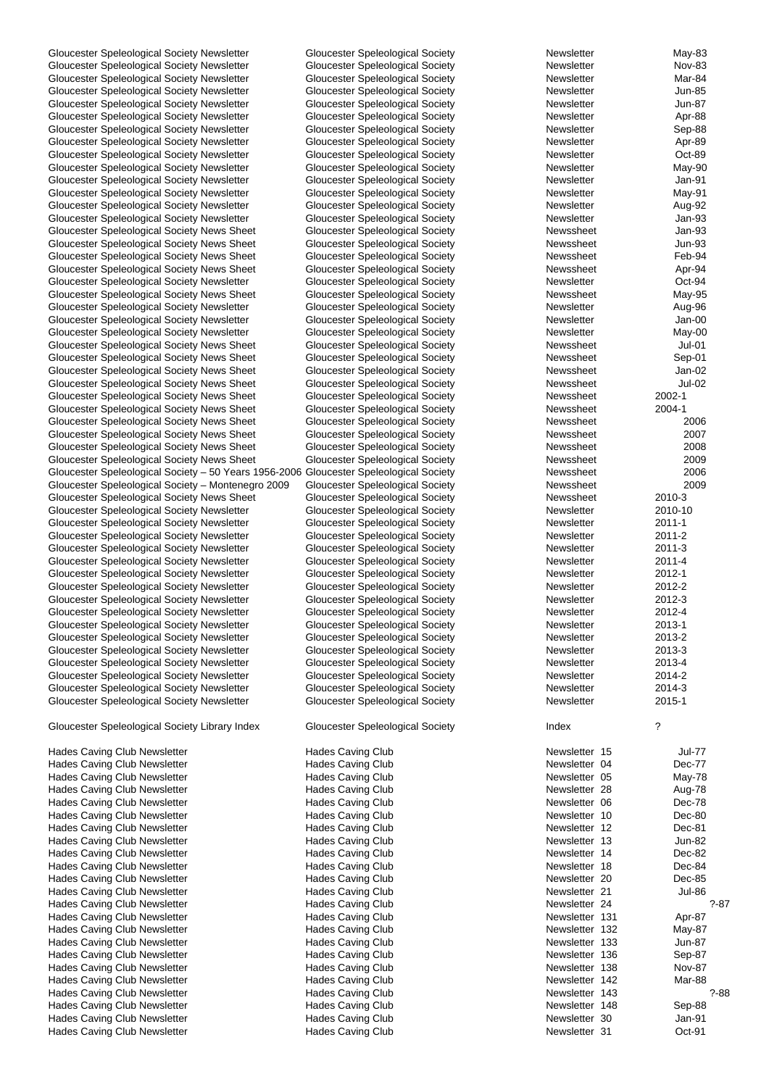| Gloucester Speleological Society Newsletter                                            | <b>Gloucester Speleological Society</b> | Newsletter     | May-83        |
|----------------------------------------------------------------------------------------|-----------------------------------------|----------------|---------------|
| Gloucester Speleological Society Newsletter                                            | <b>Gloucester Speleological Society</b> | Newsletter     | <b>Nov-83</b> |
| Gloucester Speleological Society Newsletter                                            | <b>Gloucester Speleological Society</b> | Newsletter     | Mar-84        |
|                                                                                        |                                         |                |               |
| Gloucester Speleological Society Newsletter                                            | <b>Gloucester Speleological Society</b> | Newsletter     | Jun-85        |
| Gloucester Speleological Society Newsletter                                            | Gloucester Speleological Society        | Newsletter     | <b>Jun-87</b> |
| Gloucester Speleological Society Newsletter                                            | <b>Gloucester Speleological Society</b> | Newsletter     | Apr-88        |
| Gloucester Speleological Society Newsletter                                            | Gloucester Speleological Society        | Newsletter     | Sep-88        |
|                                                                                        |                                         |                |               |
| Gloucester Speleological Society Newsletter                                            | Gloucester Speleological Society        | Newsletter     | Apr-89        |
| Gloucester Speleological Society Newsletter                                            | Gloucester Speleological Society        | Newsletter     | Oct-89        |
| Gloucester Speleological Society Newsletter                                            | Gloucester Speleological Society        | Newsletter     | May-90        |
|                                                                                        |                                         |                |               |
| Gloucester Speleological Society Newsletter                                            | <b>Gloucester Speleological Society</b> | Newsletter     | Jan-91        |
| Gloucester Speleological Society Newsletter                                            | Gloucester Speleological Society        | Newsletter     | May-91        |
| Gloucester Speleological Society Newsletter                                            | Gloucester Speleological Society        | Newsletter     | Aug-92        |
|                                                                                        |                                         |                |               |
| Gloucester Speleological Society Newsletter                                            | <b>Gloucester Speleological Society</b> | Newsletter     | Jan-93        |
| Gloucester Speleological Society News Sheet                                            | Gloucester Speleological Society        | Newssheet      | Jan-93        |
| Gloucester Speleological Society News Sheet                                            | <b>Gloucester Speleological Society</b> | Newssheet      | <b>Jun-93</b> |
| Gloucester Speleological Society News Sheet                                            | <b>Gloucester Speleological Society</b> | Newssheet      | Feb-94        |
|                                                                                        |                                         |                |               |
| Gloucester Speleological Society News Sheet                                            | Gloucester Speleological Society        | Newssheet      | Apr-94        |
| Gloucester Speleological Society Newsletter                                            | <b>Gloucester Speleological Society</b> | Newsletter     | Oct-94        |
| Gloucester Speleological Society News Sheet                                            | Gloucester Speleological Society        | Newssheet      | May-95        |
|                                                                                        |                                         |                |               |
| Gloucester Speleological Society Newsletter                                            | <b>Gloucester Speleological Society</b> | Newsletter     | Aug-96        |
| Gloucester Speleological Society Newsletter                                            | <b>Gloucester Speleological Society</b> | Newsletter     | Jan-00        |
| Gloucester Speleological Society Newsletter                                            | <b>Gloucester Speleological Society</b> | Newsletter     | May-00        |
|                                                                                        |                                         |                |               |
| Gloucester Speleological Society News Sheet                                            | <b>Gloucester Speleological Society</b> | Newssheet      | Jul-01        |
| Gloucester Speleological Society News Sheet                                            | <b>Gloucester Speleological Society</b> | Newssheet      | Sep-01        |
| Gloucester Speleological Society News Sheet                                            | Gloucester Speleological Society        | Newssheet      | Jan-02        |
| Gloucester Speleological Society News Sheet                                            | <b>Gloucester Speleological Society</b> |                | <b>Jul-02</b> |
|                                                                                        |                                         | Newssheet      |               |
| Gloucester Speleological Society News Sheet                                            | Gloucester Speleological Society        | Newssheet      | 2002-1        |
| Gloucester Speleological Society News Sheet                                            | Gloucester Speleological Society        | Newssheet      | 2004-1        |
| Gloucester Speleological Society News Sheet                                            | Gloucester Speleological Society        | Newssheet      | 2006          |
|                                                                                        |                                         |                |               |
| Gloucester Speleological Society News Sheet                                            | <b>Gloucester Speleological Society</b> | Newssheet      | 2007          |
| Gloucester Speleological Society News Sheet                                            | Gloucester Speleological Society        | Newssheet      | 2008          |
| Gloucester Speleological Society News Sheet                                            | Gloucester Speleological Society        | Newssheet      | 2009          |
|                                                                                        |                                         |                |               |
| Gloucester Speleological Society - 50 Years 1956-2006 Gloucester Speleological Society |                                         | Newssheet      | 2006          |
| Gloucester Speleological Society - Montenegro 2009                                     | <b>Gloucester Speleological Society</b> | Newssheet      | 2009          |
| Gloucester Speleological Society News Sheet                                            | Gloucester Speleological Society        | Newssheet      | 2010-3        |
|                                                                                        |                                         |                |               |
| Gloucester Speleological Society Newsletter                                            | Gloucester Speleological Society        | Newsletter     | 2010-10       |
| Gloucester Speleological Society Newsletter                                            | Gloucester Speleological Society        | Newsletter     | 2011-1        |
| Gloucester Speleological Society Newsletter                                            | Gloucester Speleological Society        | Newsletter     | 2011-2        |
| Gloucester Speleological Society Newsletter                                            | Gloucester Speleological Society        | Newsletter     | 2011-3        |
|                                                                                        |                                         |                |               |
| Gloucester Speleological Society Newsletter                                            | Gloucester Speleological Society        | Newsletter     | 2011-4        |
| Gloucester Speleological Society Newsletter                                            | <b>Gloucester Speleological Society</b> | Newsletter     | 2012-1        |
| Gloucester Speleological Society Newsletter                                            | <b>Gloucester Speleological Society</b> | Newsletter     | 2012-2        |
|                                                                                        |                                         |                |               |
| Gloucester Speleological Society Newsletter                                            | Gloucester Speleological Society        | Newsletter     | 2012-3        |
| Gloucester Speleological Society Newsletter                                            | Gloucester Speleological Society        | Newsletter     | 2012-4        |
| Gloucester Speleological Society Newsletter                                            | <b>Gloucester Speleological Society</b> | Newsletter     | 2013-1        |
|                                                                                        |                                         |                |               |
| Gloucester Speleological Society Newsletter                                            | <b>Gloucester Speleological Society</b> | Newsletter     | 2013-2        |
| Gloucester Speleological Society Newsletter                                            | <b>Gloucester Speleological Society</b> | Newsletter     | 2013-3        |
| Gloucester Speleological Society Newsletter                                            | Gloucester Speleological Society        | Newsletter     | 2013-4        |
| Gloucester Speleological Society Newsletter                                            | Gloucester Speleological Society        | Newsletter     | 2014-2        |
|                                                                                        |                                         |                |               |
| Gloucester Speleological Society Newsletter                                            | <b>Gloucester Speleological Society</b> | Newsletter     | 2014-3        |
| Gloucester Speleological Society Newsletter                                            | <b>Gloucester Speleological Society</b> | Newsletter     | 2015-1        |
|                                                                                        |                                         |                |               |
| Gloucester Speleological Society Library Index                                         | <b>Gloucester Speleological Society</b> | Index          | ?             |
|                                                                                        |                                         |                |               |
|                                                                                        |                                         |                |               |
| <b>Hades Caving Club Newsletter</b>                                                    | <b>Hades Caving Club</b>                | Newsletter 15  | Jul-77        |
| Hades Caving Club Newsletter                                                           | <b>Hades Caving Club</b>                | Newsletter 04  | Dec-77        |
|                                                                                        |                                         |                |               |
| Hades Caving Club Newsletter                                                           | <b>Hades Caving Club</b>                | Newsletter 05  | May-78        |
| Hades Caving Club Newsletter                                                           | <b>Hades Caving Club</b>                | Newsletter 28  | Aug-78        |
| Hades Caving Club Newsletter                                                           | <b>Hades Caving Club</b>                | Newsletter 06  | Dec-78        |
|                                                                                        |                                         | Newsletter 10  | Dec-80        |
| <b>Hades Caving Club Newsletter</b>                                                    | <b>Hades Caving Club</b>                |                |               |
| Hades Caving Club Newsletter                                                           | <b>Hades Caving Club</b>                | Newsletter 12  | Dec-81        |
| Hades Caving Club Newsletter                                                           | <b>Hades Caving Club</b>                | Newsletter 13  | <b>Jun-82</b> |
|                                                                                        |                                         |                |               |
| <b>Hades Caving Club Newsletter</b>                                                    | <b>Hades Caving Club</b>                | Newsletter 14  | Dec-82        |
| Hades Caving Club Newsletter                                                           | <b>Hades Caving Club</b>                | Newsletter 18  | Dec-84        |
| Hades Caving Club Newsletter                                                           | <b>Hades Caving Club</b>                | Newsletter 20  | Dec-85        |
| Hades Caving Club Newsletter                                                           | <b>Hades Caving Club</b>                | Newsletter 21  | <b>Jul-86</b> |
|                                                                                        |                                         |                |               |
| Hades Caving Club Newsletter                                                           | <b>Hades Caving Club</b>                | Newsletter 24  | $? - 87$      |
| Hades Caving Club Newsletter                                                           | <b>Hades Caving Club</b>                | Newsletter 131 | Apr-87        |
| Hades Caving Club Newsletter                                                           | <b>Hades Caving Club</b>                | Newsletter 132 | May-87        |
|                                                                                        |                                         |                |               |
| Hades Caving Club Newsletter                                                           | <b>Hades Caving Club</b>                | Newsletter 133 | Jun-87        |
| <b>Hades Caving Club Newsletter</b>                                                    | <b>Hades Caving Club</b>                | Newsletter 136 | Sep-87        |
| Hades Caving Club Newsletter                                                           | <b>Hades Caving Club</b>                | Newsletter 138 | <b>Nov-87</b> |
|                                                                                        |                                         |                |               |
| Hades Caving Club Newsletter                                                           | <b>Hades Caving Club</b>                | Newsletter 142 | Mar-88        |
| Hades Caving Club Newsletter                                                           | <b>Hades Caving Club</b>                | Newsletter 143 | $7 - 88$      |
| Hades Caving Club Newsletter                                                           | <b>Hades Caving Club</b>                | Newsletter 148 | Sep-88        |
| Hades Caving Club Newsletter                                                           | <b>Hades Caving Club</b>                | Newsletter 30  | Jan-91        |
|                                                                                        |                                         |                |               |
| Hades Caving Club Newsletter                                                           | Hades Caving Club                       | Newsletter 31  | Oct-91        |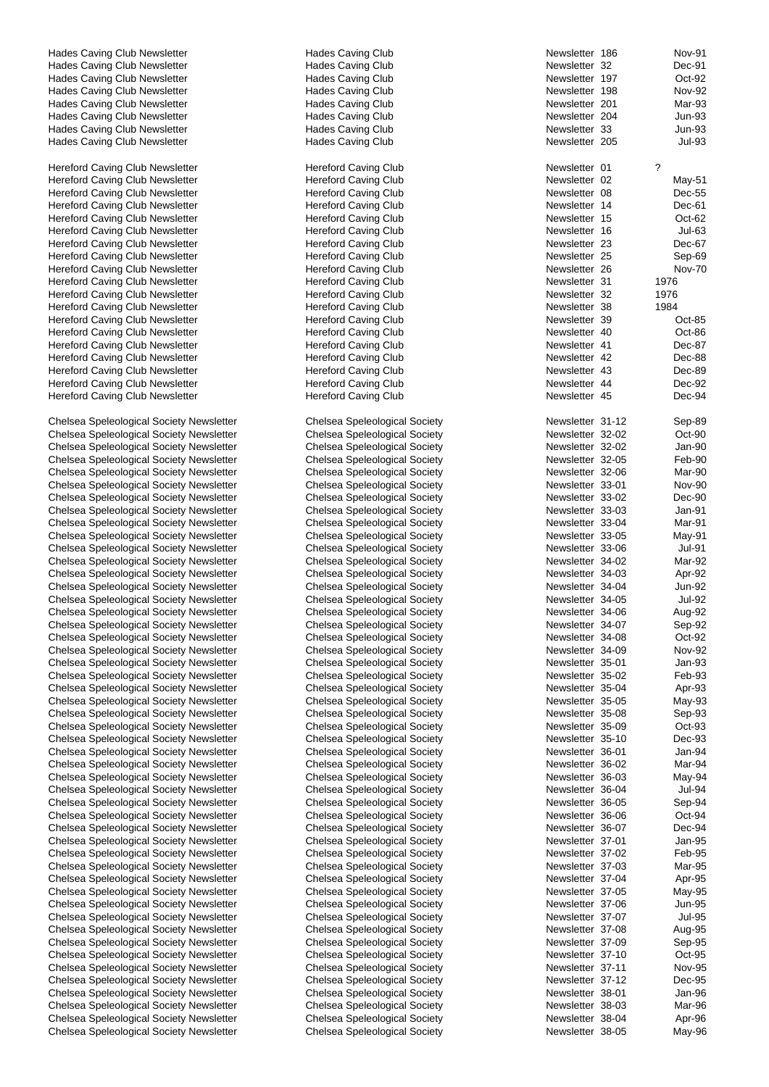Hades Caving Club Newsletter **Hades Caving Club** Newsletter **186 Nov-912 Nov-912** Hades Caving Club Hades Caving Club Newsletter **Hades Caving Club** Hades Caving Club Hades Caving Club Newsletter **Hades Caving Club** Hades Caving Club Hades Caving Club Newsletter **Hades Caving Club** Newsletter 198 Nov-92 Hades Caving Club Newsletter **Hades Caving Club** Hades Caving Club Hades Caving Club Newsletter **Hades Caving Club** Hades Caving Club Hades Caving Club Newsletter **Hades Caving Club** Newsletter 33 Hades Caving Club Newsletter **Hades Caving Club** Hereford Caving Club Newsletter **Hereford Caving Club** Hereford Caving Club Hereford Caving Club Newsletter **Hereford Caving Club** Hereford Caving Club Hereford Caving Club Newsletter Hereford Caving Club Hereford Caving Club Newsletter **Hereford Caving Club Newsletter** Hereford Caving Club Hereford Caving Club Hereford Caving Club Newsletter Hereford Caving Club Newsletter Hereford Caving Club-Hereford Caving Club Newsletter **Hereford Caving Club** Hereford Caving Club Hereford Caving Club Newsletter **Hereford Caving Club** Hereford Caving Club Hereford Caving Club Newsletter Hereford Caving Club Hereford Caving Club Newsletter **Hereford Caving Club** Hereford Caving Club Hereford Caving Club Newsletter Hereford Caving Club Hereford Caving Club Newsletter <br>
Hereford Caving Club Newsletter **Hereford Caving Club** Hereford Caving Club Hereford Caving Club Newsletter Hereford Caving Club Newsletter <br>
Hereford Caving Club Newsletter **Hereford Caving Club** Hereford Caving Club Hereford Caving Club Newsletter Hereford Caving Club Newsletter <br>
Hereford Caving Club Newsletter **Access 12 Hereford Caving Club**<br>
Hereford Caving Club Hereford Caving Club Newsletter Hereford Caving Club Newsletter **Hereford Caving Club** Hereford Caving Club Hereford Caving Club Newsletter Hereford Caving Club Chelsea Speleological Society Newsletter Chelsea Speleological Society Chelsea Speleological Society Newsletter **Chelsea Speleological Society**<br>Chelsea Speleological Society Newsletter **32-2 Oct-902 Oct-902 Chelsea Speleological Society** Chelsea Speleological Society Newsletter Chelsea Speleological Society Newsletter Chelsea Speleological Society Chelsea Speleological Society Newsletter Chelsea Speleological Society Chelsea Speleological Society Newsletter Chelsea Speleological Society Chelsea Speleological Society Newsletter **Chelsea Speleological Society** Chelsea Speleological Society Newsletter Chelsea Speleological Society Chelsea Speleological Society Newsletter **Chelsea Speleological Society** Chelsea Speleological Society Newsletter Chelsea Speleological Society Chelsea Speleological Society Newsletter **Chelsea Speleological Society** Chelsea Speleological Society Chelsea Speleological Society Newsletter Chelsea Speleological Society Chelsea Speleological Society Newsletter Chelsea Speleological Society Chelsea Speleological Society Newsletter Chelsea Speleological Society Chelsea Speleological Society Newsletter Chelsea Speleological Society Chelsea Speleological Society Newsletter Chelsea Speleological Society Chelsea Speleological Society Newsletter Chelsea Speleological Society Chelsea Speleological Society Newsletter Chelsea Speleological Society Chelsea Speleological Society Newsletter **Chelsea Speleological Society** Chelsea Speleological Society Chelsea Speleological Society Newsletter Chelsea Speleological Society Chelsea Speleological Society Newsletter Chelsea Speleological Society Chelsea Speleological Society Newsletter **Chelsea Speleological Society** Chelsea Apr-Chelsea Speleological Society Newsletter **Chelsea Speleological Society** Newsletter 35-05 May-93-05 May-93-05 May-93-05 May-93-05 May-93-05 May-93-05 May-93-05 May-93-05 May-93-05 May-93-05 May-93-05 May-93-05 May-93-05 Ma Chelsea Speleological Society Newsletter Chelsea Speleological Society Chelsea Speleological Society Newsletter Chelsea Speleological Society Chelsea Speleological Society Newsletter **Chelsea Speleological Society**<br>Chelsea Speleological Society Newsletter **35-10 Dec-23-20 Decretter** Chelsea Speleological Society Chelsea Speleological Society Newsletter Chelsea Speleological Society Newsletter Chelsea Speleological Society Chelsea Speleological Society Newsletter Chelsea Speleological Society Chelsea Speleological Society Newsletter **Chelsea Speleological Society** Chelsea Speleological Society Chelsea Speleological Society Newsletter Chelsea Speleological Society Chelsea Speleological Society Newsletter Chelsea Speleological Society Chelsea Speleological Society Newsletter **Chelsea Speleological Society** Chelsea Speleological Society Newsletter Chelsea Speleological Society Chelsea Speleological Society Newsletter Chelsea Speleological Society Chelsea Speleological Society Newsletter Chelsea Speleological Society Chelsea Speleological Society Newsletter Chelsea Speleological Society Chelsea Speleological Society Newsletter Chelsea Speleological Society Chelsea Speleological Society Newsletter **Chelsea Speleological Society** Chelsea Speleological Society Newsletter **Chelsea Speleological Society** Newsletter Chelsea Speleological Society Newsletter Chelsea Speleological Society Chelsea Speleological Society Newsletter **Chelsea Speleological Society** Chelsea Speleological Society Chelsea Speleological Society Newsletter **Chelsea Speleological Society**<br>Chelsea Speleological Society Newsletter **37-10 Oct-25-20 Oct-95-20 Oct-95-20** Oct-95-20 Oct-95-20 Oct-95-20 Oct-Chelsea Speleological Society Newsletter Chelsea Speleological Society Newsletter Chelsea Speleological Society Chelsea Speleological Society Newsletter Chelsea Speleological Society Chelsea Speleological Society Newsletter **Chelsea Speleological Society** Chelsea Speleological Society Newsletter **Chelsea Speleological Society** Newsletter 38-04 Apr-96

Chelsea Speleological Society Newsletter Chelsea Speleological Society

| Newsletter               | 186            | Nov-91                  |
|--------------------------|----------------|-------------------------|
| Newsletter<br>Newsletter | 32<br>197      | Dec-91<br>Oct-92        |
| Newsletter               | 198            | Nov-92                  |
| Newsletter               | 201            | Mar-93                  |
| Newsletter               | 204            | Jun-93                  |
| Newsletter               | 33             | <b>Jun-93</b>           |
| Newsletter               | 205            | <b>Jul-93</b>           |
| Newsletter               | 01             | ?                       |
| Newsletter               | 02             | May-51                  |
| Newsletter               | 08             | Dec-55                  |
| Newsletter               | 14             | Dec-61                  |
| Newsletter<br>Newsletter | 15<br>16       | Oct-62<br>Jul-63        |
| Newsletter               | 23             | Dec-67                  |
| Newsletter               | 25             | Sep-69                  |
| Newsletter               | 26             | <b>Nov-70</b>           |
| Newsletter               | 31             | 1976                    |
| Newsletter<br>Newsletter | 32<br>38       | 1976<br>1984            |
| Newsletter               | 39             | Oct-85                  |
| Newsletter               | 40             | Oct-86                  |
| Newsletter               | 41             | Dec-87                  |
| Newsletter               | 42             | Dec-88                  |
| Newsletter<br>Newsletter | 43<br>44       | Dec-89<br>Dec-92        |
| Newsletter               | 45             | Dec-94                  |
|                          |                |                         |
| Newsletter               | 31-12          | Sep-89                  |
| Newsletter               | 32-02          | Oct-90                  |
| Newsletter<br>Newsletter | 32-02<br>32-05 | Jan-90<br>Feb-90        |
| Newsletter               | 32-06          | Mar-90                  |
| Newsletter               | 33-01          | Nov-90                  |
| Newsletter               | 33-02          | Dec-90                  |
| Newsletter               | 33-03          | Jan-91                  |
| Newsletter<br>Newsletter | 33-04<br>33-05 | Mar-91<br>May-91        |
| Newsletter               | 33-06          | <b>Jul-91</b>           |
| Newsletter               | 34-02          | Mar-92                  |
| Newsletter               | 34-03          | Apr-92                  |
| Newsletter               | 34-04          | Jun-92                  |
| Newsletter<br>Newsletter | 34-05<br>34-06 | <b>Jul-92</b><br>Aug-92 |
| Newsletter               | 34-07          | Sep-92                  |
| Newsletter               | 34-08          | Oct-92                  |
| Newsletter               | 34-09          | <b>Nov-92</b>           |
| Newsletter               | 35-01<br>35-02 | Jan-93                  |
| Newsletter<br>Newsletter | 35-04          | Feb-93<br>Apr-93        |
| Newsletter               | 35-05          | May-93                  |
| Newsletter               | 35-08          | Sep-93                  |
| Newsletter               | 35-09          | Oct-93                  |
| Newsletter               | 35-10          | Dec-93                  |
| Newsletter<br>Newsletter | 36-01<br>36-02 | Jan-94<br>Mar-94        |
| Newsletter               | 36-03          | May-94                  |
| Newsletter               | 36-04          | Jul-94                  |
| Newsletter               | 36-05          | Sep-94                  |
| Newsletter               | 36-06          | Oct-94                  |
| Newsletter<br>Newsletter | 36-07<br>37-01 | Dec-94<br>Jan-95        |
| Newsletter               | 37-02          | Feb-95                  |
| Newsletter               | 37-03          | Mar-95                  |
| Newsletter               | 37-04          | Apr-95                  |
| Newsletter               | 37-05          | May-95                  |
| Newsletter<br>Newsletter | 37-06<br>37-07 | Jun-95<br>Jul-95        |
| Newsletter               | 37-08          | Aug-95                  |
| Newsletter               | 37-09          | Sep-95                  |
| Newsletter               | $37-10$        | Oct-95                  |
| Newsletter               | $37 - 11$      | Nov-95                  |
| Newsletter<br>Newsletter | 37-12<br>38-01 | Dec-95<br>Jan-96        |
| Newsletter               | 38-03          | Mar-96                  |
| Newsletter               | 38-04          | Apr-96                  |
| Newsletter               | 38-05          | May-96                  |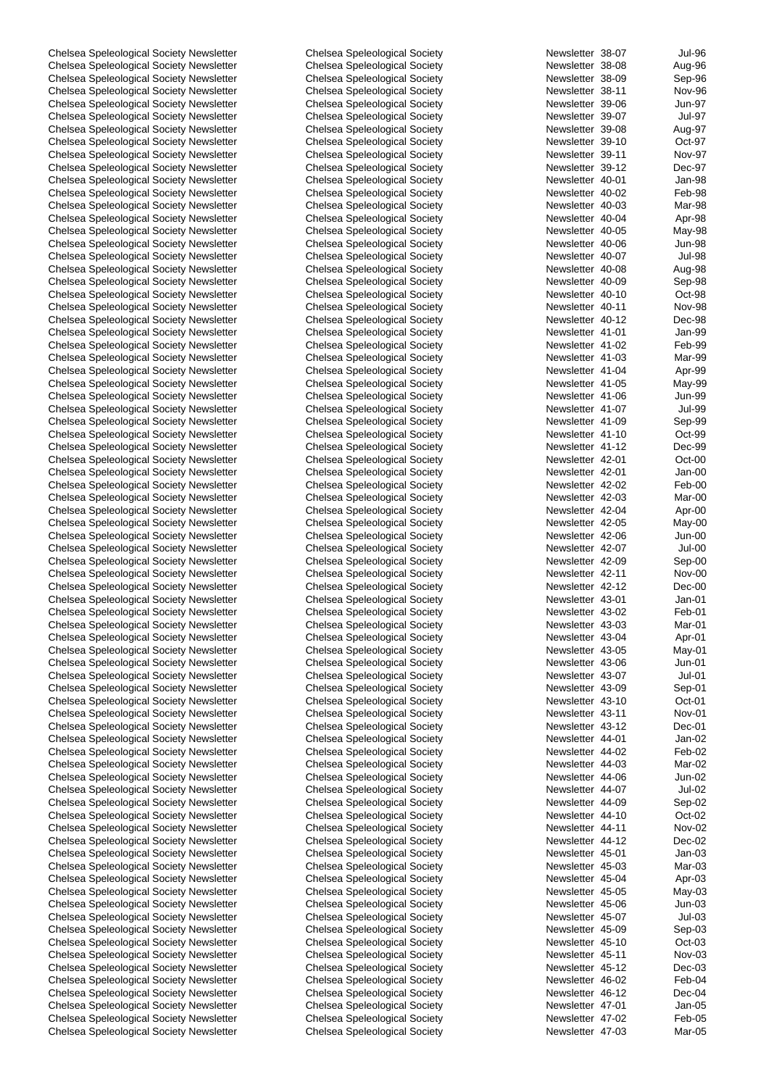Chelsea Speleological Society Newsletter **Chelsea Speleological Society** Chelsea Speleological Society Newsletter **Chelsea Speleological Society** Chelsea August 28-08 Chelsea Speleological Society Newsletter Chelsea Speleological Society Chelsea Speleological Society Newsletter Chelsea Speleological Society Chelsea Speleological Society Newsletter Chelsea Speleological Society Chelsea Speleological Society Newsletter **Chelsea Speleological Society** Newsletter 39-07 Dub-97 Chelsea Speleological Society Newsletter **Chelsea Speleological Society** Chelsea Speleological Society Newsletter **Chelsea Speleological Society** Chelsea Speleological Society Chelsea Speleological Society Newsletter Chelsea Speleological Society Chelsea Speleological Society Newsletter **Chelsea Speleological Society** Chelsea Speleological Society Newsletter **Chelsea Speleological Society** Newsletter 40-01 Access Chelsea Speleological Society Chelsea Speleological Society Newsletter Chelsea Speleological Society Chelsea Speleological Society Newsletter Chelsea Speleological Society Chelsea Speleological Society Newsletter Chelsea Speleological Society Chelsea Speleological Society Newsletter Chelsea Speleological Society Chelsea Speleological Society Newsletter **Chelsea Speleological Society** Chelsea Chelsea Speleological Society Chelsea Speleological Society Newsletter Chelsea Speleological Society Chelsea Speleological Society Newsletter **Chelsea Speleological Society** Chelsea Speleological Society Newsletter Chelsea Speleological Society Chelsea Speleological Society Newsletter Chelsea Speleological Society Chelsea Speleological Society Newsletter Chelsea Speleological Society Chelsea Speleological Society Newsletter Chelsea Speleological Society Chelsea Speleological Society Newsletter Chelsea Speleological Society<br>Chelsea Speleological Society Newsletter 41-01 Dansen Chelsea Speleological Society Chelsea Speleological Society Newsletter Chelsea Speleological Society Newsletter Chelsea Speleological Society Chelsea Speleological Society Newsletter Chelsea Speleological Society Chelsea Speleological Society Newsletter Chelsea Speleological Society Chelsea Speleological Society Newsletter **Chelsea Speleological Society** Newsletter Chelsea Speleological Society Newsletter Chelsea Speleological Society Chelsea Speleological Society Newsletter Chelsea Speleological Society Chelsea Speleological Society Newsletter Chelsea Speleological Society Chelsea Speleological Society Newsletter **Chelsea Speleological Society** Chelsea Speleological Society Newsletter Chelsea Speleological Society Chelsea Speleological Society Newsletter Chelsea Speleological Society Chelsea Speleological Society Newsletter Chelsea Speleological Society Chelsea Speleological Society Newsletter Chelsea Speleological Society Chelsea Speleological Society Newsletter Chelsea Speleological Society Chelsea Speleological Society Newsletter **Chelsea Speleological Society** Chelsea Speleological Society Chelsea Speleological Society Newsletter Chelsea Speleological Society Chelsea Speleological Society Newsletter **Chelsea Speleological Society** Chelsea Chelsea Speleological Society Chelsea Speleological Society Newsletter Chelsea Speleological Society Chelsea Speleological Society Newsletter **Chelsea Speleological Society** Chelsea Speleological Society Newsletter Chelsea Speleological Society Chelsea Speleological Society Newsletter Chelsea Speleological Society Chelsea Speleological Society Newsletter Chelsea Speleological Society Chelsea Speleological Society Newsletter Chelsea Speleological Society Chelsea Speleological Society Newsletter Chelsea Speleological Society Chelsea Speleological Society Newsletter **Chelsea Speleological Society** Chelsea Speleological Society Newsletter **Chelsea Speleological Society** Chelsea Speleological Society Newsletter Chelsea Speleological Society Chelsea Speleological Society Newsletter **Chelsea Speleological Society** Chelsea Speleological Society Chelsea Speleological Society Newsletter Chelsea Speleological Society Chelsea Speleological Society Newsletter Chelsea Speleological Society Chelsea Speleological Society Newsletter Chelsea Speleological Society Chelsea Speleological Society Newsletter Chelsea Speleological Society Chelsea Speleological Society Newsletter **Chelsea Speleological Society** Chelsea Speleological Society Newsletter Chelsea Speleological Society Chelsea Speleological Society Newsletter Chelsea Speleological Society Chelsea Speleological Society Newsletter **Chelsea Speleological Society** Chelsea Appleological Society Chelsea Speleological Society Newsletter **Chelsea Speleological Society** Chelsea Speleological Society Newsletter Chelsea Speleological Society Chelsea Speleological Society Newsletter **Chelsea Speleological Society** Chelsea Speleological Society Newsletter Chelsea Speleological Society Chelsea Speleological Society Newsletter Chelsea Speleological Society Chelsea Speleological Society Newsletter Chelsea Speleological Society Chelsea Speleological Society Newsletter **Chelsea Speleological Society** Chelsea Apr-Chelsea Speleological Society Newsletter Chelsea Speleological Society Chelsea Speleological Society Newsletter **Chelsea Speleological Society** Chelsea Speleological Society Newsletter **Chelsea Speleological Society** Newsletter Chelsea Speleological Society Newsletter **Chelsea Speleological Society** Chelsea Speleological Society Newsletter **Chelsea Speleological Society** Chelsea Speleological Society Newsletter Chelsea Speleological Society Chelsea Speleological Society Newsletter Chelsea Speleological Society Chelsea Speleological Society Newsletter Chelsea Speleological Society Chelsea Speleological Society Newsletter Chelsea Speleological Society Chelsea Speleological Society Newsletter **Chelsea Speleological Society** Chelsea Speleological Society Newsletter **Chelsea Speleological Society** Chelsea Speleological Society Newsletter Chelsea Speleological Society

| Newsletter | 38-07     | Jul-96        |
|------------|-----------|---------------|
| Newsletter | 38-08     | Aug-96        |
| Newsletter | 38-09     | Sep-96        |
| Newsletter | 38-11     | Nov-96        |
| Newsletter | 39-06     | Jun-97        |
|            |           |               |
| Newsletter | 39-07     | Jul-97        |
| Newsletter | 39-08     | Aug-97        |
| Newsletter | 39-10     | Oct-97        |
| Newsletter | 39-11     | Nov-97        |
| Newsletter | 39-12     | Dec-97        |
| Newsletter | 40-01     |               |
|            |           | Jan-98        |
| Newsletter | 40-02     | Feb-98        |
| Newsletter | 40-03     | Mar-98        |
| Newsletter | 40-04     | Apr-98        |
| Newsletter | 40-05     | May-98        |
| Newsletter | 40-06     | Jun-98        |
| Newsletter | 40-07     | Jul-98        |
| Newsletter |           |               |
|            | 40-08     | Aug-98        |
| Newsletter | 40-09     | Sep-98        |
| Newsletter | 40-10     | Oct-98        |
| Newsletter | $40 - 11$ | Nov-98        |
| Newsletter | 40-12     | Dec-98        |
| Newsletter | 41-01     | Jan-99        |
| Newsletter | 41-02     | Feb-99        |
|            |           |               |
| Newsletter | 41-03     | Mar-99        |
| Newsletter | 41-04     | Apr-99        |
| Newsletter | 41-05     | May-99        |
| Newsletter | 41-06     | <b>Jun-99</b> |
| Newsletter | 41-07     | Jul-99        |
| Newsletter | 41-09     | Sep-99        |
| Newsletter | $41 - 10$ | Oct-99        |
|            |           |               |
| Newsletter | $41 - 12$ | Dec-99        |
| Newsletter | 42-01     | Oct-00        |
| Newsletter | 42-01     | Jan-00        |
| Newsletter | 42-02     | Feb-00        |
| Newsletter | 42-03     | Mar-00        |
| Newsletter | 42-04     | Apr-00        |
| Newsletter |           |               |
|            | 42-05     | May-00        |
| Newsletter | 42-06     | Jun-00        |
| Newsletter | 42-07     | Jul-00        |
| Newsletter | 42-09     | Sep-00        |
| Newsletter | 42-11     | Nov-00        |
| Newsletter | 42-12     | Dec-00        |
| Newsletter | 43-01     | Jan-01        |
| Newsletter | 43-02     |               |
|            |           | Feb-01        |
| Newsletter | 43-03     | Mar-01        |
| Newsletter | 43-04     | Apr-01        |
| Newsletter | 43-05     | May-01        |
| Newsletter | 43-06     | Jun-01        |
| Newsletter | 43-07     | Jul-01        |
| Newsletter | 43-09     | Sep-01        |
|            |           |               |
| Newsletter | 43-10     | Oct-01        |
| Newsletter | 43-11     | Nov-01        |
| Newsletter | 43-12     | Dec-01        |
| Newsletter | 44-01     | Jan-02        |
| Newsletter | 44-02     | Feb-02        |
| Newsletter | 44-03     | Mar-02        |
| Newsletter | 44-06     | Jun-02        |
| Newsletter |           | <b>Jul-02</b> |
|            | 44-07     |               |
| Newsletter | 44-09     | Sep-02        |
| Newsletter | 44-10     | Oct-02        |
| Newsletter | 44-11     | Nov-02        |
| Newsletter | 44-12     | Dec-02        |
| Newsletter | 45-01     | $Jan-03$      |
| Newsletter | 45-03     | Mar-03        |
|            |           |               |
| Newsletter | 45-04     | Apr-03        |
| Newsletter | 45-05     | May-03        |
| Newsletter | 45-06     | Jun-03        |
| Newsletter | 45-07     | $Jul-03$      |
| Newsletter | 45-09     | Sep-03        |
| Newsletter | 45-10     | $Oct-03$      |
|            |           |               |
| Newsletter | 45-11     | Nov-03        |
| Newsletter | 45-12     | Dec-03        |
| Newsletter | 46-02     | Feb-04        |
| Newsletter | 46-12     | Dec-04        |
| Newsletter | 47-01     | Jan-05        |
| Newsletter | 47-02     | Feb-05        |
| Newsletter | 47-03     | Mar-05        |
|            |           |               |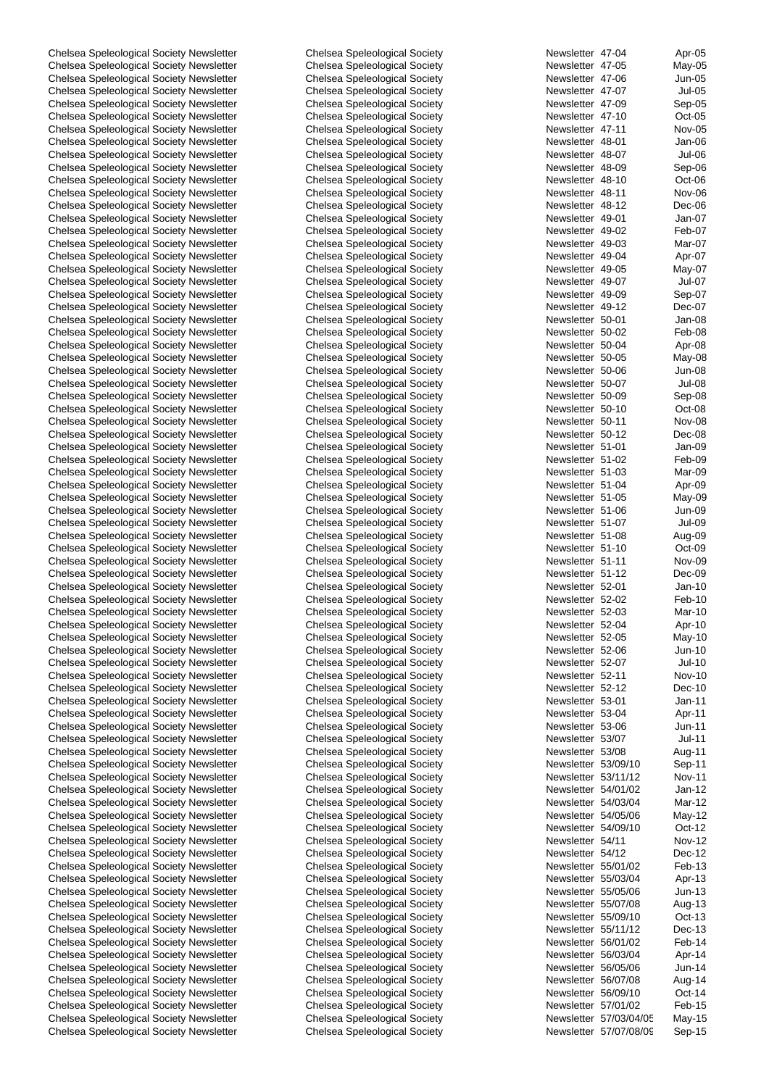Chelsea Speleological Society Newsletter Chelsea Speleological Society Chelsea Speleological Society Newsletter **Chelsea Speleological Society** Chelsea Speleological Society Chelsea Speleological Society Newsletter Chelsea Speleological Society Chelsea Speleological Society Newsletter Chelsea Speleological Society Chelsea Speleological Society Newsletter Chelsea Speleological Society Chelsea Speleological Society Newsletter **Chelsea Speleological Society** Oct-Chelsea Speleological Society Newsletter **Chelsea Speleological Society** Chelsea Speleological Society Newsletter Chelsea Speleological Society Newsletter 48-01 Jan-06 Chelsea Speleological Society Newsletter Chelsea Speleological Society Chelsea Speleological Society Newsletter Chelsea Speleological Society Chelsea Speleological Society Newsletter **Chelsea Speleological Society** Chelsea Speleological Society Newsletter Chelsea Speleological Society Chelsea Speleological Society Newsletter Chelsea Speleological Society Chelsea Speleological Society Newsletter Chelsea Speleological Society Chelsea Speleological Society Newsletter Chelsea Speleological Society Chelsea Speleological Society Newsletter **Chelsea Speleological Society** Chelsea Chelsea Speleological Society Chelsea Speleological Society Newsletter Chelsea Speleological Society Chelsea Speleological Society Newsletter **Chelsea Speleological Society** Chelsea Speleological Society Newsletter Chelsea Speleological Society Chelsea Speleological Society Newsletter Chelsea Speleological Society Chelsea Speleological Society Newsletter Chelsea Speleological Society Chelsea Speleological Society Newsletter **Chelsea Speleological Society** Chelsea Speleological Society Chelsea Speleological Society Newsletter Chelsea Speleological Society<br>Chelsea Speleological Society Newsletter 50-000 Feb-08 Feb-08 Chelsea Speleological Society Chelsea Speleological Society Newsletter Chelsea Speleological Society Newsletter Chelsea Speleological Society Chelsea Speleological Society Newsletter **Chelsea Speleological Society** Chelsea Speleological Society Chelsea Speleological Society Newsletter **Chelsea Speleological Society** Chelsea Speleological Society Newsletter **Franch Chelsea Speleological Society** Chelsea Speleological Society Newsletter Chelsea Speleological Society Chelsea Speleological Society Newsletter Chelsea Speleological Society Chelsea Speleological Society Newsletter Chelsea Speleological Society Chelsea Speleological Society Newsletter **Chelsea Speleological Society** Chelsea Speleological Society Chelsea Speleological Society Newsletter Chelsea Speleological Society Chelsea Speleological Society Newsletter Chelsea Speleological Society Chelsea Speleological Society Newsletter Chelsea Speleological Society Chelsea Speleological Society Newsletter Chelsea Speleological Society Chelsea Speleological Society Newsletter Chelsea Speleological Society Chelsea Speleological Society Newsletter **Chelsea Speleological Society** Chelsea Speleological Society Chelsea Speleological Society Newsletter Chelsea Speleological Society Chelsea Speleological Society Newsletter **Chelsea Speleological Society** Chelsea Speleological Society Chelsea Speleological Society Newsletter Chelsea Speleological Society Chelsea Speleological Society Newsletter **51-12 Decree** Chelsea Speleological Society Chelsea Speleological Society Newsletter Chelsea Speleological Society Chelsea Speleological Society Newsletter Chelsea Speleological Society Chelsea Speleological Society Newsletter Chelsea Speleological Society Chelsea Speleological Society Newsletter Chelsea Speleological Society Chelsea Speleological Society Newsletter Chelsea Speleological Society Chelsea Speleological Society Newsletter **52-10 Chelsea Speleological Society** Chelsea Speleological Society Chelsea Speleological Society Newsletter **52-2-07 Chelsea Speleological Society** Chelsea Speleological Society Newsletter Chelsea Speleological Society Chelsea Speleological Society Newsletter **Chelsea Speleological Society** Chelsea Speleological Society Chelsea Speleological Society Newsletter **Chelsea Speleological Society** Chelsea Speleological Society Newsletter Chelsea Speleological Society Chelsea Speleological Society Newsletter **Chelsea Speleological Society** Chelsea Speleological Society Newsletter Chelsea Speleological Society Chelsea Speleological Society Newsletter **53/08 Chelsea Speleological Society** Chelsea Speleological Society Chelsea Speleological Society Newsletter **Chelsea Speleological Society** Chelsea Speleological Society Chelsea Speleological Society Newsletter **Chelsea Speleological Society** Chelsea Speleological Society Newsletter **Franch Society Chelsea Speleological Society** Chelsea Speleological Society Newsletter **Fig. 2016** Chelsea Speleological Society Chelsea Speleological Society Newsletter Chelsea Speleological Society Chelsea Speleological Society Newsletter **Fig. 2016** Chelsea Speleological Society Chelsea Speleological Society Newsletter Chelsea Speleological Society Chelsea Speleological Society Newsletter Chelsea Speleological Society Chelsea Speleological Society Newsletter Chelsea Speleological Society Chelsea Speleological Society Newsletter **Fig. 2013** Chelsea Speleological Society Chelsea Speleological Society Newsletter **Chelsea Speleological Society** Chelsea Speleological Society Newsletter **55/07/09 Chelsea Speleological Society** Chelsea Speleological Society Newsletter **Fig. 2016** Chelsea Speleological Society Chelsea Speleological Society Newsletter **55/11/2 Decrets** Chelsea Speleological Society Chelsea Speleological Society Newsletter **Feb-12** Chelsea Speleological Society Chelsea Speleological Society Newsletter Chelsea Speleological Society Chelsea Speleological Society Newsletter Chelsea Speleological Society Chelsea Speleological Society Newsletter Chelsea Speleological Society Chelsea Speleological Society Newsletter Chelsea Speleological Society Chelsea Speleological Society Newsletter **Feb-15 Chelsea Speleological Society** Chelsea Speleological Society Newsletter **Franch Society** Chelsea Speleological Society Chelsea Speleological Society Newsletter **Chelsea Speleological Society** Chelsea Speleological Society

| Newsletter               | 47-04                | Apr-05                  |
|--------------------------|----------------------|-------------------------|
| Newsletter               | 47-05                | May-05                  |
| Newsletter<br>Newsletter | 47-06<br>47-07       | Jun-05<br><b>Jul-05</b> |
| Newsletter               | 47-09                | Sep-05                  |
| Newsletter               | 47-10                | Oct-05                  |
| Newsletter               | 47-11                | Nov-05                  |
| Newsletter               | 48-01                | Jan-06                  |
| Newsletter               | 48-07                | Jul-06                  |
| Newsletter               | 48-09                | Sep-06                  |
| Newsletter               | 48-10                | Oct-06                  |
| Newsletter               | 48-11                | Nov-06                  |
| Newsletter               | 48-12                | Dec-06                  |
| Newsletter               | 49-01                | Jan-07                  |
| Newsletter               | 49-02                | Feb-07                  |
| Newsletter               | 49-03                | Mar-07                  |
| Newsletter               | 49-04                | Apr-07                  |
| Newsletter               | 49-05                | May-07                  |
| Newsletter<br>Newsletter | 49-07<br>49-09       | Jul-07                  |
| Newsletter               | 49-12                | Sep-07<br>Dec-07        |
| Newsletter               | 50-01                | Jan-08                  |
| Newsletter               | 50-02                | Feb-08                  |
| Newsletter               | 50-04                | Apr-08                  |
| Newsletter               | 50-05                | May-08                  |
| Newsletter               | 50-06                | Jun-08                  |
| Newsletter               | 50-07                | Jul-08                  |
| Newsletter               | 50-09                | Sep-08                  |
| Newsletter               | 50-10                | Oct-08                  |
| Newsletter               | 50-11                | Nov-08                  |
| Newsletter               | 50-12                | Dec-08                  |
| Newsletter               | $51 - 01$            | Jan-09                  |
| Newsletter               | 51-02                | Feb-09                  |
| Newsletter               | 51-03                | Mar-09                  |
| Newsletter<br>Newsletter | 51-04<br>51-05       | Apr-09                  |
| Newsletter               | 51-06                | May-09<br>Jun-09        |
| Newsletter               | 51-07                | Jul-09                  |
| Newsletter               | 51-08                | Aug-09                  |
| Newsletter               | $51 - 10$            | Oct-09                  |
| Newsletter               | $51 - 11$            | Nov-09                  |
| Newsletter               | $51 - 12$            | Dec-09                  |
| Newsletter               | 52-01                | Jan-10                  |
| Newsletter               | 52-02                | Feb-10                  |
| Newsletter               | 52-03                | Mar-10                  |
| Newsletter               | 52-04                | Apr-10                  |
| Newsletter               | 52-05                | May-10                  |
| Newsletter               | 52-06                | Jun-10                  |
| Newsletter<br>Newsletter | 52-07<br>$52 - 11$   | Jul-10<br><b>Nov-10</b> |
| Newsletter               | $52 - 12$            | Dec-10                  |
| Newsletter               | 53-01                | $Jan-11$                |
| Newsletter               | 53-04                | Apr-11                  |
| Newsletter               | 53-06                | Jun-11                  |
| Newsletter               | 53/07                | Jul-11                  |
| Newsletter               | 53/08                | Aug-11                  |
| Newsletter               | 53/09/10             | Sep-11                  |
| Newsletter               | 53/11/12             | Nov-11                  |
| Newsletter               | 54/01/02             | Jan-12                  |
| Newsletter               | 54/03/04             | Mar-12                  |
| Newsletter               | 54/05/06             | May-12                  |
| Newsletter               | 54/09/10             | Oct-12                  |
| Newsletter               | 54/11                | Nov-12                  |
| Newsletter               | 54/12                | Dec-12                  |
| Newsletter               | 55/01/02             | Feb-13                  |
| Newsletter<br>Newsletter | 55/03/04<br>55/05/06 | Apr-13<br>Jun-13        |
| Newsletter               | 55/07/08             | Aug-13                  |
| Newsletter               | 55/09/10             | Oct-13                  |
| Newsletter               | 55/11/12             | Dec-13                  |
| Newsletter               | 56/01/02             | Feb-14                  |
| Newsletter               | 56/03/04             | Apr-14                  |
| Newsletter               | 56/05/06             | Jun-14                  |
| Newsletter               | 56/07/08             | Aug-14                  |
| Newsletter               | 56/09/10             | Oct-14                  |
| Newsletter               | 57/01/02             | Feb-15                  |
| Newsletter               | 57/03/04/05          | May-15                  |
| Newsletter               | 57/07/08/09          | Sep-15                  |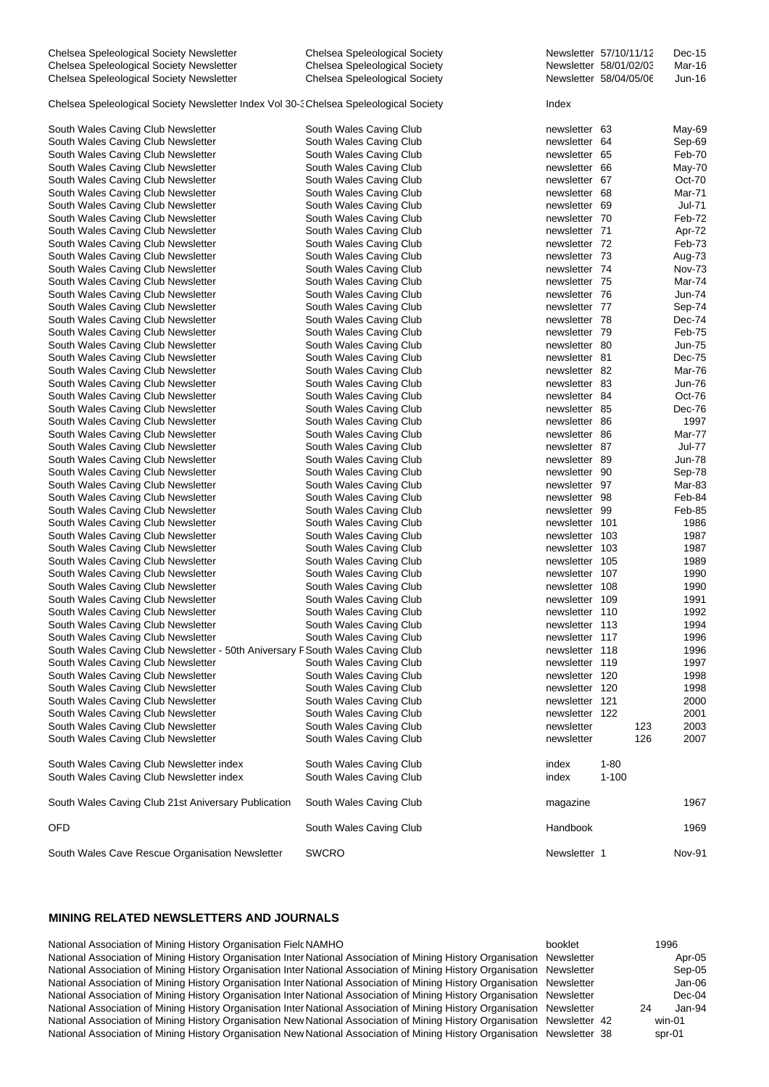| Chelsea Speleological Society Newsletter                                              | Chelsea Speleological Society |                | Newsletter 57/10/11/12 | $Dec-15$      |
|---------------------------------------------------------------------------------------|-------------------------------|----------------|------------------------|---------------|
| Chelsea Speleological Society Newsletter                                              | Chelsea Speleological Society |                | Newsletter 58/01/02/03 | Mar-16        |
| Chelsea Speleological Society Newsletter                                              | Chelsea Speleological Society |                | Newsletter 58/04/05/06 | Jun-16        |
|                                                                                       |                               |                |                        |               |
| Chelsea Speleological Society Newsletter Index Vol 30-3 Chelsea Speleological Society |                               | Index          |                        |               |
| South Wales Caving Club Newsletter                                                    | South Wales Caving Club       | newsletter 63  |                        | May-69        |
| South Wales Caving Club Newsletter                                                    | South Wales Caving Club       | newsletter 64  |                        | Sep-69        |
|                                                                                       |                               |                |                        |               |
| South Wales Caving Club Newsletter                                                    | South Wales Caving Club       | newsletter 65  |                        | Feb-70        |
| South Wales Caving Club Newsletter                                                    | South Wales Caving Club       | newsletter 66  |                        | May-70        |
| South Wales Caving Club Newsletter                                                    | South Wales Caving Club       | newsletter 67  |                        | Oct-70        |
| South Wales Caving Club Newsletter                                                    | South Wales Caving Club       | newsletter 68  |                        | <b>Mar-71</b> |
| South Wales Caving Club Newsletter                                                    | South Wales Caving Club       | newsletter 69  |                        | Jul-71        |
| South Wales Caving Club Newsletter                                                    | South Wales Caving Club       | newsletter 70  |                        | Feb-72        |
| South Wales Caving Club Newsletter                                                    | South Wales Caving Club       | newsletter 71  |                        | Apr-72        |
| South Wales Caving Club Newsletter                                                    | South Wales Caving Club       | newsletter 72  |                        | Feb-73        |
| South Wales Caving Club Newsletter                                                    | South Wales Caving Club       | newsletter 73  |                        | Aug-73        |
| South Wales Caving Club Newsletter                                                    | South Wales Caving Club       | newsletter 74  |                        | <b>Nov-73</b> |
| South Wales Caving Club Newsletter                                                    | South Wales Caving Club       | newsletter 75  |                        | Mar-74        |
| South Wales Caving Club Newsletter                                                    | South Wales Caving Club       | newsletter 76  |                        | Jun-74        |
| South Wales Caving Club Newsletter                                                    | South Wales Caving Club       | newsletter 77  |                        | Sep-74        |
| South Wales Caving Club Newsletter                                                    | South Wales Caving Club       | newsletter 78  |                        | Dec-74        |
| South Wales Caving Club Newsletter                                                    | South Wales Caving Club       | newsletter 79  |                        | Feb-75        |
| South Wales Caving Club Newsletter                                                    | South Wales Caving Club       | newsletter 80  |                        | <b>Jun-75</b> |
| South Wales Caving Club Newsletter                                                    | South Wales Caving Club       | newsletter 81  |                        | Dec-75        |
| South Wales Caving Club Newsletter                                                    | South Wales Caving Club       | newsletter 82  |                        | Mar-76        |
| South Wales Caving Club Newsletter                                                    | South Wales Caving Club       | newsletter 83  |                        | Jun-76        |
| South Wales Caving Club Newsletter                                                    | South Wales Caving Club       | newsletter 84  |                        | Oct-76        |
| South Wales Caving Club Newsletter                                                    | South Wales Caving Club       | newsletter 85  |                        | Dec-76        |
|                                                                                       | South Wales Caving Club       | newsletter 86  |                        | 1997          |
| South Wales Caving Club Newsletter                                                    |                               |                |                        |               |
| South Wales Caving Club Newsletter                                                    | South Wales Caving Club       | newsletter 86  |                        | Mar-77        |
| South Wales Caving Club Newsletter                                                    | South Wales Caving Club       | newsletter 87  |                        | <b>Jul-77</b> |
| South Wales Caving Club Newsletter                                                    | South Wales Caving Club       | newsletter 89  |                        | <b>Jun-78</b> |
| South Wales Caving Club Newsletter                                                    | South Wales Caving Club       | newsletter 90  |                        | Sep-78        |
| South Wales Caving Club Newsletter                                                    | South Wales Caving Club       | newsletter 97  |                        | Mar-83        |
| South Wales Caving Club Newsletter                                                    | South Wales Caving Club       | newsletter 98  |                        | Feb-84        |
| South Wales Caving Club Newsletter                                                    | South Wales Caving Club       | newsletter 99  |                        | Feb-85        |
| South Wales Caving Club Newsletter                                                    | South Wales Caving Club       | newsletter 101 |                        | 1986          |
| South Wales Caving Club Newsletter                                                    | South Wales Caving Club       | newsletter 103 |                        | 1987          |
| South Wales Caving Club Newsletter                                                    | South Wales Caving Club       | newsletter 103 |                        | 1987          |
| South Wales Caving Club Newsletter                                                    | South Wales Caving Club       | newsletter 105 |                        | 1989          |
| South Wales Caving Club Newsletter                                                    | South Wales Caving Club       | newsletter 107 |                        | 1990          |
| South Wales Caving Club Newsletter                                                    | South Wales Caving Club       | newsletter 108 |                        | 1990          |
| South Wales Caving Club Newsletter                                                    | South Wales Caving Club       | newsletter 109 |                        | 1991          |
| South Wales Caving Club Newsletter                                                    | South Wales Caving Club       | newsletter 110 |                        | 1992          |
| South Wales Caving Club Newsletter                                                    | South Wales Caving Club       | newsletter 113 |                        | 1994          |
| South Wales Caving Club Newsletter                                                    | South Wales Caving Club       | newsletter 117 |                        | 1996          |
| South Wales Caving Club Newsletter - 50th Aniversary F South Wales Caving Club        |                               | newsletter 118 |                        | 1996          |
| South Wales Caving Club Newsletter                                                    | South Wales Caving Club       | newsletter 119 |                        | 1997          |
| South Wales Caving Club Newsletter                                                    | South Wales Caving Club       | newsletter 120 |                        | 1998          |
| South Wales Caving Club Newsletter                                                    | South Wales Caving Club       |                |                        |               |
|                                                                                       |                               | newsletter 120 |                        | 1998          |
| South Wales Caving Club Newsletter                                                    | South Wales Caving Club       | newsletter 121 |                        | 2000          |
| South Wales Caving Club Newsletter                                                    | South Wales Caving Club       | newsletter 122 |                        | 2001          |
| South Wales Caving Club Newsletter                                                    | South Wales Caving Club       | newsletter     | 123                    | 2003          |
| South Wales Caving Club Newsletter                                                    | South Wales Caving Club       | newsletter     | 126                    | 2007          |
| South Wales Caving Club Newsletter index                                              | South Wales Caving Club       | index          | $1 - 80$               |               |
| South Wales Caving Club Newsletter index                                              | South Wales Caving Club       | index          | $1 - 100$              |               |
|                                                                                       |                               |                |                        |               |
| South Wales Caving Club 21st Aniversary Publication                                   | South Wales Caving Club       | magazine       |                        | 1967          |
| OFD                                                                                   | South Wales Caving Club       | Handbook       |                        | 1969          |
|                                                                                       |                               |                |                        |               |
| South Wales Cave Rescue Organisation Newsletter                                       | <b>SWCRO</b>                  | Newsletter 1   |                        | Nov-91        |

#### **MINING RELATED NEWSLETTERS AND JOURNALS**

| National Association of Mining History Organisation Field NAMHO                                                           | booklet    | 1996         |
|---------------------------------------------------------------------------------------------------------------------------|------------|--------------|
| National Association of Mining History Organisation Inter National Association of Mining History Organisation             | Newsletter | Apr-05       |
| National Association of Mining History Organisation Inter National Association of Mining History Organisation             | Newsletter | Sep-05       |
| National Association of Mining History Organisation Inter National Association of Mining History Organisation Newsletter  |            | $Jan-06$     |
| National Association of Mining History Organisation Inter National Association of Mining History Organisation Newsletter  |            | $Dec-04$     |
| National Association of Mining History Organisation Inter National Association of Mining History Organisation Newsletter  |            | Jan-94<br>24 |
| National Association of Mining History Organisation New National Association of Mining History Organisation Newsletter 42 |            | win-01       |
| National Association of Mining History Organisation New National Association of Mining History Organisation Newsletter 38 |            | spr-01       |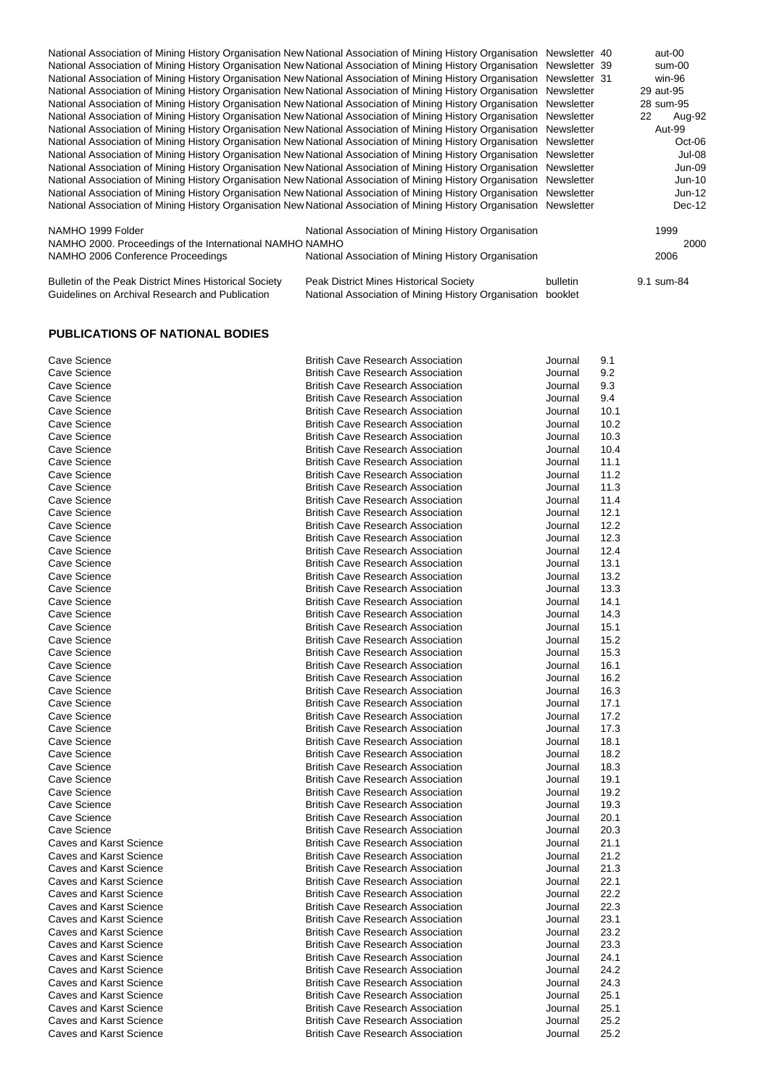National Association of Mining History Organisation New National Association of Mining History Organisation Newsletter 40 aut-00 National Association of Mining History Organisation NewNational Association of Mining History Organisation Newsletter 39 sum-00 National Association of Mining History Organisation NewNational Association of Mining History Organisation Newsletter 31 win-96 National Association of Mining History Organisation New National Association of Mining History Organisation Newsletter National Association of Mining History Organisation NewNational Association of Mining History Organisation Newsletter 28 sum-95 National Association of Mining History Organisation NewNational Association of Mining History Organisation Newsletter 22 Aug-92 National Association of Mining History Organisation NewNational Association of Mining History Organisation Newsletter Aut-99 National Association of Mining History Organisation NewNational Association of Mining History Organisation Newsletter Oct-06 National Association of Mining History Organisation New National Association of Mining History Organisation Newsletter Jul-08 National Association of Mining History Organisation New National Association of Mining History Organisation Newsletter Jun-09 National Association of Mining History Organisation New National Association of Mining History Organisation Newsletter Jun-10 National Association of Mining History Organisation New National Association of Mining History Organisation Newsletter Jun-12 National Association of Mining History Organisation NewNational Association of Mining History Organisation Newsletter Dec-12 NAMHO 1999 Folder **National Association of Mining History Organisation** 1999 1999 NAMHO 2000. Proceedings of the International NAMHO NAMHO 2000 NAMHO 2006 Conference Proceedings National Association of Mining History Organisation 2006 Bulletin of the Peak District Mines Historical Society Peak District Mines Historical Society bulletin 9.1 sum-84

Guidelines on Archival Research and Publication National Association of Mining History Organisation booklet

#### **PUBLICATIONS OF NATIONAL BODIES**

| Cave Science                   | <b>British Cave Research Association</b> | Journal | 9.1  |
|--------------------------------|------------------------------------------|---------|------|
| Cave Science                   | <b>British Cave Research Association</b> | Journal | 9.2  |
| Cave Science                   | <b>British Cave Research Association</b> | Journal | 9.3  |
| Cave Science                   | <b>British Cave Research Association</b> | Journal | 9.4  |
| Cave Science                   | <b>British Cave Research Association</b> | Journal | 10.1 |
| Cave Science                   | <b>British Cave Research Association</b> | Journal | 10.2 |
| Cave Science                   | <b>British Cave Research Association</b> | Journal | 10.3 |
| Cave Science                   | <b>British Cave Research Association</b> | Journal | 10.4 |
| Cave Science                   | <b>British Cave Research Association</b> | Journal | 11.1 |
| Cave Science                   | <b>British Cave Research Association</b> | Journal | 11.2 |
| Cave Science                   | <b>British Cave Research Association</b> | Journal | 11.3 |
| Cave Science                   | <b>British Cave Research Association</b> | Journal | 11.4 |
| Cave Science                   | <b>British Cave Research Association</b> | Journal | 12.1 |
| Cave Science                   | <b>British Cave Research Association</b> | Journal | 12.2 |
| Cave Science                   | <b>British Cave Research Association</b> | Journal | 12.3 |
| Cave Science                   | <b>British Cave Research Association</b> | Journal | 12.4 |
| Cave Science                   | <b>British Cave Research Association</b> | Journal | 13.1 |
| Cave Science                   | <b>British Cave Research Association</b> | Journal | 13.2 |
| Cave Science                   | <b>British Cave Research Association</b> | Journal | 13.3 |
| Cave Science                   | <b>British Cave Research Association</b> | Journal | 14.1 |
| Cave Science                   | <b>British Cave Research Association</b> | Journal | 14.3 |
| Cave Science                   | <b>British Cave Research Association</b> | Journal | 15.1 |
| Cave Science                   | <b>British Cave Research Association</b> | Journal | 15.2 |
| Cave Science                   | <b>British Cave Research Association</b> | Journal | 15.3 |
| Cave Science                   | <b>British Cave Research Association</b> | Journal | 16.1 |
| Cave Science                   | <b>British Cave Research Association</b> | Journal | 16.2 |
| Cave Science                   | <b>British Cave Research Association</b> | Journal | 16.3 |
| Cave Science                   | <b>British Cave Research Association</b> | Journal | 17.1 |
| Cave Science                   | <b>British Cave Research Association</b> | Journal | 17.2 |
| Cave Science                   | <b>British Cave Research Association</b> | Journal | 17.3 |
| Cave Science                   | <b>British Cave Research Association</b> | Journal | 18.1 |
| Cave Science                   | <b>British Cave Research Association</b> | Journal | 18.2 |
| Cave Science                   | <b>British Cave Research Association</b> | Journal | 18.3 |
| Cave Science                   | <b>British Cave Research Association</b> | Journal | 19.1 |
| Cave Science                   | <b>British Cave Research Association</b> | Journal | 19.2 |
| Cave Science                   | <b>British Cave Research Association</b> | Journal | 19.3 |
| Cave Science                   | <b>British Cave Research Association</b> | Journal | 20.1 |
| Cave Science                   | <b>British Cave Research Association</b> | Journal | 20.3 |
| <b>Caves and Karst Science</b> | <b>British Cave Research Association</b> | Journal | 21.1 |
| Caves and Karst Science        | <b>British Cave Research Association</b> | Journal | 21.2 |
| <b>Caves and Karst Science</b> | <b>British Cave Research Association</b> | Journal | 21.3 |
| Caves and Karst Science        | <b>British Cave Research Association</b> | Journal | 22.1 |
| <b>Caves and Karst Science</b> | <b>British Cave Research Association</b> | Journal | 22.2 |
| <b>Caves and Karst Science</b> | <b>British Cave Research Association</b> | Journal | 22.3 |
| Caves and Karst Science        | <b>British Cave Research Association</b> | Journal | 23.1 |
| <b>Caves and Karst Science</b> | <b>British Cave Research Association</b> | Journal | 23.2 |
| <b>Caves and Karst Science</b> | <b>British Cave Research Association</b> | Journal | 23.3 |
| Caves and Karst Science        | <b>British Cave Research Association</b> | Journal | 24.1 |
| Caves and Karst Science        | <b>British Cave Research Association</b> | Journal | 24.2 |
| Caves and Karst Science        | <b>British Cave Research Association</b> | Journal | 24.3 |
| Caves and Karst Science        | <b>British Cave Research Association</b> | Journal | 25.1 |
| Caves and Karst Science        | <b>British Cave Research Association</b> | Journal | 25.1 |
| Caves and Karst Science        | <b>British Cave Research Association</b> | Journal | 25.2 |
| Caves and Karst Science        | <b>British Cave Research Association</b> |         | 25.2 |
|                                |                                          | Journal |      |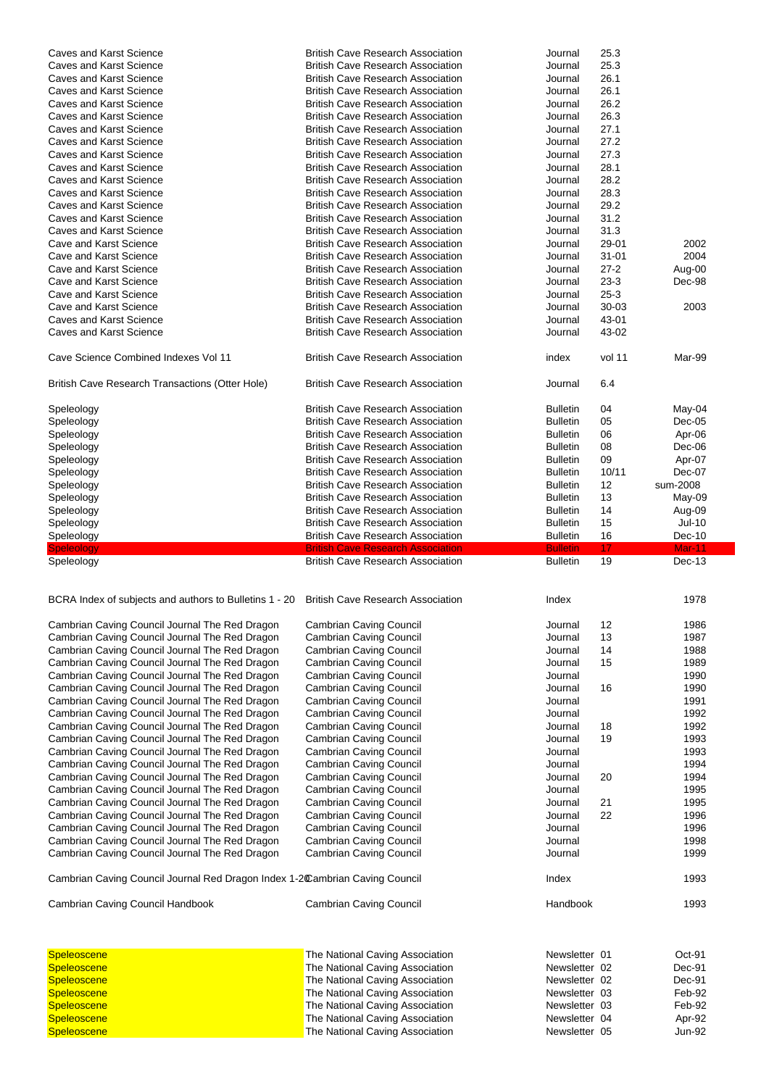| Caves and Karst Science                                                                  | <b>British Cave Research Association</b>                           | Journal                        | 25.3      |                  |
|------------------------------------------------------------------------------------------|--------------------------------------------------------------------|--------------------------------|-----------|------------------|
| Caves and Karst Science                                                                  | <b>British Cave Research Association</b>                           | Journal                        | 25.3      |                  |
| <b>Caves and Karst Science</b>                                                           | <b>British Cave Research Association</b>                           | Journal                        | 26.1      |                  |
| <b>Caves and Karst Science</b>                                                           |                                                                    |                                | 26.1      |                  |
|                                                                                          | <b>British Cave Research Association</b>                           | Journal                        |           |                  |
| Caves and Karst Science                                                                  | <b>British Cave Research Association</b>                           | Journal                        | 26.2      |                  |
| Caves and Karst Science                                                                  | <b>British Cave Research Association</b>                           | Journal                        | 26.3      |                  |
| <b>Caves and Karst Science</b>                                                           | <b>British Cave Research Association</b>                           | Journal                        | 27.1      |                  |
| Caves and Karst Science                                                                  | <b>British Cave Research Association</b>                           | Journal                        | 27.2      |                  |
| Caves and Karst Science                                                                  | <b>British Cave Research Association</b>                           | Journal                        | 27.3      |                  |
| Caves and Karst Science                                                                  | <b>British Cave Research Association</b>                           | Journal                        | 28.1      |                  |
| <b>Caves and Karst Science</b>                                                           | <b>British Cave Research Association</b>                           | Journal                        | 28.2      |                  |
|                                                                                          |                                                                    |                                |           |                  |
| <b>Caves and Karst Science</b>                                                           | <b>British Cave Research Association</b>                           | Journal                        | 28.3      |                  |
| Caves and Karst Science                                                                  | <b>British Cave Research Association</b>                           | Journal                        | 29.2      |                  |
| Caves and Karst Science                                                                  | <b>British Cave Research Association</b>                           | Journal                        | 31.2      |                  |
| <b>Caves and Karst Science</b>                                                           | <b>British Cave Research Association</b>                           | Journal                        | 31.3      |                  |
| Cave and Karst Science                                                                   | <b>British Cave Research Association</b>                           | Journal                        | 29-01     | 2002             |
| Cave and Karst Science                                                                   | <b>British Cave Research Association</b>                           | Journal                        | $31 - 01$ | 2004             |
| Cave and Karst Science                                                                   | <b>British Cave Research Association</b>                           | Journal                        | $27 - 2$  | Aug-00           |
|                                                                                          |                                                                    |                                |           |                  |
| Cave and Karst Science                                                                   | <b>British Cave Research Association</b>                           | Journal                        | $23 - 3$  | Dec-98           |
| Cave and Karst Science                                                                   | <b>British Cave Research Association</b>                           | Journal                        | $25 - 3$  |                  |
| Cave and Karst Science                                                                   | <b>British Cave Research Association</b>                           | Journal                        | 30-03     | 2003             |
| Caves and Karst Science                                                                  | <b>British Cave Research Association</b>                           | Journal                        | 43-01     |                  |
| <b>Caves and Karst Science</b>                                                           | <b>British Cave Research Association</b>                           | Journal                        | 43-02     |                  |
|                                                                                          |                                                                    |                                |           |                  |
| Cave Science Combined Indexes Vol 11                                                     | <b>British Cave Research Association</b>                           | index                          | vol 11    | Mar-99           |
| British Cave Research Transactions (Otter Hole)                                          | <b>British Cave Research Association</b>                           | Journal                        | 6.4       |                  |
|                                                                                          |                                                                    |                                |           |                  |
| Speleology                                                                               | <b>British Cave Research Association</b>                           | <b>Bulletin</b>                | 04        | May-04           |
| Speleology                                                                               | <b>British Cave Research Association</b>                           | <b>Bulletin</b>                | 05        | Dec-05           |
| Speleology                                                                               | <b>British Cave Research Association</b>                           | <b>Bulletin</b>                | 06        | Apr-06           |
| Speleology                                                                               | <b>British Cave Research Association</b>                           | <b>Bulletin</b>                | 08        | Dec-06           |
|                                                                                          |                                                                    |                                |           |                  |
| Speleology                                                                               | <b>British Cave Research Association</b>                           | <b>Bulletin</b>                | 09        | Apr-07           |
| Speleology                                                                               | <b>British Cave Research Association</b>                           | <b>Bulletin</b>                | 10/11     | Dec-07           |
| Speleology                                                                               | <b>British Cave Research Association</b>                           | <b>Bulletin</b>                | 12        | sum-2008         |
| Speleology                                                                               | <b>British Cave Research Association</b>                           | <b>Bulletin</b>                | 13        | May-09           |
| Speleology                                                                               | <b>British Cave Research Association</b>                           | <b>Bulletin</b>                | 14        | Aug-09           |
| Speleology                                                                               | <b>British Cave Research Association</b>                           | <b>Bulletin</b>                | 15        | Jul-10           |
| Speleology                                                                               | <b>British Cave Research Association</b>                           | <b>Bulletin</b>                | 16        | Dec-10           |
|                                                                                          |                                                                    |                                |           |                  |
|                                                                                          |                                                                    |                                |           |                  |
| <b>Speleology</b>                                                                        | <b>British Cave Research Association</b>                           | <b>Bulletin</b>                | 17        | <b>Mar-11</b>    |
| Speleology                                                                               | <b>British Cave Research Association</b>                           | <b>Bulletin</b>                | 19        | Dec-13           |
| BCRA Index of subjects and authors to Bulletins 1 - 20 British Cave Research Association |                                                                    | Index                          |           | 1978             |
|                                                                                          |                                                                    |                                |           |                  |
| Cambrian Caving Council Journal The Red Dragon                                           | Cambrian Caving Council                                            | Journal                        | 12        | 1986             |
| Cambrian Caving Council Journal The Red Dragon                                           | <b>Cambrian Caving Council</b>                                     | Journal                        | 13        | 1987             |
| Cambrian Caving Council Journal The Red Dragon                                           | <b>Cambrian Caving Council</b>                                     | Journal                        | 14        | 1988             |
| Cambrian Caving Council Journal The Red Dragon                                           | <b>Cambrian Caving Council</b>                                     | Journal                        | 15        | 1989             |
| Cambrian Caving Council Journal The Red Dragon                                           | <b>Cambrian Caving Council</b>                                     | Journal                        |           | 1990             |
| Cambrian Caving Council Journal The Red Dragon                                           | <b>Cambrian Caving Council</b>                                     | Journal                        | 16        | 1990             |
| Cambrian Caving Council Journal The Red Dragon                                           | <b>Cambrian Caving Council</b>                                     | Journal                        |           | 1991             |
|                                                                                          |                                                                    |                                |           |                  |
| Cambrian Caving Council Journal The Red Dragon                                           | <b>Cambrian Caving Council</b>                                     | Journal                        |           | 1992             |
| Cambrian Caving Council Journal The Red Dragon                                           | <b>Cambrian Caving Council</b>                                     | Journal                        | 18        | 1992             |
| Cambrian Caving Council Journal The Red Dragon                                           | <b>Cambrian Caving Council</b>                                     | Journal                        | 19        | 1993             |
| Cambrian Caving Council Journal The Red Dragon                                           | <b>Cambrian Caving Council</b>                                     | Journal                        |           | 1993             |
| Cambrian Caving Council Journal The Red Dragon                                           | <b>Cambrian Caving Council</b>                                     | Journal                        |           | 1994             |
| Cambrian Caving Council Journal The Red Dragon                                           | <b>Cambrian Caving Council</b>                                     | Journal                        | 20        | 1994             |
| Cambrian Caving Council Journal The Red Dragon                                           | <b>Cambrian Caving Council</b>                                     | Journal                        |           | 1995             |
|                                                                                          |                                                                    | Journal                        | 21        | 1995             |
| Cambrian Caving Council Journal The Red Dragon                                           | <b>Cambrian Caving Council</b>                                     |                                |           |                  |
| Cambrian Caving Council Journal The Red Dragon                                           | <b>Cambrian Caving Council</b>                                     | Journal                        | 22        | 1996             |
| Cambrian Caving Council Journal The Red Dragon                                           | <b>Cambrian Caving Council</b>                                     | Journal                        |           | 1996             |
| Cambrian Caving Council Journal The Red Dragon                                           | <b>Cambrian Caving Council</b>                                     | Journal                        |           | 1998             |
| Cambrian Caving Council Journal The Red Dragon                                           | <b>Cambrian Caving Council</b>                                     | Journal                        |           | 1999             |
| Cambrian Caving Council Journal Red Dragon Index 1-2Cambrian Caving Council              |                                                                    | Index                          |           | 1993             |
| Cambrian Caving Council Handbook                                                         | <b>Cambrian Caving Council</b>                                     | Handbook                       |           | 1993             |
|                                                                                          |                                                                    |                                |           |                  |
| <b>Speleoscene</b>                                                                       | The National Caving Association                                    | Newsletter 01                  |           | Oct-91           |
| <b>Speleoscene</b>                                                                       | The National Caving Association                                    | Newsletter 02                  |           | Dec-91           |
| <b>Speleoscene</b>                                                                       | The National Caving Association                                    | Newsletter 02                  |           | Dec-91           |
| <b>Speleoscene</b>                                                                       | The National Caving Association                                    | Newsletter 03                  |           | Feb-92           |
|                                                                                          |                                                                    |                                |           |                  |
| <b>Speleoscene</b>                                                                       | The National Caving Association                                    | Newsletter 03                  |           | Feb-92           |
| <b>Speleoscene</b><br><b>Speleoscene</b>                                                 | The National Caving Association<br>The National Caving Association | Newsletter 04<br>Newsletter 05 |           | Apr-92<br>Jun-92 |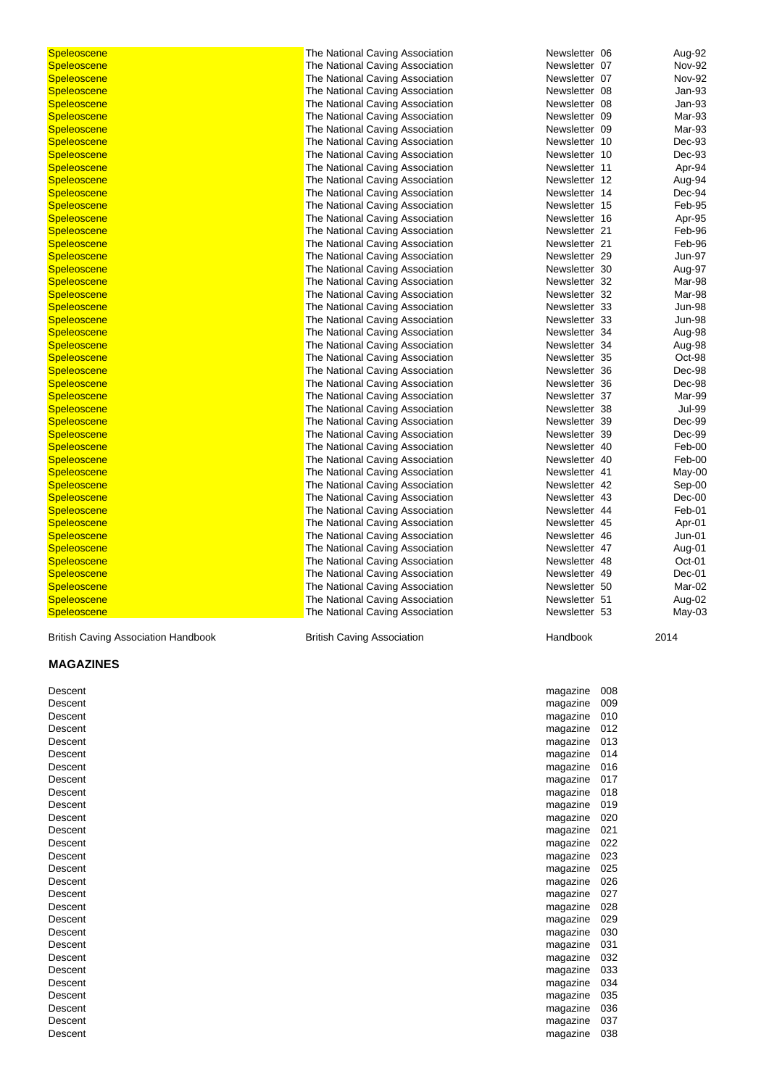| <b>Speleoscene</b>                         | The National Caving Association   | Newsletter 06   | Aug-92        |
|--------------------------------------------|-----------------------------------|-----------------|---------------|
| Speleoscene                                | The National Caving Association   | Newsletter 07   | <b>Nov-92</b> |
| <b>Speleoscene</b>                         | The National Caving Association   | Newsletter 07   | <b>Nov-92</b> |
| <b>Speleoscene</b>                         | The National Caving Association   | Newsletter 08   | Jan-93        |
| <b>Speleoscene</b>                         | The National Caving Association   | Newsletter 08   | Jan-93        |
| <b>Speleoscene</b>                         | The National Caving Association   | Newsletter 09   | Mar-93        |
| <b>Speleoscene</b>                         | The National Caving Association   | Newsletter 09   | Mar-93        |
| <b>Speleoscene</b>                         | The National Caving Association   | Newsletter 10   | Dec-93        |
| <b>Speleoscene</b>                         | The National Caving Association   | Newsletter 10   | Dec-93        |
| <b>Speleoscene</b>                         | The National Caving Association   | Newsletter 11   | Apr-94        |
| <b>Speleoscene</b>                         | The National Caving Association   | Newsletter 12   | Aug-94        |
| <b>Speleoscene</b>                         | The National Caving Association   | Newsletter 14   | Dec-94        |
| <b>Speleoscene</b>                         | The National Caving Association   | Newsletter 15   | Feb-95        |
| <b>Speleoscene</b>                         | The National Caving Association   | Newsletter 16   | Apr-95        |
| <b>Speleoscene</b>                         | The National Caving Association   | Newsletter 21   | Feb-96        |
| <b>Speleoscene</b>                         | The National Caving Association   | Newsletter 21   | Feb-96        |
| <b>Speleoscene</b>                         | The National Caving Association   | Newsletter 29   | Jun-97        |
| <b>Speleoscene</b>                         | The National Caving Association   | Newsletter 30   | Aug-97        |
| <b>Speleoscene</b>                         | The National Caving Association   | Newsletter 32   | Mar-98        |
| <b>Speleoscene</b>                         | The National Caving Association   | Newsletter 32   | Mar-98        |
| <b>Speleoscene</b>                         | The National Caving Association   | Newsletter 33   | Jun-98        |
| <b>Speleoscene</b>                         | The National Caving Association   | Newsletter 33   | Jun-98        |
| <b>Speleoscene</b>                         | The National Caving Association   | Newsletter 34   | Aug-98        |
| <b>Speleoscene</b>                         | The National Caving Association   | Newsletter 34   | Aug-98        |
| <b>Speleoscene</b>                         | The National Caving Association   | Newsletter 35   | Oct-98        |
| <b>Speleoscene</b>                         | The National Caving Association   | Newsletter 36   | Dec-98        |
| <b>Speleoscene</b>                         | The National Caving Association   | Newsletter 36   | Dec-98        |
|                                            | The National Caving Association   | Newsletter 37   |               |
| <b>Speleoscene</b>                         |                                   |                 | Mar-99        |
| <b>Speleoscene</b>                         | The National Caving Association   | Newsletter 38   | <b>Jul-99</b> |
| <b>Speleoscene</b>                         | The National Caving Association   | Newsletter 39   | Dec-99        |
| <b>Speleoscene</b>                         | The National Caving Association   | Newsletter 39   | Dec-99        |
| <b>Speleoscene</b>                         | The National Caving Association   | Newsletter 40   | Feb-00        |
| <b>Speleoscene</b>                         | The National Caving Association   | Newsletter 40   | Feb-00        |
| <b>Speleoscene</b>                         | The National Caving Association   | Newsletter 41   | May-00        |
| <b>Speleoscene</b>                         | The National Caving Association   | Newsletter 42   | Sep-00        |
| <b>Speleoscene</b>                         | The National Caving Association   | Newsletter 43   | Dec-00        |
| <b>Speleoscene</b>                         | The National Caving Association   | Newsletter 44   | Feb-01        |
| <b>Speleoscene</b>                         | The National Caving Association   | Newsletter 45   | Apr-01        |
| <b>Speleoscene</b>                         | The National Caving Association   | Newsletter 46   | Jun-01        |
| <b>Speleoscene</b>                         | The National Caving Association   | Newsletter 47   | Aug-01        |
| <b>Speleoscene</b>                         | The National Caving Association   | Newsletter 48   | $Oct-01$      |
| <b>Speleoscene</b>                         | The National Caving Association   | Newsletter 49   | Dec-01        |
| <b>Speleoscene</b>                         | The National Caving Association   | Newsletter 50   | Mar-02        |
| <b>Speleoscene</b>                         | The National Caving Association   | Newsletter 51   | Aug-02        |
| <b>Speleoscene</b>                         | The National Caving Association   | Newsletter 53   | May-03        |
| <b>British Caving Association Handbook</b> | <b>British Caving Association</b> | Handbook        | 2014          |
| <b>MAGAZINES</b>                           |                                   |                 |               |
| Descent                                    |                                   | 008<br>magazine |               |
| Descent                                    |                                   | magazine 009    |               |
| Descent                                    |                                   | magazine 010    |               |
| Descent                                    |                                   | magazine 012    |               |
|                                            |                                   |                 |               |
| Descent                                    |                                   | magazine 013    |               |
| Descent                                    |                                   | magazine 014    |               |

| Descent | magazine | 008 |
|---------|----------|-----|
| Descent | magazine | 009 |
| Descent | magazine | 010 |
| Descent | magazine | 012 |
| Descent | magazine | 013 |
| Descent | magazine | 014 |
| Descent | magazine | 016 |
| Descent | magazine | 017 |
| Descent | magazine | 018 |
| Descent | magazine | 019 |
| Descent | magazine | 020 |
| Descent | magazine | 021 |
| Descent | magazine | 022 |
| Descent | magazine | 023 |
| Descent | magazine | 025 |
| Descent | magazine | 026 |
| Descent | magazine | 027 |
| Descent | magazine | 028 |
| Descent | magazine | 029 |
| Descent | magazine | 030 |
| Descent | magazine | 031 |
| Descent | magazine | 032 |
| Descent | magazine | 033 |
| Descent | magazine | 034 |
| Descent | magazine | 035 |
| Descent | magazine | 036 |
| Descent | magazine | 037 |
| Descent | magazine | 038 |
|         |          |     |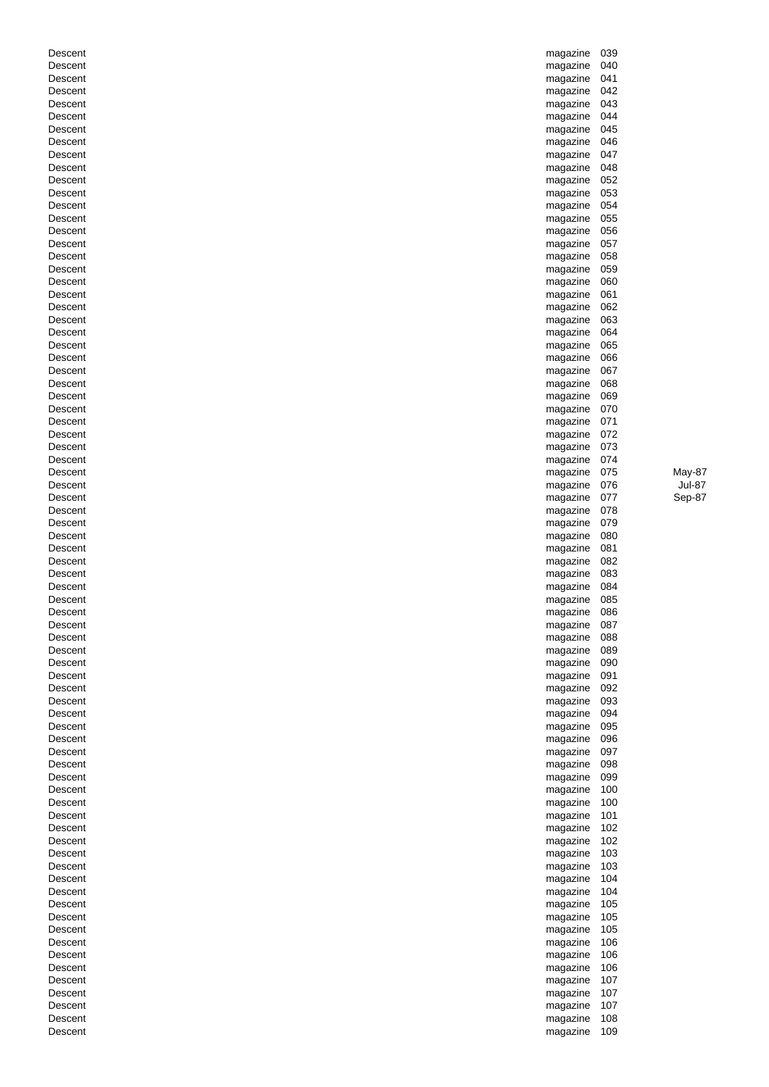| Descent | magazine             | 039 |               |
|---------|----------------------|-----|---------------|
| Descent | magazine             | 040 |               |
| Descent | magazine             | 041 |               |
| Descent | magazine             | 042 |               |
| Descent | magazine             | 043 |               |
| Descent | magazine             | 044 |               |
| Descent | magazine             | 045 |               |
| Descent | magazine             | 046 |               |
| Descent | magazine             | 047 |               |
| Descent | magazine             | 048 |               |
| Descent |                      | 052 |               |
|         | magazine             |     |               |
| Descent | magazine             | 053 |               |
| Descent | magazine             | 054 |               |
| Descent | magazine             | 055 |               |
| Descent | magazine             | 056 |               |
| Descent | magazine             | 057 |               |
| Descent | magazine             | 058 |               |
| Descent | magazine             | 059 |               |
| Descent | magazine             | 060 |               |
| Descent | magazine             | 061 |               |
| Descent | magazine             | 062 |               |
| Descent | magazine             | 063 |               |
| Descent | magazine             | 064 |               |
| Descent | magazine             | 065 |               |
| Descent | magazine             | 066 |               |
| Descent | magazine             | 067 |               |
| Descent |                      | 068 |               |
|         | magazine             |     |               |
| Descent | magazine             | 069 |               |
| Descent | magazine             | 070 |               |
| Descent | magazine             | 071 |               |
| Descent | magazine             | 072 |               |
| Descent | magazine             | 073 |               |
| Descent | magazine             | 074 |               |
| Descent | magazine             | 075 | May-87        |
| Descent | magazine             | 076 | <b>Jul-87</b> |
| Descent | magazine             | 077 | Sep-87        |
| Descent | magazine             | 078 |               |
| Descent | magazine             | 079 |               |
| Descent | magazine             | 080 |               |
| Descent | magazine             | 081 |               |
| Descent | magazine             | 082 |               |
| Descent | magazine             | 083 |               |
| Descent | magazine             | 084 |               |
| Descent | magazine             | 085 |               |
| Descent | magazine             | 086 |               |
|         |                      |     |               |
| Descent | magazine 087         |     |               |
| Descent | magazine             | 088 |               |
| Descent | magazine             | 089 |               |
| Descent | magazine             | 090 |               |
| Descent | magazine             | 091 |               |
| Descent | magazine             | 092 |               |
| Descent | magazine             | 093 |               |
| Descent | magazine             | 094 |               |
| Descent | magazine             | 095 |               |
| Descent | magazine             | 096 |               |
| Descent | magazine             | 097 |               |
| Descent | magazine             | 098 |               |
| Descent | magazine             | 099 |               |
| Descent | magazine             | 100 |               |
| Descent | magazine             | 100 |               |
| Descent | magazine             | 101 |               |
| Descent | magazine             | 102 |               |
| Descent | magazine             | 102 |               |
| Descent | magazine             | 103 |               |
|         |                      |     |               |
| Descent | magazine<br>magazine | 103 |               |
| Descent |                      | 104 |               |
| Descent |                      |     |               |
| Descent | magazine             | 104 |               |
| Descent | magazine             | 105 |               |
| Descent | magazine             | 105 |               |
|         | magazine             | 105 |               |
| Descent | magazine             | 106 |               |
| Descent | magazine             | 106 |               |
| Descent | magazine             | 106 |               |
| Descent | magazine             | 107 |               |
| Descent | magazine             | 107 |               |
| Descent | magazine             | 107 |               |
| Descent | magazine             | 108 |               |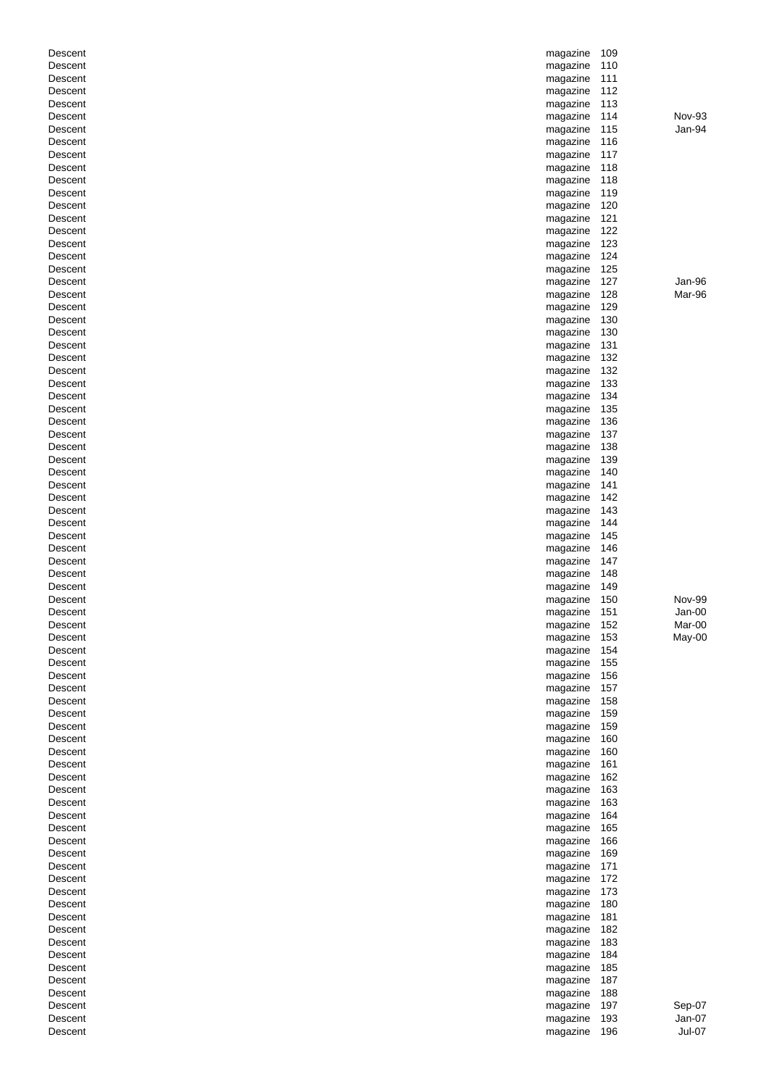| Descent            | magazine             | 109        |                           |
|--------------------|----------------------|------------|---------------------------|
| Descent            | magazine             | 110        |                           |
| Descent            | magazine             | 111        |                           |
| Descent            | magazine             | 112        |                           |
| Descent            | magazine             | 113        |                           |
| Descent            | magazine             | 114        | Nov-93                    |
| Descent            | magazine             | 115        | Jan-94                    |
| Descent            | magazine             | 116        |                           |
| Descent            | magazine             | 117        |                           |
| Descent            | magazine             | 118        |                           |
| Descent            | magazine             | 118        |                           |
| Descent            | magazine             | 119        |                           |
| Descent            | magazine             | 120        |                           |
| Descent            | magazine             | 121        |                           |
| Descent            | magazine             | 122        |                           |
| Descent            | magazine             | 123        |                           |
| Descent            | magazine             | 124        |                           |
| Descent            | magazine             | 125        |                           |
| Descent            | magazine             | 127        | Jan-96                    |
| Descent            | magazine             | 128        | Mar-96                    |
| Descent            | magazine             | 129        |                           |
| Descent            | magazine             | 130        |                           |
| Descent            | magazine             | 130        |                           |
| Descent            | magazine             | 131        |                           |
| Descent            | magazine             | 132        |                           |
| Descent            | magazine             | 132        |                           |
| Descent            | magazine             | 133        |                           |
| Descent            | magazine             | 134        |                           |
| Descent            | magazine             | 135        |                           |
| Descent            | magazine             | 136        |                           |
| Descent            | magazine             | 137        |                           |
| Descent            | magazine             | 138        |                           |
| Descent            | magazine             | 139        |                           |
| Descent            | magazine             | 140        |                           |
| Descent            | magazine             | 141        |                           |
| Descent            | magazine             | 142        |                           |
| Descent            | magazine             | 143        |                           |
| Descent            | magazine             | 144        |                           |
| Descent            | magazine             | 145        |                           |
| Descent            | magazine             | 146        |                           |
| Descent            | magazine             | 147        |                           |
| Descent            | magazine             | 148        |                           |
| Descent            | magazine             | 149        |                           |
| Descent            | magazine             | 150<br>151 | <b>Nov-99</b><br>$Jan-00$ |
| Descent<br>Descent | magazine<br>magazine | 152        | Mar-00                    |
| Descent            |                      | 153        | May-00                    |
| Descent            | magazine<br>magazine | 154        |                           |
| Descent            | magazine             | 155        |                           |
| Descent            | magazine             | 156        |                           |
| Descent            | magazine             | 157        |                           |
| Descent            | magazine             | 158        |                           |
| Descent            | magazine             | 159        |                           |
| Descent            | magazine             | 159        |                           |
| Descent            | magazine             | 160        |                           |
| Descent            | magazine             | 160        |                           |
| Descent            | magazine             | 161        |                           |
| Descent            | magazine             | 162        |                           |
| Descent            | magazine             | 163        |                           |
| Descent            | magazine             | 163        |                           |
| Descent            | magazine             | 164        |                           |
| Descent            | magazine             | 165        |                           |
| Descent            | magazine             | 166        |                           |
| Descent            | magazine             | 169        |                           |
| Descent            | magazine             | 171        |                           |
| Descent            | magazine             | 172        |                           |
| Descent            | magazine             | 173        |                           |
| Descent            | magazine             | 180        |                           |
| Descent            | magazine             | 181        |                           |
| Descent            | magazine             | 182        |                           |
| Descent            | magazine             | 183        |                           |
| Descent            | magazine             | 184        |                           |
| Descent            | magazine             | 185        |                           |
| Descent            | magazine             | 187        |                           |
| Descent            | magazine             | 188        |                           |
| Descent            | magazine             | 197        | Sep-07                    |
|                    |                      |            |                           |
| Descent            | magazine             | 193        | Jan-07                    |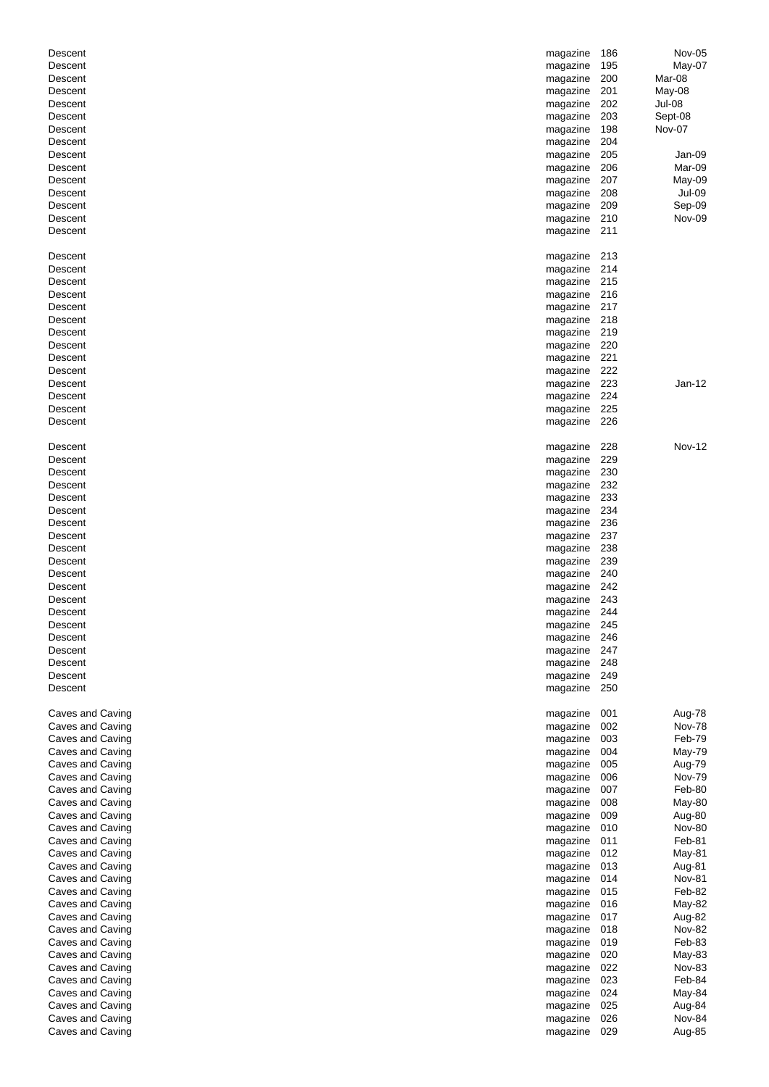| Descent                              | magazine             | 186        | Nov-05                  |
|--------------------------------------|----------------------|------------|-------------------------|
| Descent                              | magazine             | 195        | May-07                  |
| Descent                              | magazine             | 200        | Mar-08                  |
| Descent                              | magazine             | 201        | May-08                  |
| Descent                              | magazine             | 202        | Jul-08                  |
| Descent                              | magazine             | 203        | Sept-08                 |
| Descent                              | magazine             | 198        | Nov-07                  |
| Descent                              | magazine             | 204        |                         |
| Descent                              | magazine             | 205        | Jan-09                  |
| Descent<br>Descent                   | magazine             | 206        | Mar-09                  |
| Descent                              | magazine             | 207<br>208 | May-09<br>Jul-09        |
| Descent                              | magazine<br>magazine | 209        | Sep-09                  |
| Descent                              | magazine             | 210        | Nov-09                  |
| Descent                              | magazine             | 211        |                         |
|                                      |                      |            |                         |
| Descent                              | magazine             | 213        |                         |
| Descent                              | magazine             | 214        |                         |
| Descent                              | magazine             | 215        |                         |
| Descent                              | magazine             | 216        |                         |
| Descent                              | magazine             | 217        |                         |
| Descent                              | magazine             | 218        |                         |
| Descent                              | magazine             | 219        |                         |
| Descent                              | magazine             | 220        |                         |
| Descent                              | magazine             | 221        |                         |
| Descent                              | magazine             | 222        |                         |
| Descent                              | magazine             | 223        | $Jan-12$                |
| Descent                              | magazine             | 224        |                         |
| Descent                              | magazine             | 225        |                         |
| Descent                              | magazine             | 226        |                         |
|                                      |                      |            |                         |
| Descent                              | magazine             | 228        | <b>Nov-12</b>           |
| Descent                              | magazine             | 229        |                         |
| Descent                              | magazine             | 230        |                         |
| Descent                              | magazine             | 232<br>233 |                         |
| Descent<br>Descent                   | magazine             | 234        |                         |
| Descent                              | magazine<br>magazine | 236        |                         |
| Descent                              | magazine             | 237        |                         |
| Descent                              | magazine             | 238        |                         |
| Descent                              | magazine             | 239        |                         |
| Descent                              | magazine             | 240        |                         |
| Descent                              | magazine             | 242        |                         |
| Descent                              | magazine             | 243        |                         |
| Descent                              | magazine 244         |            |                         |
| Descent                              | magazine             | 245        |                         |
| Descent                              | magazine 246         |            |                         |
| Descent                              | magazine             | 247        |                         |
| Descent                              | magazine             | 248        |                         |
| Descent                              | magazine             | 249        |                         |
| Descent                              | magazine             | 250        |                         |
|                                      |                      |            |                         |
| Caves and Caving                     | magazine             | 001        | Aug-78                  |
| Caves and Caving                     | magazine             | 002        | <b>Nov-78</b>           |
| Caves and Caving                     | magazine             | 003        | Feb-79                  |
| Caves and Caving                     | magazine             | 004        | May-79                  |
| Caves and Caving                     | magazine             | 005        | Aug-79                  |
| Caves and Caving                     | magazine             | 006        | <b>Nov-79</b>           |
| Caves and Caving                     | magazine             | 007        | Feb-80                  |
| Caves and Caving                     | magazine             | 008        | May-80                  |
| Caves and Caving<br>Caves and Caving | magazine<br>magazine | 009<br>010 | Aug-80<br><b>Nov-80</b> |
| Caves and Caving                     | magazine             | 011        | Feb-81                  |
| Caves and Caving                     | magazine             | 012        | May-81                  |
| Caves and Caving                     | magazine             | 013        | Aug-81                  |
| Caves and Caving                     | magazine             | 014        | <b>Nov-81</b>           |
| Caves and Caving                     | magazine             | 015        | Feb-82                  |
| Caves and Caving                     | magazine             | 016        | May-82                  |
| Caves and Caving                     | magazine             | 017        | Aug-82                  |
| Caves and Caving                     | magazine             | 018        | <b>Nov-82</b>           |
| Caves and Caving                     | magazine             | 019        | Feb-83                  |
| Caves and Caving                     | magazine             | 020        | May-83                  |
| Caves and Caving                     | magazine             | 022        | Nov-83                  |
| Caves and Caving                     | magazine             | 023        | Feb-84                  |
| Caves and Caving                     | magazine             | 024        | May-84                  |
| Caves and Caving                     | magazine             | 025        | Aug-84                  |
| Caves and Caving                     | magazine             | 026        | Nov-84                  |
| Caves and Caving                     | magazine             | 029        | Aug-85                  |
|                                      |                      |            |                         |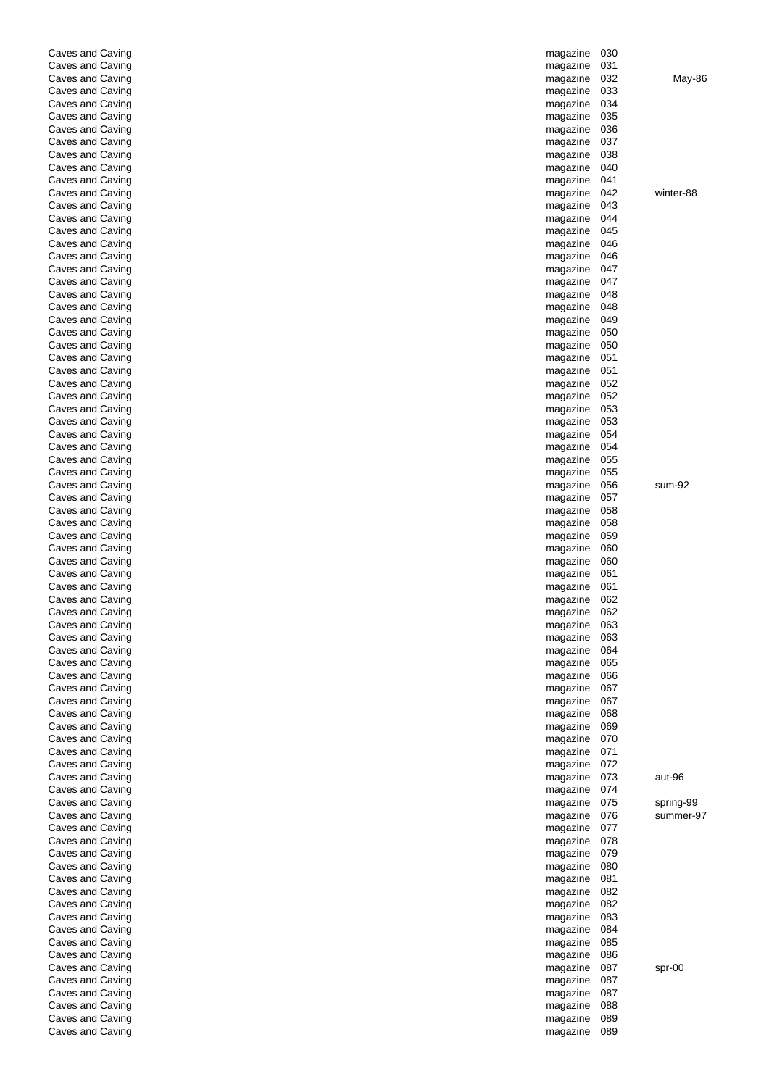| Caves and Caving                     | magazine                 | 030        |           |
|--------------------------------------|--------------------------|------------|-----------|
| Caves and Caving                     | magazine                 | 031        |           |
| Caves and Caving<br>Caves and Caving | magazine<br>magazine     | 032<br>033 | May-86    |
| Caves and Caving                     | magazine                 | 034        |           |
| Caves and Caving                     | magazine                 | 035        |           |
| Caves and Caving                     | magazine                 | 036        |           |
| Caves and Caving                     | magazine                 | 037        |           |
| Caves and Caving                     | magazine                 | 038        |           |
| Caves and Caving                     | magazine                 | 040        |           |
| Caves and Caving                     | magazine                 | 041        | winter-88 |
| Caves and Caving<br>Caves and Caving | magazine<br>magazine     | 042<br>043 |           |
| Caves and Caving                     | magazine                 | 044        |           |
| Caves and Caving                     | magazine                 | 045        |           |
| Caves and Caving                     | magazine                 | 046        |           |
| Caves and Caving                     | magazine                 | 046        |           |
| Caves and Caving                     | magazine                 | 047        |           |
| Caves and Caving                     | magazine                 | 047        |           |
| Caves and Caving                     | magazine                 | 048        |           |
| Caves and Caving<br>Caves and Caving | magazine                 | 048        |           |
| Caves and Caving                     | magazine<br>magazine     | 049<br>050 |           |
| Caves and Caving                     | magazine                 | 050        |           |
| Caves and Caving                     | magazine                 | 051        |           |
| Caves and Caving                     | magazine                 | 051        |           |
| Caves and Caving                     | magazine                 | 052        |           |
| Caves and Caving                     | magazine                 | 052        |           |
| Caves and Caving                     | magazine                 | 053        |           |
| Caves and Caving                     | magazine                 | 053        |           |
| Caves and Caving                     | magazine                 | 054        |           |
| Caves and Caving<br>Caves and Caving | magazine<br>magazine     | 054<br>055 |           |
| Caves and Caving                     | magazine                 | 055        |           |
| Caves and Caving                     | magazine                 | 056        | sum-92    |
| Caves and Caving                     | magazine                 | 057        |           |
| Caves and Caving                     | magazine                 | 058        |           |
| Caves and Caving                     | magazine                 | 058        |           |
| Caves and Caving                     | magazine                 | 059        |           |
| Caves and Caving                     | magazine                 | 060        |           |
| Caves and Caving<br>Caves and Caving | magazine                 | 060<br>061 |           |
| Caves and Caving                     | magazine<br>magazine     | 061        |           |
| Caves and Caving                     | magazine                 | 062        |           |
| Caves and Caving                     | magazine                 | 062        |           |
| Caves and Caving                     | magazine                 | 063        |           |
| Caves and Caving                     | magazine                 | 063        |           |
| Caves and Caving                     | magazine                 | 064        |           |
| Caves and Caving                     | magazine                 | 065        |           |
| Caves and Caving<br>Caves and Caving | magazine                 | 066<br>067 |           |
| Caves and Caving                     | magazine<br>magazine     | 067        |           |
| Caves and Caving                     | magazine                 | 068        |           |
| Caves and Caving                     | magazine                 | 069        |           |
| Caves and Caving                     | magazine                 | 070        |           |
| Caves and Caving                     | magazine                 | 071        |           |
| Caves and Caving                     | magazine                 | 072        |           |
| Caves and Caving                     | magazine                 | 073<br>074 | aut-96    |
| Caves and Caving<br>Caves and Caving | magazine<br>magazine     | 075        | spring-99 |
| Caves and Caving                     | magazine                 | 076        | summer-97 |
| Caves and Caving                     | magazine                 | 077        |           |
| Caves and Caving                     | magazine                 | 078        |           |
| Caves and Caving                     | magazine                 | 079        |           |
| Caves and Caving                     | magazine                 | 080        |           |
| Caves and Caving                     | magazine                 | 081        |           |
| Caves and Caving                     | magazine                 | 082        |           |
| Caves and Caving<br>Caves and Caving | magazine<br>magazine     | 082<br>083 |           |
| Caves and Caving                     | magazine                 | 084        |           |
| Caves and Caving                     | magazine                 | 085        |           |
| Caves and Caving                     | magazine                 | 086        |           |
| Caves and Caving                     | magazine                 | 087        | spr-00    |
| Caves and Caving                     | magazine                 | 087        |           |
| Caves and Caving                     | magazine                 | 087        |           |
| Caves and Caving                     | magazine                 | 088        |           |
| Caves and Caving<br>Caves and Caving | magazine<br>magazine 089 | 089        |           |
|                                      |                          |            |           |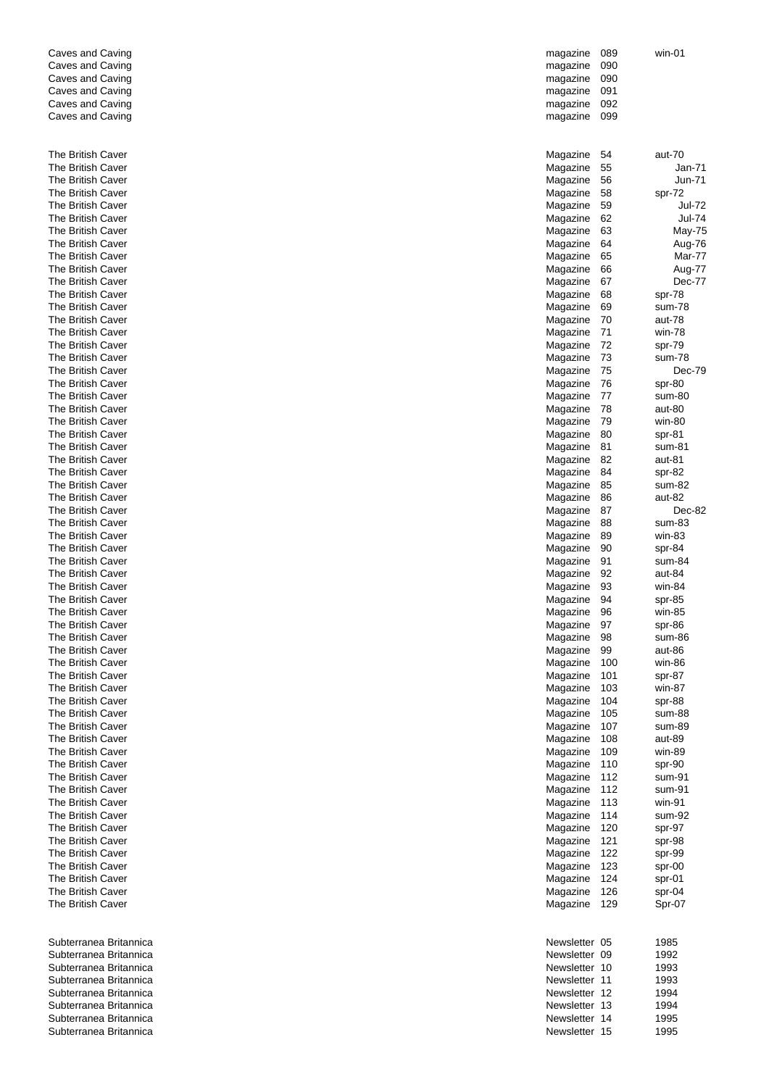| Caves and Caving                       | magazine             | 089        | win-01           |
|----------------------------------------|----------------------|------------|------------------|
| Caves and Caving                       | magazine             | 090        |                  |
| Caves and Caving                       | magazine             | 090        |                  |
| Caves and Caving                       | magazine             | 091        |                  |
| Caves and Caving                       | magazine             | 092        |                  |
| Caves and Caving                       | magazine             | 099        |                  |
| The British Caver                      | Magazine             | 54         | aut-70           |
| The British Caver                      | Magazine             | 55         | Jan-71           |
| The British Caver                      | Magazine             | 56         | Jun-71           |
| The British Caver                      | Magazine             | 58         | spr-72           |
| The British Caver                      | Magazine             | 59         | Jul-72           |
| The British Caver                      | Magazine             | 62         | Jul-74           |
| The British Caver                      | Magazine             | 63         | May-75           |
| The British Caver                      | Magazine             | 64         | Aug-76           |
| The British Caver                      | Magazine             | 65         | Mar-77           |
| The British Caver                      | Magazine             | 66         | Aug-77           |
| The British Caver                      | Magazine             | 67         | Dec-77           |
| The British Caver                      | Magazine             | 68         | spr-78           |
| The British Caver                      | Magazine             | 69         | sum-78           |
| The British Caver                      | Magazine             | 70         | aut-78           |
| The British Caver                      | Magazine             | 71         | win-78           |
| The British Caver                      | Magazine             | 72         | spr-79           |
| The British Caver                      | Magazine             | 73         | sum-78           |
| The British Caver                      | Magazine             | 75         | Dec-79           |
| The British Caver                      | Magazine             | 76         | spr-80           |
| The British Caver                      | Magazine             | 77         | sum-80           |
| The British Caver                      | Magazine             | 78         | aut-80           |
| The British Caver                      | Magazine             | 79         | win-80           |
| The British Caver                      | Magazine             | 80         | spr-81           |
| The British Caver                      | Magazine             | 81         | sum-81           |
| The British Caver                      | Magazine             | 82         | aut-81           |
| The British Caver                      | Magazine             | 84         | spr-82           |
| The British Caver                      | Magazine             | 85         | sum-82           |
| The British Caver                      | Magazine             | 86         | aut-82           |
| The British Caver                      | Magazine             | 87         | Dec-82           |
| The British Caver                      | Magazine             | 88         | sum-83           |
| The British Caver                      | Magazine             | 89         | win-83           |
| The British Caver                      | Magazine             | 90         | spr-84           |
| The British Caver                      | Magazine             | 91         | sum-84           |
| The British Caver                      | Magazine             | 92         | aut-84           |
| The British Caver                      | Magazine             | 93         | win-84           |
| The British Caver                      | Magazine             | 94         | spr-85           |
| The British Caver                      | Magazine             | 96         | win-85           |
| The British Caver                      | Magazine             | 97         | spr-86           |
| The British Caver                      | Magazine             | 98         | sum-86           |
| The British Caver                      | Magazine             | 99         | aut-86           |
| The British Caver<br>The British Caver | Magazine<br>Magazine | 100        | win-86           |
| The British Caver                      |                      | 101<br>103 | spr-87           |
| The British Caver                      | Magazine<br>Magazine | 104        | win-87<br>spr-88 |
| The British Caver                      | Magazine             | 105        | sum-88           |
| The British Caver                      | Magazine             | 107        | sum-89           |
| The British Caver                      | Magazine             | 108        | aut-89           |
| The British Caver                      | Magazine             | 109        | win-89           |
| The British Caver                      | Magazine             | 110        | spr-90           |
| The British Caver                      | Magazine             | 112        | sum-91           |
| The British Caver                      | Magazine             | 112        | sum-91           |
| The British Caver                      | Magazine             | 113        | win-91           |
| The British Caver                      | Magazine             | 114        | sum-92           |
| The British Caver                      | Magazine             | 120        | spr-97           |
| The British Caver                      | Magazine             | 121        | spr-98           |
| The British Caver                      | Magazine             | 122        | spr-99           |
| The British Caver                      | Magazine             | 123        | spr-00           |
| The British Caver                      | Magazine             | 124        | spr-01           |
| The British Caver                      | Magazine             | 126        | spr-04           |
| The British Caver                      | Magazine             | 129        | Spr-07           |
|                                        |                      |            |                  |
| Subterranea Britannica                 | Newsletter 05        |            | 1985             |
| Subterranea Britannica                 | Newsletter 09        |            | 1992             |
| Subterranea Britannica                 | Newsletter 10        |            | 1993             |
| Subterranea Britannica                 | Newsletter 11        |            | 1993             |
| Subterranea Britannica                 | Newsletter 12        |            | 1994             |
| Subterranea Britannica                 | Newsletter 13        |            | 1994             |
| Subterranea Britannica                 | Newsletter 14        |            | 1995             |
| Subterranea Britannica                 | Newsletter 15        |            | 1995             |